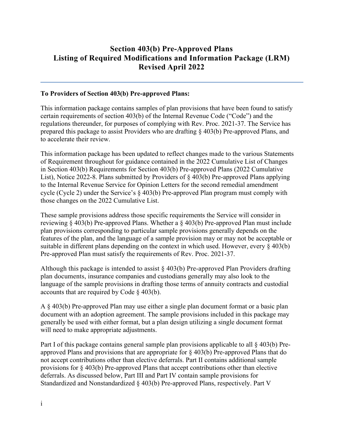## **Section 403(b) Pre-Approved Plans Listing of Required Modifications and Information Package (LRM) Revised April 2022**

#### **To Providers of Section 403(b) Pre-approved Plans:**

This information package contains samples of plan provisions that have been found to satisfy certain requirements of section 403(b) of the Internal Revenue Code ("Code") and the regulations thereunder, for purposes of complying with Rev. Proc. 2021-37. The Service has prepared this package to assist Providers who are drafting § 403(b) Pre-approved Plans, and to accelerate their review.

This information package has been updated to reflect changes made to the various Statements of Requirement throughout for guidance contained in the 2022 Cumulative List of Changes in Section 403(b) Requirements for Section 403(b) Pre-approved Plans (2022 Cumulative List), Notice 2022-8. Plans submitted by Providers of § 403(b) Pre-approved Plans applying to the Internal Revenue Service for Opinion Letters for the second remedial amendment cycle (Cycle 2) under the Service's § 403(b) Pre-approved Plan program must comply with those changes on the 2022 Cumulative List.

These sample provisions address those specific requirements the Service will consider in reviewing § 403(b) Pre-approved Plans. Whether a § 403(b) Pre-approved Plan must include plan provisions corresponding to particular sample provisions generally depends on the features of the plan, and the language of a sample provision may or may not be acceptable or suitable in different plans depending on the context in which used. However, every  $\S$  403(b) Pre-approved Plan must satisfy the requirements of Rev. Proc. 2021-37.

Although this package is intended to assist § 403(b) Pre-approved Plan Providers drafting plan documents, insurance companies and custodians generally may also look to the language of the sample provisions in drafting those terms of annuity contracts and custodial accounts that are required by Code  $\S$  403(b).

A § 403(b) Pre-approved Plan may use either a single plan document format or a basic plan document with an adoption agreement. The sample provisions included in this package may generally be used with either format, but a plan design utilizing a single document format will need to make appropriate adjustments.

Part I of this package contains general sample plan provisions applicable to all § 403(b) Preapproved Plans and provisions that are appropriate for § 403(b) Pre-approved Plans that do not accept contributions other than elective deferrals. Part II contains additional sample provisions for § 403(b) Pre-approved Plans that accept contributions other than elective deferrals. As discussed below, Part III and Part IV contain sample provisions for Standardized and Nonstandardized § 403(b) Pre-approved Plans, respectively. Part V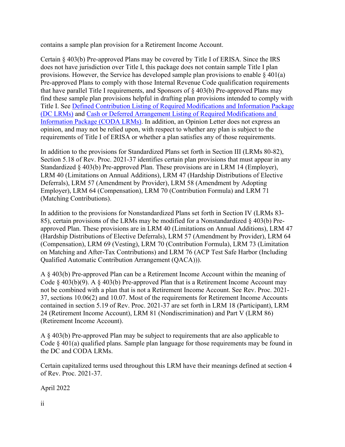contains a sample plan provision for a Retirement Income Account.

Certain § 403(b) Pre-approved Plans may be covered by Title I of ERISA. Since the IRS does not have jurisdiction over Title I, this package does not contain sample Title I plan provisions. However, the Service has developed sample plan provisions to enable  $\zeta$  401(a) Pre-approved Plans to comply with those Internal Revenue Code qualification requirements that have parallel Title I requirements, and Sponsors of § 403(b) Pre-approved Plans may find these sample plan provisions helpful in drafting plan provisions intended to comply with Title I. See [Defined Contribution Listing of Required Modifications and Information Package](https://www.irs.gov/pub/irs-tege/dclrm1017.pdf)  [\(DC LRMs\)](https://www.irs.gov/pub/irs-tege/dclrm1017.pdf) and [Cash or Deferred Arrangement Listing](https://www.irs.gov/pub/irs-tege/coda_lrm1017.pdf) of Required Modifications and [Information Package](https://www.irs.gov/pub/irs-tege/coda_lrm1017.pdf) (CODA LRMs). In addition, an Opinion Letter does not express an opinion, and may not be relied upon, with respect to whether any plan is subject to the requirements of Title I of ERISA or whether a plan satisfies any of those requirements.

In addition to the provisions for Standardized Plans set forth in Section III (LRMs 80-82), Section 5.18 of Rev. Proc. 2021-37 identifies certain plan provisions that must appear in any Standardized § 403(b) Pre-approved Plan. These provisions are in LRM 14 (Employer), LRM 40 (Limitations on Annual Additions), LRM 47 (Hardship Distributions of Elective Deferrals), LRM 57 (Amendment by Provider), LRM 58 (Amendment by Adopting Employer), LRM 64 (Compensation), LRM 70 (Contribution Formula) and LRM 71 (Matching Contributions).

In addition to the provisions for Nonstandardized Plans set forth in Section IV (LRMs 83- 85), certain provisions of the LRMs may be modified for a Nonstandardized § 403(b) Preapproved Plan. These provisions are in LRM 40 (Limitations on Annual Additions), LRM 47 (Hardship Distributions of Elective Deferrals), LRM 57 (Amendment by Provider), LRM 64 (Compensation), LRM 69 (Vesting), LRM 70 (Contribution Formula), LRM 73 (Limitation on Matching and After-Tax Contributions) and LRM 76 (ACP Test Safe Harbor (Including Qualified Automatic Contribution Arrangement (QACA))).

A § 403(b) Pre-approved Plan can be a Retirement Income Account within the meaning of Code  $\S$  403(b)(9). A  $\S$  403(b) Pre-approved Plan that is a Retirement Income Account may not be combined with a plan that is not a Retirement Income Account. See Rev. Proc. 2021- 37, sections 10.06(2) and 10.07. Most of the requirements for Retirement Income Accounts contained in section 5.19 of Rev. Proc. 2021-37 are set forth in LRM 18 (Participant), LRM 24 (Retirement Income Account), LRM 81 (Nondiscrimination) and Part V (LRM 86) (Retirement Income Account).

A § 403(b) Pre-approved Plan may be subject to requirements that are also applicable to Code § 401(a) qualified plans. Sample plan language for those requirements may be found in the DC and CODA LRMs.

Certain capitalized terms used throughout this LRM have their meanings defined at section 4 of Rev. Proc. 2021-37.

April 2022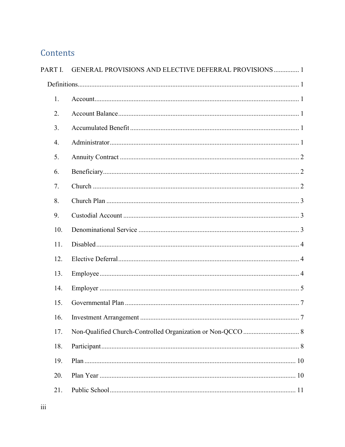# Contents

| PART I. | GENERAL PROVISIONS AND ELECTIVE DEFERRAL PROVISIONS  1 |  |  |  |
|---------|--------------------------------------------------------|--|--|--|
|         |                                                        |  |  |  |
| 1.      |                                                        |  |  |  |
| 2.      |                                                        |  |  |  |
| 3.      |                                                        |  |  |  |
| 4.      |                                                        |  |  |  |
| 5.      |                                                        |  |  |  |
| 6.      |                                                        |  |  |  |
| 7.      |                                                        |  |  |  |
| 8.      |                                                        |  |  |  |
| 9.      |                                                        |  |  |  |
| 10.     |                                                        |  |  |  |
| 11.     |                                                        |  |  |  |
| 12.     |                                                        |  |  |  |
| 13.     |                                                        |  |  |  |
| 14.     |                                                        |  |  |  |
| 15.     |                                                        |  |  |  |
| 16.     |                                                        |  |  |  |
| 17.     |                                                        |  |  |  |
| 18.     |                                                        |  |  |  |
| 19.     |                                                        |  |  |  |
| 20.     |                                                        |  |  |  |
| 21.     |                                                        |  |  |  |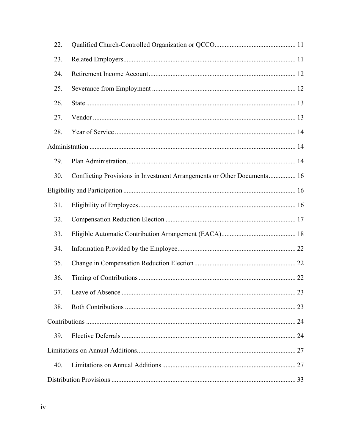| 22. |                                                                         |  |
|-----|-------------------------------------------------------------------------|--|
| 23. |                                                                         |  |
| 24. |                                                                         |  |
| 25. |                                                                         |  |
| 26. |                                                                         |  |
| 27. |                                                                         |  |
| 28. |                                                                         |  |
|     |                                                                         |  |
| 29. |                                                                         |  |
| 30. | Conflicting Provisions in Investment Arrangements or Other Documents 16 |  |
|     |                                                                         |  |
| 31. |                                                                         |  |
| 32. |                                                                         |  |
| 33. |                                                                         |  |
| 34. |                                                                         |  |
| 35. |                                                                         |  |
| 36. |                                                                         |  |
| 37. | . 23                                                                    |  |
| 38. |                                                                         |  |
|     |                                                                         |  |
| 39. |                                                                         |  |
|     |                                                                         |  |
| 40. |                                                                         |  |
|     |                                                                         |  |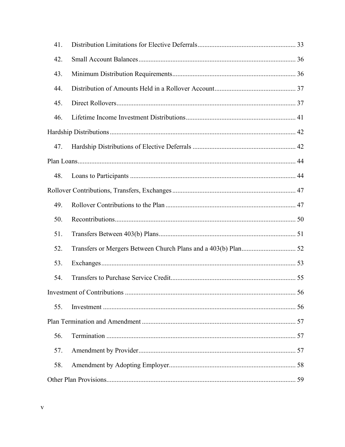| 41. |                             |    |
|-----|-----------------------------|----|
| 42. |                             |    |
| 43. |                             |    |
| 44. |                             |    |
| 45. |                             |    |
| 46. |                             |    |
|     |                             |    |
| 47. |                             |    |
|     |                             |    |
| 48. |                             |    |
|     |                             |    |
| 49. |                             |    |
| 50. |                             |    |
| 51. |                             |    |
| 52. |                             |    |
| 53. |                             |    |
| 54. |                             |    |
|     | Investment of Contributions | 56 |
| 55. |                             |    |
|     |                             |    |
| 56. |                             |    |
| 57. |                             |    |
| 58. |                             |    |
|     |                             |    |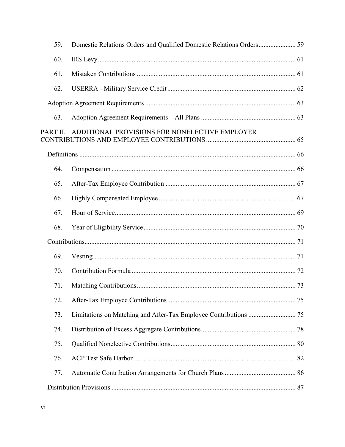| 59.      |                                                |  |
|----------|------------------------------------------------|--|
| 60.      |                                                |  |
| 61.      |                                                |  |
| 62.      |                                                |  |
|          |                                                |  |
| 63.      |                                                |  |
| PART II. | ADDITIONAL PROVISIONS FOR NONELECTIVE EMPLOYER |  |
|          |                                                |  |
| 64.      |                                                |  |
| 65.      |                                                |  |
| 66.      |                                                |  |
| 67.      |                                                |  |
| 68.      |                                                |  |
|          |                                                |  |
| 69.      |                                                |  |
| 70.      |                                                |  |
| 71.      |                                                |  |
| 72.      |                                                |  |
| 73.      |                                                |  |
| 74.      |                                                |  |
| 75.      |                                                |  |
| 76.      |                                                |  |
| 77.      |                                                |  |
|          |                                                |  |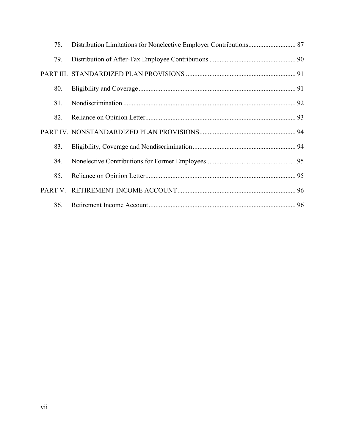| 78. |  |
|-----|--|
| 79. |  |
|     |  |
| 80. |  |
| 81. |  |
| 82. |  |
|     |  |
| 83. |  |
| 84. |  |
| 85. |  |
|     |  |
| 86. |  |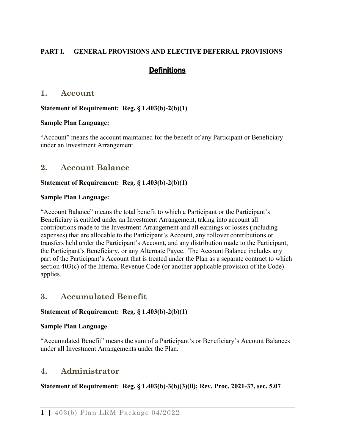## <span id="page-7-1"></span><span id="page-7-0"></span>**PART I. GENERAL PROVISIONS AND ELECTIVE DEFERRAL PROVISIONS**

## **Definitions**

## <span id="page-7-2"></span>**1. Account**

#### **Statement of Requirement: Reg. § 1.403(b)-2(b)(1)**

#### **Sample Plan Language:**

"Account" means the account maintained for the benefit of any Participant or Beneficiary under an Investment Arrangement.

## <span id="page-7-3"></span>**2. Account Balance**

#### **Statement of Requirement: Reg. § 1.403(b)-2(b)(1)**

#### **Sample Plan Language:**

"Account Balance" means the total benefit to which a Participant or the Participant's Beneficiary is entitled under an Investment Arrangement, taking into account all contributions made to the Investment Arrangement and all earnings or losses (including expenses) that are allocable to the Participant's Account, any rollover contributions or transfers held under the Participant's Account, and any distribution made to the Participant, the Participant's Beneficiary, or any Alternate Payee. The Account Balance includes any part of the Participant's Account that is treated under the Plan as a separate contract to which section 403(c) of the Internal Revenue Code (or another applicable provision of the Code) applies.

## <span id="page-7-4"></span>**3. Accumulated Benefit**

## **Statement of Requirement: Reg. § 1.403(b)-2(b)(1)**

#### **Sample Plan Language**

"Accumulated Benefit" means the sum of a Participant's or Beneficiary's Account Balances under all Investment Arrangements under the Plan.

## <span id="page-7-5"></span>**4. Administrator**

## **Statement of Requirement: Reg. § 1.403(b)-3(b)(3)(ii); Rev. Proc. 2021-37, sec. 5.07**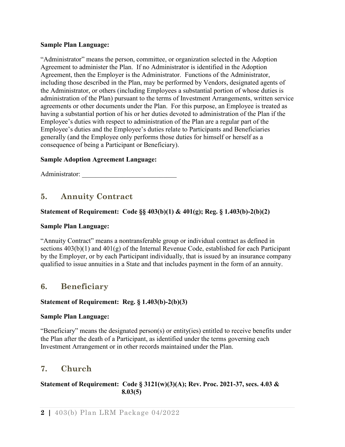#### **Sample Plan Language:**

"Administrator" means the person, committee, or organization selected in the Adoption Agreement to administer the Plan. If no Administrator is identified in the Adoption Agreement, then the Employer is the Administrator. Functions of the Administrator, including those described in the Plan, may be performed by Vendors, designated agents of the Administrator, or others (including Employees a substantial portion of whose duties is administration of the Plan) pursuant to the terms of Investment Arrangements, written service agreements or other documents under the Plan. For this purpose, an Employee is treated as having a substantial portion of his or her duties devoted to administration of the Plan if the Employee's duties with respect to administration of the Plan are a regular part of the Employee's duties and the Employee's duties relate to Participants and Beneficiaries generally (and the Employee only performs those duties for himself or herself as a consequence of being a Participant or Beneficiary).

#### **Sample Adoption Agreement Language:**

<span id="page-8-0"></span>Administrator: \_\_\_\_\_\_\_\_\_\_\_\_\_\_\_\_\_\_\_\_\_\_\_\_\_\_\_\_

## **5. Annuity Contract**

## **Statement of Requirement: Code §§ 403(b)(1) & 401(g); Reg. § 1.403(b)-2(b)(2)**

#### **Sample Plan Language:**

"Annuity Contract" means a nontransferable group or individual contract as defined in sections  $403(b)(1)$  and  $401(g)$  of the Internal Revenue Code, established for each Participant by the Employer, or by each Participant individually, that is issued by an insurance company qualified to issue annuities in a State and that includes payment in the form of an annuity.

## <span id="page-8-1"></span>**6. Beneficiary**

#### **Statement of Requirement: Reg. § 1.403(b)-2(b)(3)**

#### **Sample Plan Language:**

"Beneficiary" means the designated person(s) or entity(ies) entitled to receive benefits under the Plan after the death of a Participant, as identified under the terms governing each Investment Arrangement or in other records maintained under the Plan.

## <span id="page-8-2"></span>**7. Church**

#### **Statement of Requirement: Code § 3121(w)(3)(A); Rev. Proc. 2021-37, secs. 4.03 & 8.03(5)**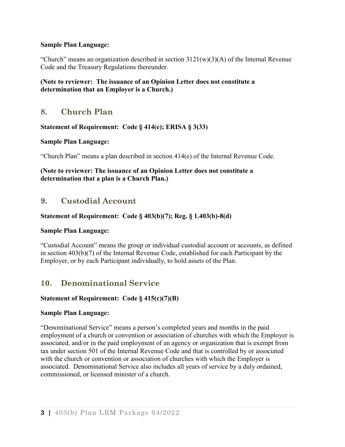#### **Sample Plan Language:**

"Church" means an organization described in section  $3121(w)(3)(A)$  of the Internal Revenue Code and the Treasury Regulations thereunder.

## **(Note to reviewer: The issuance of an Opinion Letter does not constitute a determination that an Employer is a Church.)**

## <span id="page-9-0"></span>**8. Church Plan**

## **Statement of Requirement: Code § 414(e); ERISA § 3(33)**

#### **Sample Plan Language:**

"Church Plan" means a plan described in section 414(e) of the Internal Revenue Code.

#### **(Note to reviewer: The issuance of an Opinion Letter does not constitute a determination that a plan is a Church Plan.)**

## <span id="page-9-1"></span>**9. Custodial Account**

## **Statement of Requirement: Code § 403(b)(7); Reg. § 1.403(b)-8(d)**

## **Sample Plan Language:**

"Custodial Account" means the group or individual custodial account or accounts, as defined in section 403(b)(7) of the Internal Revenue Code, established for each Participant by the Employer, or by each Participant individually, to hold assets of the Plan.

# <span id="page-9-2"></span>**10. Denominational Service**

## **Statement of Requirement: Code § 415(c)(7)(B)**

## **Sample Plan Language:**

"Denominational Service" means a person's completed years and months in the paid employment of a church or convention or association of churches with which the Employer is associated, and/or in the paid employment of an agency or organization that is exempt from tax under section 501 of the Internal Revenue Code and that is controlled by or associated with the church or convention or association of churches with which the Employer is associated. Denominational Service also includes all years of service by a duly ordained, commissioned, or licensed minister of a church.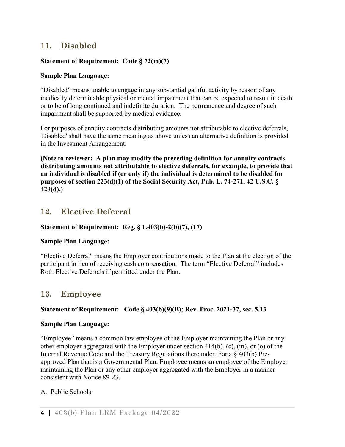# <span id="page-10-0"></span>**11. Disabled**

## **Statement of Requirement: Code § 72(m)(7)**

#### **Sample Plan Language:**

"Disabled" means unable to engage in any substantial gainful activity by reason of any medically determinable physical or mental impairment that can be expected to result in death or to be of long continued and indefinite duration. The permanence and degree of such impairment shall be supported by medical evidence.

For purposes of annuity contracts distributing amounts not attributable to elective deferrals, 'Disabled' shall have the same meaning as above unless an alternative definition is provided in the Investment Arrangement.

**(Note to reviewer: A plan may modify the preceding definition for annuity contracts distributing amounts not attributable to elective deferrals, for example, to provide that an individual is disabled if (or only if) the individual is determined to be disabled for purposes of section 223(d)(1) of the Social Security Act, Pub. L. 74-271, 42 U.S.C. § 423(d).)**

## <span id="page-10-1"></span>**12. Elective Deferral**

## **Statement of Requirement: Reg. § 1.403(b)-2(b)(7), (17)**

## **Sample Plan Language:**

"Elective Deferral" means the Employer contributions made to the Plan at the election of the participant in lieu of receiving cash compensation. The term "Elective Deferral" includes Roth Elective Deferrals if permitted under the Plan.

## <span id="page-10-2"></span>**13. Employee**

## **Statement of Requirement: Code § 403(b)(9)(B); Rev. Proc. 2021-37, sec. 5.13**

#### **Sample Plan Language:**

"Employee" means a common law employee of the Employer maintaining the Plan or any other employer aggregated with the Employer under section 414(b), (c), (m), or (o) of the Internal Revenue Code and the Treasury Regulations thereunder. For a § 403(b) Preapproved Plan that is a Governmental Plan, Employee means an employee of the Employer maintaining the Plan or any other employer aggregated with the Employer in a manner consistent with Notice 89-23.

## A. Public Schools: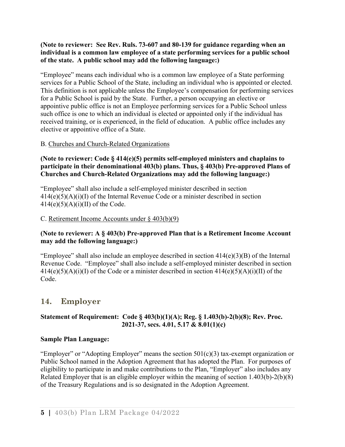## **(Note to reviewer: See Rev. Ruls. 73-607 and 80-139 for guidance regarding when an individual is a common law employee of a state performing services for a public school of the state. A public school may add the following language:)**

"Employee" means each individual who is a common law employee of a State performing services for a Public School of the State, including an individual who is appointed or elected. This definition is not applicable unless the Employee's compensation for performing services for a Public School is paid by the State. Further, a person occupying an elective or appointive public office is not an Employee performing services for a Public School unless such office is one to which an individual is elected or appointed only if the individual has received training, or is experienced, in the field of education. A public office includes any elective or appointive office of a State.

## B. Churches and Church-Related Organizations

## **(Note to reviewer: Code § 414(e)(5) permits self-employed ministers and chaplains to participate in their denominational 403(b) plans. Thus, § 403(b) Pre-approved Plans of Churches and Church-Related Organizations may add the following language:)**

"Employee" shall also include a self-employed minister described in section  $414(e)(5)(A)(i)(I)$  of the Internal Revenue Code or a minister described in section  $414(e)(5)(A)(i)(II)$  of the Code.

#### C. Retirement Income Accounts under § 403(b)(9)

## **(Note to reviewer: A § 403(b) Pre-approved Plan that is a Retirement Income Account may add the following language:)**

"Employee" shall also include an employee described in section 414(e)(3)(B) of the Internal Revenue Code. "Employee" shall also include a self-employed minister described in section  $414(e)(5)(A)(i)(I)$  of the Code or a minister described in section  $414(e)(5)(A)(i)(II)$  of the Code.

## <span id="page-11-0"></span>**14. Employer**

## **Statement of Requirement: Code § 403(b)(1)(A); Reg. § 1.403(b)-2(b)(8); Rev. Proc. 2021-37, secs. 4.01, 5.17 & 8.01(1)(c)**

#### **Sample Plan Language:**

"Employer" or "Adopting Employer" means the section  $501(c)(3)$  tax-exempt organization or Public School named in the Adoption Agreement that has adopted the Plan. For purposes of eligibility to participate in and make contributions to the Plan, "Employer" also includes any Related Employer that is an eligible employer within the meaning of section 1.403(b)-2(b)(8) of the Treasury Regulations and is so designated in the Adoption Agreement.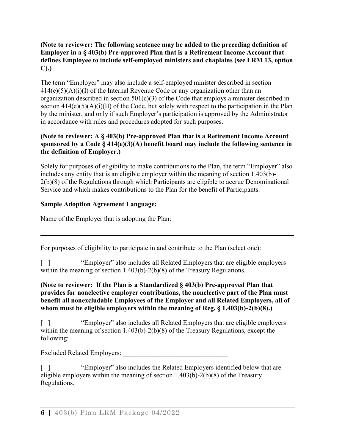## **(Note to reviewer: The following sentence may be added to the preceding definition of Employer in a § 403(b) Pre-approved Plan that is a Retirement Income Account that defines Employee to include self-employed ministers and chaplains (see LRM 13, option C).)**

The term "Employer" may also include a self-employed minister described in section  $414(e)(5)(A)(i)(I)$  of the Internal Revenue Code or any organization other than an organization described in section  $501(c)(3)$  of the Code that employs a minister described in section  $414(e)(5)(A)(i)(II)$  of the Code, but solely with respect to the participation in the Plan by the minister, and only if such Employer's participation is approved by the Administrator in accordance with rules and procedures adopted for such purposes.

## **(Note to reviewer: A § 403(b) Pre-approved Plan that is a Retirement Income Account sponsored by a Code § 414(e)(3)(A) benefit board may include the following sentence in the definition of Employer.)**

Solely for purposes of eligibility to make contributions to the Plan, the term "Employer" also includes any entity that is an eligible employer within the meaning of section 1.403(b)- 2(b)(8) of the Regulations through which Participants are eligible to accrue Denominational Service and which makes contributions to the Plan for the benefit of Participants.

## **Sample Adoption Agreement Language:**

Name of the Employer that is adopting the Plan:

For purposes of eligibility to participate in and contribute to the Plan (select one):

[ ] "Employer" also includes all Related Employers that are eligible employers within the meaning of section 1.403(b)-2(b)(8) of the Treasury Regulations.

#### **(Note to reviewer: If the Plan is a Standardized § 403(b) Pre-approved Plan that provides for nonelective employer contributions, the nonelective part of the Plan must benefit all nonexcludable Employees of the Employer and all Related Employers, all of whom must be eligible employers within the meaning of Reg. § 1.403(b)-2(b)(8).)**

[ ] "Employer" also includes all Related Employers that are eligible employers within the meaning of section 1.403(b)-2(b)(8) of the Treasury Regulations, except the following:

Excluded Related Employers:

[ ] "Employer" also includes the Related Employers identified below that are eligible employers within the meaning of section 1.403(b)-2(b)(8) of the Treasury Regulations.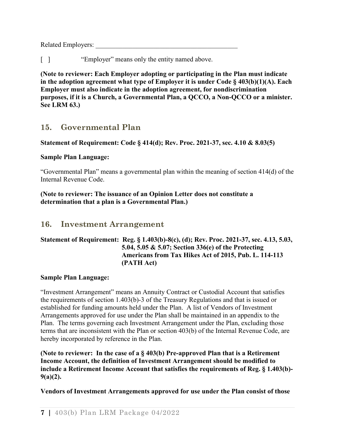Related Employers:

[ ] "Employer" means only the entity named above.

**(Note to reviewer: Each Employer adopting or participating in the Plan must indicate in the adoption agreement what type of Employer it is under Code § 403(b)(1)(A). Each Employer must also indicate in the adoption agreement, for nondiscrimination purposes, if it is a Church, a Governmental Plan, a QCCO, a Non-QCCO or a minister. See LRM 63.)** 

# <span id="page-13-0"></span>**15. Governmental Plan**

## **Statement of Requirement: Code § 414(d); Rev. Proc. 2021-37, sec. 4.10 & 8.03(5)**

## **Sample Plan Language:**

"Governmental Plan" means a governmental plan within the meaning of section 414(d) of the Internal Revenue Code.

**(Note to reviewer: The issuance of an Opinion Letter does not constitute a determination that a plan is a Governmental Plan.)** 

# <span id="page-13-1"></span>**16. Investment Arrangement**

## **Statement of Requirement: Reg. § 1.403(b)-8(c), (d); Rev. Proc. 2021-37, sec. 4.13, 5.03, 5.04, 5.05 & 5.07; Section 336(e) of the Protecting Americans from Tax Hikes Act of 2015, Pub. L. 114-113 (PATH Act)**

## **Sample Plan Language:**

"Investment Arrangement" means an Annuity Contract or Custodial Account that satisfies the requirements of section 1.403(b)-3 of the Treasury Regulations and that is issued or established for funding amounts held under the Plan. A list of Vendors of Investment Arrangements approved for use under the Plan shall be maintained in an appendix to the Plan. The terms governing each Investment Arrangement under the Plan, excluding those terms that are inconsistent with the Plan or section 403(b) of the Internal Revenue Code, are hereby incorporated by reference in the Plan.

**(Note to reviewer: In the case of a § 403(b) Pre-approved Plan that is a Retirement Income Account, the definition of Investment Arrangement should be modified to include a Retirement Income Account that satisfies the requirements of Reg. § 1.403(b)- 9(a)(2).**

**Vendors of Investment Arrangements approved for use under the Plan consist of those**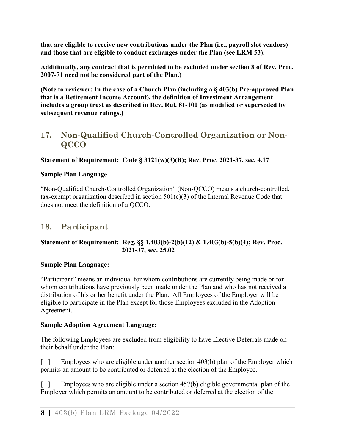**that are eligible to receive new contributions under the Plan (i.e., payroll slot vendors) and those that are eligible to conduct exchanges under the Plan (see LRM 53).**

**Additionally, any contract that is permitted to be excluded under section 8 of Rev. Proc. 2007-71 need not be considered part of the Plan.)**

**(Note to reviewer: In the case of a Church Plan (including a § 403(b) Pre-approved Plan that is a Retirement Income Account), the definition of Investment Arrangement includes a group trust as described in Rev. Rul. 81-100 (as modified or superseded by subsequent revenue rulings.)**

# <span id="page-14-0"></span>**17. Non-Qualified Church-Controlled Organization or Non-QCCO**

## **Statement of Requirement: Code § 3121(w)(3)(B); Rev. Proc. 2021-37, sec. 4.17**

## **Sample Plan Language**

"Non-Qualified Church-Controlled Organization" (Non-QCCO) means a church-controlled, tax-exempt organization described in section  $501(c)(3)$  of the Internal Revenue Code that does not meet the definition of a QCCO.

# <span id="page-14-1"></span>**18. Participant**

## **Statement of Requirement: Reg. §§ 1.403(b)-2(b)(12) & 1.403(b)-5(b)(4); Rev. Proc. 2021-37, sec. 25.02**

## **Sample Plan Language:**

"Participant" means an individual for whom contributions are currently being made or for whom contributions have previously been made under the Plan and who has not received a distribution of his or her benefit under the Plan. All Employees of the Employer will be eligible to participate in the Plan except for those Employees excluded in the Adoption Agreement.

## **Sample Adoption Agreement Language:**

The following Employees are excluded from eligibility to have Elective Deferrals made on their behalf under the Plan:

 $\lceil \cdot \rceil$  Employees who are eligible under another section 403(b) plan of the Employer which permits an amount to be contributed or deferred at the election of the Employee.

[ ] Employees who are eligible under a section 457(b) eligible governmental plan of the Employer which permits an amount to be contributed or deferred at the election of the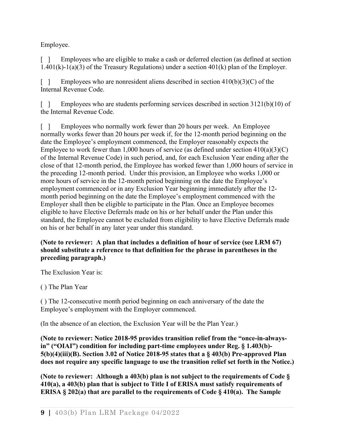Employee.

[ ] Employees who are eligible to make a cash or deferred election (as defined at section  $1.401(k)-1(a)(3)$  of the Treasury Regulations) under a section  $401(k)$  plan of the Employer.

[ ] Employees who are nonresident aliens described in section  $410(b)(3)(C)$  of the Internal Revenue Code.

[ ] Employees who are students performing services described in section 3121(b)(10) of the Internal Revenue Code.

[ ] Employees who normally work fewer than 20 hours per week. An Employee normally works fewer than 20 hours per week if, for the 12-month period beginning on the date the Employee's employment commenced, the Employer reasonably expects the Employee to work fewer than 1,000 hours of service (as defined under section  $410(a)(3)(C)$ ) of the Internal Revenue Code) in such period, and, for each Exclusion Year ending after the close of that 12-month period, the Employee has worked fewer than 1,000 hours of service in the preceding 12-month period. Under this provision, an Employee who works 1,000 or more hours of service in the 12-month period beginning on the date the Employee's employment commenced or in any Exclusion Year beginning immediately after the 12 month period beginning on the date the Employee's employment commenced with the Employer shall then be eligible to participate in the Plan. Once an Employee becomes eligible to have Elective Deferrals made on his or her behalf under the Plan under this standard, the Employee cannot be excluded from eligibility to have Elective Deferrals made on his or her behalf in any later year under this standard.

## **(Note to reviewer: A plan that includes a definition of hour of service (see LRM 67) should substitute a reference to that definition for the phrase in parentheses in the preceding paragraph.)**

The Exclusion Year is:

( ) The Plan Year

( ) The 12-consecutive month period beginning on each anniversary of the date the Employee's employment with the Employer commenced.

(In the absence of an election, the Exclusion Year will be the Plan Year.)

**(Note to reviewer: Notice 2018-95 provides transition relief from the "once-in-alwaysin" ("OIAI") condition for including part-time employees under Reg. § 1.403(b)- 5(b)(4)(iii)(B). Section 3.02 of Notice 2018-95 states that a § 403(b) Pre-approved Plan does not require any specific language to use the transition relief set forth in the Notice.)** 

**(Note to reviewer: Although a 403(b) plan is not subject to the requirements of Code § 410(a), a 403(b) plan that is subject to Title I of ERISA must satisfy requirements of ERISA § 202(a) that are parallel to the requirements of Code § 410(a). The Sample**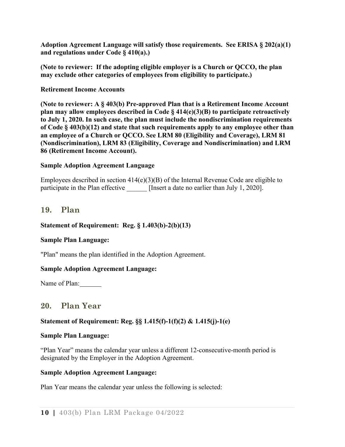**Adoption Agreement Language will satisfy those requirements. See ERISA § 202(a)(1) and regulations under Code § 410(a).)**

**(Note to reviewer: If the adopting eligible employer is a Church or QCCO, the plan may exclude other categories of employees from eligibility to participate.)**

#### **Retirement Income Accounts**

**(Note to reviewer: A § 403(b) Pre-approved Plan that is a Retirement Income Account plan may allow employees described in Code § 414(e)(3)(B) to participate retroactively to July 1, 2020. In such case, the plan must include the nondiscrimination requirements of Code § 403(b)(12) and state that such requirements apply to any employee other than an employee of a Church or QCCO. See LRM 80 (Eligibility and Coverage), LRM 81 (Nondiscrimination), LRM 83 (Eligibility, Coverage and Nondiscrimination) and LRM 86 (Retirement Income Account).**

#### **Sample Adoption Agreement Language**

Employees described in section 414(e)(3)(B) of the Internal Revenue Code are eligible to participate in the Plan effective [Insert a date no earlier than July 1, 2020].

## <span id="page-16-0"></span>**19. Plan**

#### **Statement of Requirement: Reg. § 1.403(b)-2(b)(13)**

#### **Sample Plan Language:**

"Plan" means the plan identified in the Adoption Agreement.

## **Sample Adoption Agreement Language:**

<span id="page-16-1"></span>Name of Plan:

## **20. Plan Year**

## **Statement of Requirement: Reg. §§ 1.415(f)-1(f)(2) & 1.415(j)-1(e)**

#### **Sample Plan Language:**

"Plan Year" means the calendar year unless a different 12-consecutive-month period is designated by the Employer in the Adoption Agreement.

#### **Sample Adoption Agreement Language:**

Plan Year means the calendar year unless the following is selected: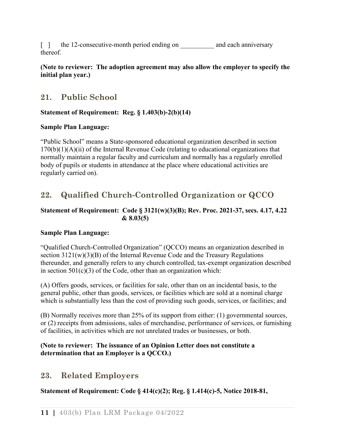[ ] the 12-consecutive-month period ending on and each anniversary thereof.

## **(Note to reviewer: The adoption agreement may also allow the employer to specify the initial plan year.)**

# <span id="page-17-0"></span>**21. Public School**

## **Statement of Requirement: Reg. § 1.403(b)-2(b)(14)**

## **Sample Plan Language:**

"Public School" means a State-sponsored educational organization described in section 170(b)(1)(A)(ii) of the Internal Revenue Code (relating to educational organizations that normally maintain a regular faculty and curriculum and normally has a regularly enrolled body of pupils or students in attendance at the place where educational activities are regularly carried on).

# <span id="page-17-1"></span>**22. Qualified Church-Controlled Organization or QCCO**

## **Statement of Requirement: Code § 3121(w)(3)(B); Rev. Proc. 2021-37, secs. 4.17, 4.22 & 8.03(5)**

## **Sample Plan Language:**

"Qualified Church-Controlled Organization" (QCCO) means an organization described in section 3121(w)(3)(B) of the Internal Revenue Code and the Treasury Regulations thereunder, and generally refers to any church controlled, tax-exempt organization described in section  $501(c)(3)$  of the Code, other than an organization which:

(A) Offers goods, services, or facilities for sale, other than on an incidental basis, to the general public, other than goods, services, or facilities which are sold at a nominal charge which is substantially less than the cost of providing such goods, services, or facilities; and

(B) Normally receives more than 25% of its support from either: (1) governmental sources, or (2) receipts from admissions, sales of merchandise, performance of services, or furnishing of facilities, in activities which are not unrelated trades or businesses, or both.

## **(Note to reviewer: The issuance of an Opinion Letter does not constitute a determination that an Employer is a QCCO.)**

# <span id="page-17-2"></span>**23. Related Employers**

**Statement of Requirement: Code § 414(c)(2); Reg. § 1.414(c)-5, Notice 2018-81,**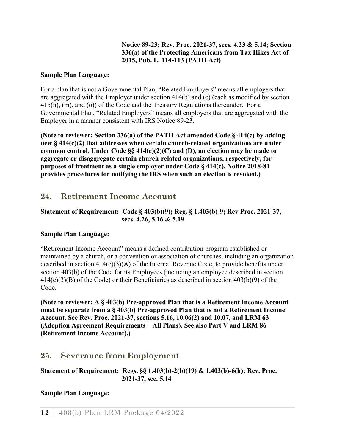## **Notice 89-23; Rev. Proc. 2021-37, secs. 4.23 & 5.14; Section 336(a) of the Protecting Americans from Tax Hikes Act of 2015, Pub. L. 114-113 (PATH Act)**

#### **Sample Plan Language:**

For a plan that is not a Governmental Plan, "Related Employers" means all employers that are aggregated with the Employer under section 414(b) and (c) (each as modified by section 415(h), (m), and (o)) of the Code and the Treasury Regulations thereunder. For a Governmental Plan, "Related Employers" means all employers that are aggregated with the Employer in a manner consistent with IRS Notice 89-23.

**(Note to reviewer: Section 336(a) of the PATH Act amended Code § 414(c) by adding new § 414(c)(2) that addresses when certain church-related organizations are under common control. Under Code §§ 414(c)(2)(C) and (D), an election may be made to aggregate or disaggregate certain church-related organizations, respectively, for purposes of treatment as a single employer under Code § 414(c). Notice 2018-81 provides procedures for notifying the IRS when such an election is revoked.)**

# <span id="page-18-0"></span>**24. Retirement Income Account**

## **Statement of Requirement: Code § 403(b)(9); Reg. § 1.403(b)-9; Rev Proc. 2021-37, secs. 4.26, 5.16 & 5.19**

## **Sample Plan Language:**

"Retirement Income Account" means a defined contribution program established or maintained by a church, or a convention or association of churches, including an organization described in section 414(e)(3)(A) of the Internal Revenue Code, to provide benefits under section 403(b) of the Code for its Employees (including an employee described in section 414(e)(3)(B) of the Code) or their Beneficiaries as described in section 403(b)(9) of the Code.

**(Note to reviewer: A § 403(b) Pre-approved Plan that is a Retirement Income Account must be separate from a § 403(b) Pre-approved Plan that is not a Retirement Income Account. See Rev. Proc. 2021-37, sections 5.16, 10.06(2) and 10.07, and LRM 63 (Adoption Agreement Requirements—All Plans). See also Part V and LRM 86 (Retirement Income Account).)**

# <span id="page-18-1"></span>**25. Severance from Employment**

## **Statement of Requirement: Regs. §§ 1.403(b)-2(b)(19) & 1.403(b)-6(h); Rev. Proc. 2021-37, sec. 5.14**

## **Sample Plan Language:**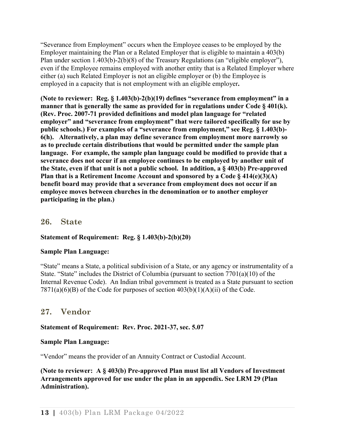"Severance from Employment" occurs when the Employee ceases to be employed by the Employer maintaining the Plan or a Related Employer that is eligible to maintain a 403(b) Plan under section 1.403(b)-2(b)(8) of the Treasury Regulations (an "eligible employer"), even if the Employee remains employed with another entity that is a Related Employer where either (a) such Related Employer is not an eligible employer or (b) the Employee is employed in a capacity that is not employment with an eligible employer**.** 

**(Note to reviewer: Reg. § 1.403(b)-2(b)(19) defines "severance from employment" in a manner that is generally the same as provided for in regulations under Code § 401(k). (Rev. Proc. 2007-71 provided definitions and model plan language for "related employer" and "severance from employment" that were tailored specifically for use by public schools.) For examples of a "severance from employment," see Reg. § 1.403(b)- 6(h). Alternatively, a plan may define severance from employment more narrowly so as to preclude certain distributions that would be permitted under the sample plan language. For example, the sample plan language could be modified to provide that a severance does not occur if an employee continues to be employed by another unit of the State, even if that unit is not a public school. In addition, a § 403(b) Pre-approved Plan that is a Retirement Income Account and sponsored by a Code § 414(e)(3)(A) benefit board may provide that a severance from employment does not occur if an employee moves between churches in the denomination or to another employer participating in the plan.)**

## <span id="page-19-0"></span>**26. State**

## **Statement of Requirement: Reg. § 1.403(b)-2(b)(20)**

## **Sample Plan Language:**

"State" means a State, a political subdivision of a State, or any agency or instrumentality of a State. "State" includes the District of Columbia (pursuant to section 7701(a)(10) of the Internal Revenue Code). An Indian tribal government is treated as a State pursuant to section  $7871(a)(6)(B)$  of the Code for purposes of section  $403(b)(1)(A)(ii)$  of the Code.

## <span id="page-19-1"></span>**27. Vendor**

## **Statement of Requirement: Rev. Proc. 2021-37, sec. 5.07**

## **Sample Plan Language:**

"Vendor" means the provider of an Annuity Contract or Custodial Account.

**(Note to reviewer: A § 403(b) Pre-approved Plan must list all Vendors of Investment Arrangements approved for use under the plan in an appendix. See LRM 29 (Plan Administration).**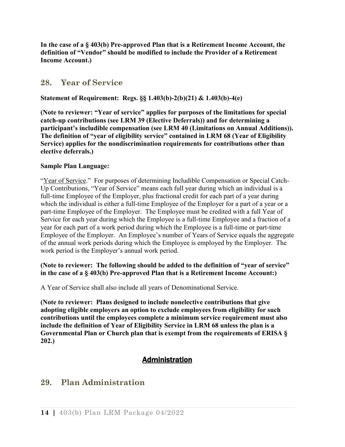**In the case of a § 403(b) Pre-approved Plan that is a Retirement Income Account, the definition of "Vendor" should be modified to include the Provider of a Retirement Income Account.)**

## <span id="page-20-0"></span>**28. Year of Service**

## **Statement of Requirement: Regs. §§ 1.403(b)-2(b)(21) & 1.403(b)-4(e)**

**(Note to reviewer: "Year of service" applies for purposes of the limitations for special catch-up contributions (see LRM 39 (Elective Deferrals)) and for determining a participant's includible compensation (see LRM 40 (Limitations on Annual Additions)). The definition of "year of eligibility service" contained in LRM 68 (Year of Eligibility Service) applies for the nondiscrimination requirements for contributions other than elective deferrals.)**

## **Sample Plan Language:**

"Year of Service." For purposes of determining Includible Compensation or Special Catch-Up Contributions, "Year of Service" means each full year during which an individual is a full-time Employee of the Employer, plus fractional credit for each part of a year during which the individual is either a full-time Employee of the Employer for a part of a year or a part-time Employee of the Employer. The Employee must be credited with a full Year of Service for each year during which the Employee is a full-time Employee and a fraction of a year for each part of a work period during which the Employee is a full-time or part-time Employee of the Employer. An Employee's number of Years of Service equals the aggregate of the annual work periods during which the Employee is employed by the Employer. The work period is the Employer's annual work period.

## **(Note to reviewer: The following should be added to the definition of "year of service" in the case of a § 403(b) Pre-approved Plan that is a Retirement Income Account:)**

A Year of Service shall also include all years of Denominational Service.

**(Note to reviewer: Plans designed to include nonelective contributions that give adopting eligible employers an option to exclude employees from eligibility for such contributions until the employees complete a minimum service requirement must also include the definition of Year of Eligibility Service in LRM 68 unless the plan is a Governmental Plan or Church plan that is exempt from the requirements of ERISA § 202.)**

# Administration

# <span id="page-20-2"></span><span id="page-20-1"></span>**29. Plan Administration**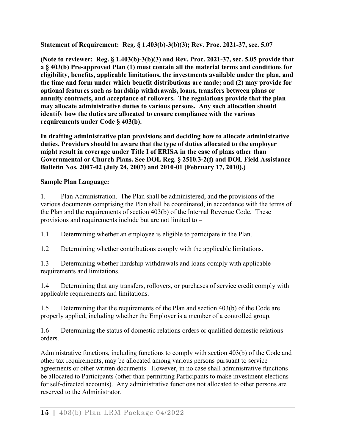**Statement of Requirement: Reg. § 1.403(b)-3(b)(3); Rev. Proc. 2021-37, sec. 5.07**

**(Note to reviewer: Reg. § 1.403(b)-3(b)(3) and Rev. Proc. 2021-37, sec. 5.05 provide that a § 403(b) Pre-approved Plan (1) must contain all the material terms and conditions for eligibility, benefits, applicable limitations, the investments available under the plan, and the time and form under which benefit distributions are made; and (2) may provide for optional features such as hardship withdrawals, loans, transfers between plans or annuity contracts, and acceptance of rollovers. The regulations provide that the plan may allocate administrative duties to various persons. Any such allocation should identify how the duties are allocated to ensure compliance with the various requirements under Code § 403(b).**

**In drafting administrative plan provisions and deciding how to allocate administrative duties, Providers should be aware that the type of duties allocated to the employer might result in coverage under Title I of ERISA in the case of plans other than Governmental or Church Plans. See DOL Reg. § 2510.3-2(f) and DOL Field Assistance Bulletin Nos. 2007-02 (July 24, 2007) and 2010-01 (February 17, 2010).)**

## **Sample Plan Language:**

1. Plan Administration. The Plan shall be administered, and the provisions of the various documents comprising the Plan shall be coordinated, in accordance with the terms of the Plan and the requirements of section 403(b) of the Internal Revenue Code. These provisions and requirements include but are not limited to –

1.1 Determining whether an employee is eligible to participate in the Plan.

1.2 Determining whether contributions comply with the applicable limitations.

1.3 Determining whether hardship withdrawals and loans comply with applicable requirements and limitations.

1.4 Determining that any transfers, rollovers, or purchases of service credit comply with applicable requirements and limitations.

1.5 Determining that the requirements of the Plan and section 403(b) of the Code are properly applied, including whether the Employer is a member of a controlled group.

1.6 Determining the status of domestic relations orders or qualified domestic relations orders.

Administrative functions, including functions to comply with section 403(b) of the Code and other tax requirements, may be allocated among various persons pursuant to service agreements or other written documents. However, in no case shall administrative functions be allocated to Participants (other than permitting Participants to make investment elections for self-directed accounts). Any administrative functions not allocated to other persons are reserved to the Administrator.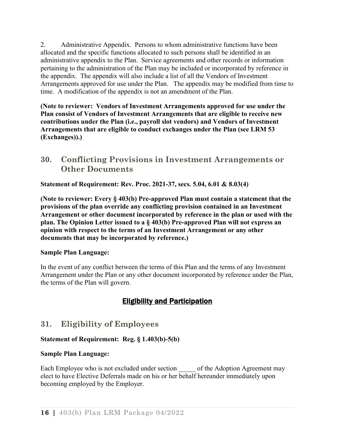2. Administrative Appendix. Persons to whom administrative functions have been allocated and the specific functions allocated to such persons shall be identified in an administrative appendix to the Plan. Service agreements and other records or information pertaining to the administration of the Plan may be included or incorporated by reference in the appendix. The appendix will also include a list of all the Vendors of Investment Arrangements approved for use under the Plan. The appendix may be modified from time to time. A modification of the appendix is not an amendment of the Plan.

**(Note to reviewer: Vendors of Investment Arrangements approved for use under the Plan consist of Vendors of Investment Arrangements that are eligible to receive new contributions under the Plan (i.e., payroll slot vendors) and Vendors of Investment Arrangements that are eligible to conduct exchanges under the Plan (see LRM 53 (Exchanges)).)**

# <span id="page-22-0"></span>**30. Conflicting Provisions in Investment Arrangements or Other Documents**

**Statement of Requirement: Rev. Proc. 2021-37, secs. 5.04, 6.01 & 8.03(4)**

**(Note to reviewer: Every § 403(b) Pre-approved Plan must contain a statement that the provisions of the plan override any conflicting provision contained in an Investment Arrangement or other document incorporated by reference in the plan or used with the plan. The Opinion Letter issued to a § 403(b) Pre-approved Plan will not express an opinion with respect to the terms of an Investment Arrangement or any other documents that may be incorporated by reference.)**

## **Sample Plan Language:**

<span id="page-22-1"></span>In the event of any conflict between the terms of this Plan and the terms of any Investment Arrangement under the Plan or any other document incorporated by reference under the Plan, the terms of the Plan will govern.

# Eligibility and Participation

# <span id="page-22-2"></span>**31. Eligibility of Employees**

## **Statement of Requirement: Reg. § 1.403(b)-5(b)**

## **Sample Plan Language:**

Each Employee who is not excluded under section of the Adoption Agreement may elect to have Elective Deferrals made on his or her behalf hereunder immediately upon becoming employed by the Employer.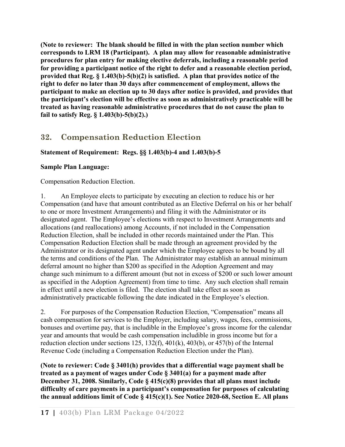**(Note to reviewer: The blank should be filled in with the plan section number which corresponds to LRM 18 (Participant). A plan may allow for reasonable administrative procedures for plan entry for making elective deferrals, including a reasonable period for providing a participant notice of the right to defer and a reasonable election period, provided that Reg. § 1.403(b)-5(b)(2) is satisfied. A plan that provides notice of the right to defer no later than 30 days after commencement of employment, allows the participant to make an election up to 30 days after notice is provided, and provides that the participant's election will be effective as soon as administratively practicable will be treated as having reasonable administrative procedures that do not cause the plan to fail to satisfy Reg. § 1.403(b)-5(b)(2).)**

# <span id="page-23-0"></span>**32. Compensation Reduction Election**

## **Statement of Requirement: Regs. §§ 1.403(b)-4 and 1.403(b)-5**

## **Sample Plan Language:**

Compensation Reduction Election.

1. An Employee elects to participate by executing an election to reduce his or her Compensation (and have that amount contributed as an Elective Deferral on his or her behalf to one or more Investment Arrangements) and filing it with the Administrator or its designated agent. The Employee's elections with respect to Investment Arrangements and allocations (and reallocations) among Accounts, if not included in the Compensation Reduction Election, shall be included in other records maintained under the Plan. This Compensation Reduction Election shall be made through an agreement provided by the Administrator or its designated agent under which the Employee agrees to be bound by all the terms and conditions of the Plan. The Administrator may establish an annual minimum deferral amount no higher than \$200 as specified in the Adoption Agreement and may change such minimum to a different amount (but not in excess of \$200 or such lower amount as specified in the Adoption Agreement) from time to time. Any such election shall remain in effect until a new election is filed. The election shall take effect as soon as administratively practicable following the date indicated in the Employee's election.

2. For purposes of the Compensation Reduction Election, "Compensation" means all cash compensation for services to the Employer, including salary, wages, fees, commissions, bonuses and overtime pay, that is includible in the Employee's gross income for the calendar year and amounts that would be cash compensation includible in gross income but for a reduction election under sections 125, 132(f), 401(k), 403(b), or 457(b) of the Internal Revenue Code (including a Compensation Reduction Election under the Plan).

**(Note to reviewer: Code § 3401(h) provides that a differential wage payment shall be treated as a payment of wages under Code § 3401(a) for a payment made after December 31, 2008. Similarly, Code § 415(c)(8) provides that all plans must include difficulty of care payments in a participant's compensation for purposes of calculating the annual additions limit of Code § 415(c)(1). See Notice 2020-68, Section E. All plans**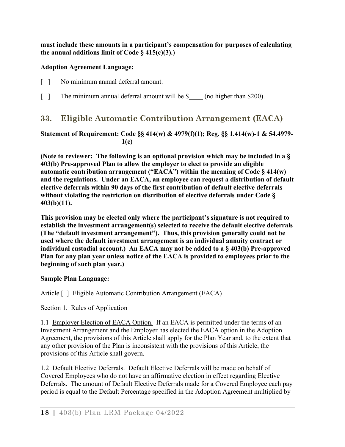**must include these amounts in a participant's compensation for purposes of calculating the annual additions limit of Code § 415(c)(3).)**

## **Adoption Agreement Language:**

- [ ] No minimum annual deferral amount.
- <span id="page-24-0"></span>[ ] The minimum annual deferral amount will be \$ (no higher than \$200).

# **33. Eligible Automatic Contribution Arrangement (EACA)**

## **Statement of Requirement: Code §§ 414(w) & 4979(f)(1); Reg. §§ 1.414(w)-1 & 54.4979- 1(c)**

**(Note to reviewer: The following is an optional provision which may be included in a § 403(b) Pre-approved Plan to allow the employer to elect to provide an eligible automatic contribution arrangement ("EACA") within the meaning of Code § 414(w) and the regulations. Under an EACA, an employee can request a distribution of default elective deferrals within 90 days of the first contribution of default elective deferrals without violating the restriction on distribution of elective deferrals under Code § 403(b)(11).**

**This provision may be elected only where the participant's signature is not required to establish the investment arrangement(s) selected to receive the default elective deferrals (The "default investment arrangement"). Thus, this provision generally could not be used where the default investment arrangement is an individual annuity contract or individual custodial account.) An EACA may not be added to a § 403(b) Pre-approved Plan for any plan year unless notice of the EACA is provided to employees prior to the beginning of such plan year.)**

## **Sample Plan Language:**

Article [ ] Eligible Automatic Contribution Arrangement (EACA)

Section 1. Rules of Application

1.1 Employer Election of EACA Option. If an EACA is permitted under the terms of an Investment Arrangement and the Employer has elected the EACA option in the Adoption Agreement, the provisions of this Article shall apply for the Plan Year and, to the extent that any other provision of the Plan is inconsistent with the provisions of this Article, the provisions of this Article shall govern.

1.2 Default Elective Deferrals. Default Elective Deferrals will be made on behalf of Covered Employees who do not have an affirmative election in effect regarding Elective Deferrals. The amount of Default Elective Deferrals made for a Covered Employee each pay period is equal to the Default Percentage specified in the Adoption Agreement multiplied by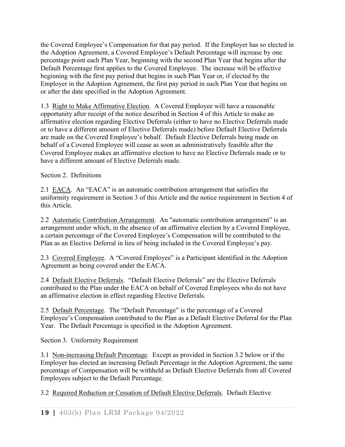the Covered Employee's Compensation for that pay period. If the Employer has so elected in the Adoption Agreement, a Covered Employee's Default Percentage will increase by one percentage point each Plan Year, beginning with the second Plan Year that begins after the Default Percentage first applies to the Covered Employee. The increase will be effective beginning with the first pay period that begins in such Plan Year or, if elected by the Employer in the Adoption Agreement, the first pay period in such Plan Year that begins on or after the date specified in the Adoption Agreement.

1.3 Right to Make Affirmative Election. A Covered Employee will have a reasonable opportunity after receipt of the notice described in Section 4 of this Article to make an affirmative election regarding Elective Deferrals (either to have no Elective Deferrals made or to have a different amount of Elective Deferrals made) before Default Elective Deferrals are made on the Covered Employee's behalf. Default Elective Deferrals being made on behalf of a Covered Employee will cease as soon as administratively feasible after the Covered Employee makes an affirmative election to have no Elective Deferrals made or to have a different amount of Elective Deferrals made.

Section 2. Definitions

2.1 EACA. An "EACA" is an automatic contribution arrangement that satisfies the uniformity requirement in Section 3 of this Article and the notice requirement in Section 4 of this Article.

2.2 Automatic Contribution Arrangement. An "automatic contribution arrangement" is an arrangement under which, in the absence of an affirmative election by a Covered Employee, a certain percentage of the Covered Employee's Compensation will be contributed to the Plan as an Elective Deferral in lieu of being included in the Covered Employee's pay.

2.3 Covered Employee. A "Covered Employee" is a Participant identified in the Adoption Agreement as being covered under the EACA.

2.4 Default Elective Deferrals. "Default Elective Deferrals" are the Elective Deferrals contributed to the Plan under the EACA on behalf of Covered Employees who do not have an affirmative election in effect regarding Elective Deferrals.

2.5 Default Percentage. The "Default Percentage" is the percentage of a Covered Employee's Compensation contributed to the Plan as a Default Elective Deferral for the Plan Year. The Default Percentage is specified in the Adoption Agreement.

Section 3. Uniformity Requirement

3.1 Non-increasing Default Percentage. Except as provided in Section 3.2 below or if the Employer has elected an increasing Default Percentage in the Adoption Agreement, the same percentage of Compensation will be withheld as Default Elective Deferrals from all Covered Employees subject to the Default Percentage.

3.2 Required Reduction or Cessation of Default Elective Deferrals. Default Elective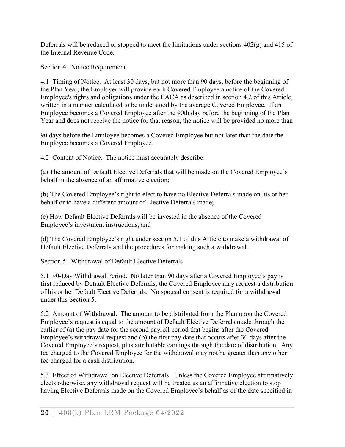Deferrals will be reduced or stopped to meet the limitations under sections  $402(g)$  and  $415$  of the Internal Revenue Code.

Section 4. Notice Requirement

4.1 Timing of Notice. At least 30 days, but not more than 90 days, before the beginning of the Plan Year, the Employer will provide each Covered Employee a notice of the Covered Employee's rights and obligations under the EACA as described in section 4.2 of this Article, written in a manner calculated to be understood by the average Covered Employee. If an Employee becomes a Covered Employee after the 90th day before the beginning of the Plan Year and does not receive the notice for that reason, the notice will be provided no more than

90 days before the Employee becomes a Covered Employee but not later than the date the Employee becomes a Covered Employee.

4.2 Content of Notice. The notice must accurately describe:

(a) The amount of Default Elective Deferrals that will be made on the Covered Employee's behalf in the absence of an affirmative election;

(b) The Covered Employee's right to elect to have no Elective Deferrals made on his or her behalf or to have a different amount of Elective Deferrals made;

(c) How Default Elective Deferrals will be invested in the absence of the Covered Employee's investment instructions; and

(d) The Covered Employee's right under section 5.1 of this Article to make a withdrawal of Default Elective Deferrals and the procedures for making such a withdrawal.

Section 5. Withdrawal of Default Elective Deferrals

5.1 90-Day Withdrawal Period. No later than 90 days after a Covered Employee's pay is first reduced by Default Elective Deferrals, the Covered Employee may request a distribution of his or her Default Elective Deferrals. No spousal consent is required for a withdrawal under this Section 5.

5.2 Amount of Withdrawal. The amount to be distributed from the Plan upon the Covered Employee's request is equal to the amount of Default Elective Deferrals made through the earlier of (a) the pay date for the second payroll period that begins after the Covered Employee's withdrawal request and (b) the first pay date that occurs after 30 days after the Covered Employee's request, plus attributable earnings through the date of distribution. Any fee charged to the Covered Employee for the withdrawal may not be greater than any other fee charged for a cash distribution.

5.3 Effect of Withdrawal on Elective Deferrals. Unless the Covered Employee affirmatively elects otherwise, any withdrawal request will be treated as an affirmative election to stop having Elective Deferrals made on the Covered Employee's behalf as of the date specified in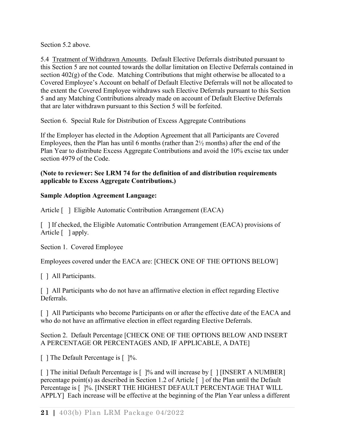Section 5.2 above.

5.4 Treatment of Withdrawn Amounts. Default Elective Deferrals distributed pursuant to this Section 5 are not counted towards the dollar limitation on Elective Deferrals contained in section 402(g) of the Code. Matching Contributions that might otherwise be allocated to a Covered Employee's Account on behalf of Default Elective Deferrals will not be allocated to the extent the Covered Employee withdraws such Elective Deferrals pursuant to this Section 5 and any Matching Contributions already made on account of Default Elective Deferrals that are later withdrawn pursuant to this Section 5 will be forfeited.

Section 6. Special Rule for Distribution of Excess Aggregate Contributions

If the Employer has elected in the Adoption Agreement that all Participants are Covered Employees, then the Plan has until 6 months (rather than 2½ months) after the end of the Plan Year to distribute Excess Aggregate Contributions and avoid the 10% excise tax under section 4979 of the Code.

## **(Note to reviewer: See LRM 74 for the definition of and distribution requirements applicable to Excess Aggregate Contributions.)**

## **Sample Adoption Agreement Language:**

Article [ ] Eligible Automatic Contribution Arrangement (EACA)

[ ] If checked, the Eligible Automatic Contribution Arrangement (EACA) provisions of Article [ ] apply.

Section 1. Covered Employee

Employees covered under the EACA are: [CHECK ONE OF THE OPTIONS BELOW]

[ ] All Participants.

[ ] All Participants who do not have an affirmative election in effect regarding Elective Deferrals.

[] All Participants who become Participants on or after the effective date of the EACA and who do not have an affirmative election in effect regarding Elective Deferrals.

## Section 2. Default Percentage [CHECK ONE OF THE OPTIONS BELOW AND INSERT A PERCENTAGE OR PERCENTAGES AND, IF APPLICABLE, A DATE]

[ ] The Default Percentage is [ ]%.

[ ] The initial Default Percentage is [ ]% and will increase by [ ] [INSERT A NUMBER] percentage point(s) as described in Section 1.2 of Article [ ] of the Plan until the Default Percentage is [ ]%. [INSERT THE HIGHEST DEFAULT PERCENTAGE THAT WILL APPLY] Each increase will be effective at the beginning of the Plan Year unless a different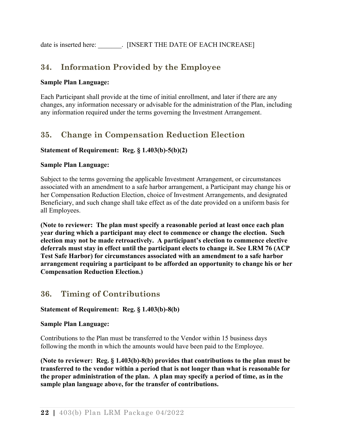<span id="page-28-0"></span>date is inserted here: <br> . [INSERT THE DATE OF EACH INCREASE]

# **34. Information Provided by the Employee**

## **Sample Plan Language:**

Each Participant shall provide at the time of initial enrollment, and later if there are any changes, any information necessary or advisable for the administration of the Plan, including any information required under the terms governing the Investment Arrangement.

# <span id="page-28-1"></span>**35. Change in Compensation Reduction Election**

## **Statement of Requirement: Reg. § 1.403(b)-5(b)(2)**

#### **Sample Plan Language:**

Subject to the terms governing the applicable Investment Arrangement, or circumstances associated with an amendment to a safe harbor arrangement, a Participant may change his or her Compensation Reduction Election, choice of Investment Arrangements, and designated Beneficiary, and such change shall take effect as of the date provided on a uniform basis for all Employees.

**(Note to reviewer: The plan must specify a reasonable period at least once each plan year during which a participant may elect to commence or change the election. Such election may not be made retroactively. A participant's election to commence elective deferrals must stay in effect until the participant elects to change it. See LRM 76 (ACP Test Safe Harbor) for circumstances associated with an amendment to a safe harbor arrangement requiring a participant to be afforded an opportunity to change his or her Compensation Reduction Election.)**

## <span id="page-28-2"></span>**36. Timing of Contributions**

#### **Statement of Requirement: Reg. § 1.403(b)-8(b)**

#### **Sample Plan Language:**

Contributions to the Plan must be transferred to the Vendor within 15 business days following the month in which the amounts would have been paid to the Employee.

**(Note to reviewer: Reg. § 1.403(b)-8(b) provides that contributions to the plan must be transferred to the vendor within a period that is not longer than what is reasonable for the proper administration of the plan. A plan may specify a period of time, as in the sample plan language above, for the transfer of contributions.**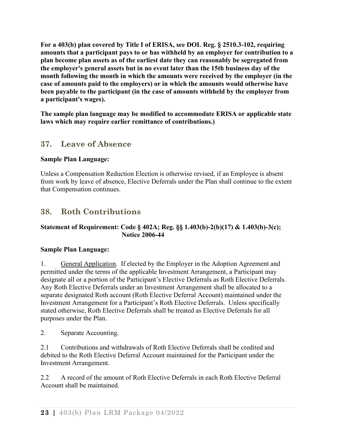**For a 403(b) plan covered by Title I of ERISA, see DOL Reg. § 2510.3-102, requiring amounts that a participant pays to or has withheld by an employer for contribution to a plan become plan assets as of the earliest date they can reasonably be segregated from the employer's general assets but in no event later than the 15th business day of the month following the month in which the amounts were received by the employer (in the case of amounts paid to the employers) or in which the amounts would otherwise have been payable to the participant (in the case of amounts withheld by the employer from a participant's wages).**

**The sample plan language may be modified to accommodate ERISA or applicable state laws which may require earlier remittance of contributions.)**

# <span id="page-29-0"></span>**37. Leave of Absence**

## **Sample Plan Language:**

Unless a Compensation Reduction Election is otherwise revised, if an Employee is absent from work by leave of absence, Elective Deferrals under the Plan shall continue to the extent that Compensation continues.

# <span id="page-29-1"></span>**38. Roth Contributions**

## **Statement of Requirement: Code § 402A; Reg. §§ 1.403(b)-2(b)(17) & 1.403(b)-3(c); Notice 2006-44**

## **Sample Plan Language:**

1. General Application. If elected by the Employer in the Adoption Agreement and permitted under the terms of the applicable Investment Arrangement, a Participant may designate all or a portion of the Participant's Elective Deferrals as Roth Elective Deferrals. Any Roth Elective Deferrals under an Investment Arrangement shall be allocated to a separate designated Roth account (Roth Elective Deferral Account) maintained under the Investment Arrangement for a Participant's Roth Elective Deferrals. Unless specifically stated otherwise, Roth Elective Deferrals shall be treated as Elective Deferrals for all purposes under the Plan.

2. Separate Accounting.

2.1 Contributions and withdrawals of Roth Elective Deferrals shall be credited and debited to the Roth Elective Deferral Account maintained for the Participant under the Investment Arrangement.

2.2 A record of the amount of Roth Elective Deferrals in each Roth Elective Deferral Account shall be maintained.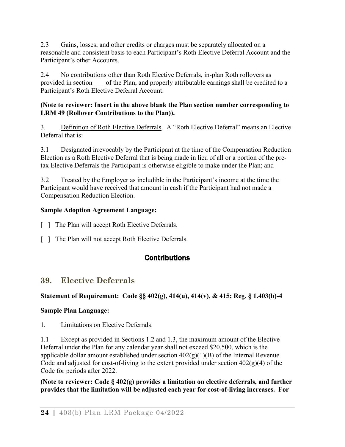2.3 Gains, losses, and other credits or charges must be separately allocated on a reasonable and consistent basis to each Participant's Roth Elective Deferral Account and the Participant's other Accounts.

2.4 No contributions other than Roth Elective Deferrals, in-plan Roth rollovers as provided in section of the Plan, and properly attributable earnings shall be credited to a Participant's Roth Elective Deferral Account.

## **(Note to reviewer: Insert in the above blank the Plan section number corresponding to LRM 49 (Rollover Contributions to the Plan)).**

3. Definition of Roth Elective Deferrals. A "Roth Elective Deferral" means an Elective Deferral that is:

3.1 Designated irrevocably by the Participant at the time of the Compensation Reduction Election as a Roth Elective Deferral that is being made in lieu of all or a portion of the pretax Elective Deferrals the Participant is otherwise eligible to make under the Plan; and

3.2 Treated by the Employer as includible in the Participant's income at the time the Participant would have received that amount in cash if the Participant had not made a Compensation Reduction Election.

## **Sample Adoption Agreement Language:**

- [ ] The Plan will accept Roth Elective Deferrals.
- <span id="page-30-0"></span>[ ] The Plan will not accept Roth Elective Deferrals.

# **Contributions**

# <span id="page-30-1"></span>**39. Elective Deferrals**

## **Statement of Requirement: Code §§ 402(g), 414(u), 414(v), & 415; Reg. § 1.403(b)-4**

## **Sample Plan Language:**

1. Limitations on Elective Deferrals.

1.1 Except as provided in Sections 1.2 and 1.3, the maximum amount of the Elective Deferral under the Plan for any calendar year shall not exceed \$20,500, which is the applicable dollar amount established under section  $402(g)(1)(B)$  of the Internal Revenue Code and adjusted for cost-of-living to the extent provided under section  $402(g)(4)$  of the Code for periods after 2022.

**(Note to reviewer: Code § 402(g) provides a limitation on elective deferrals, and further provides that the limitation will be adjusted each year for cost-of-living increases. For**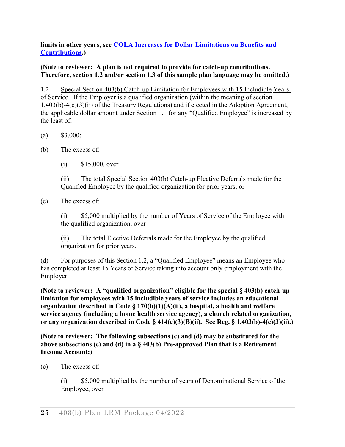**limits in other years, see [COLA Increases for Dollar Limitations on Benefits and](http://www.irs.gov/Retirement-Plans/COLA-Increases-for-Dollar-Limitations-on-Benefits-and-Contributions)  [Contributions.](http://www.irs.gov/Retirement-Plans/COLA-Increases-for-Dollar-Limitations-on-Benefits-and-Contributions))**

## **(Note to reviewer: A plan is not required to provide for catch-up contributions. Therefore, section 1.2 and/or section 1.3 of this sample plan language may be omitted.)**

1.2 Special Section 403(b) Catch-up Limitation for Employees with 15 Includible Years of Service. If the Employer is a qualified organization (within the meaning of section 1.403(b)-4(c)(3)(ii) of the Treasury Regulations) and if elected in the Adoption Agreement, the applicable dollar amount under Section 1.1 for any "Qualified Employee" is increased by the least of:

- (a)  $$3,000;$
- (b) The excess of:
	- (i) \$15,000, over

(ii) The total Special Section 403(b) Catch-up Elective Deferrals made for the Qualified Employee by the qualified organization for prior years; or

(c) The excess of:

(i) \$5,000 multiplied by the number of Years of Service of the Employee with the qualified organization, over

(ii) The total Elective Deferrals made for the Employee by the qualified organization for prior years.

(d) For purposes of this Section 1.2, a "Qualified Employee" means an Employee who has completed at least 15 Years of Service taking into account only employment with the Employer.

**(Note to reviewer: A "qualified organization" eligible for the special § 403(b) catch-up limitation for employees with 15 includible years of service includes an educational organization described in Code § 170(b)(1)(A)(ii), a hospital, a health and welfare service agency (including a home health service agency), a church related organization, or any organization described in Code § 414(e)(3)(B)(ii). See Reg. § 1.403(b)-4(c)(3)(ii).)** 

**(Note to reviewer: The following subsections (c) and (d) may be substituted for the above subsections (c) and (d) in a § 403(b) Pre-approved Plan that is a Retirement Income Account:)**

(c) The excess of:

(i) \$5,000 multiplied by the number of years of Denominational Service of the Employee, over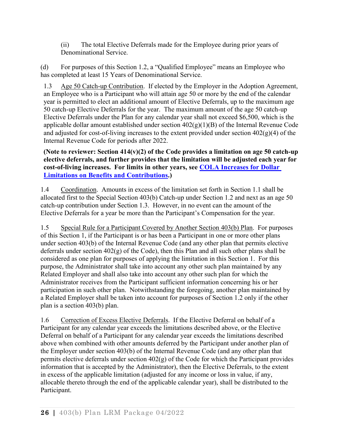(ii) The total Elective Deferrals made for the Employee during prior years of Denominational Service.

(d) For purposes of this Section 1.2, a "Qualified Employee" means an Employee who has completed at least 15 Years of Denominational Service.

1.3 Age 50 Catch-up Contribution. If elected by the Employer in the Adoption Agreement, an Employee who is a Participant who will attain age 50 or more by the end of the calendar year is permitted to elect an additional amount of Elective Deferrals, up to the maximum age 50 catch-up Elective Deferrals for the year. The maximum amount of the age 50 catch-up Elective Deferrals under the Plan for any calendar year shall not exceed \$6,500, which is the applicable dollar amount established under section  $402(g)(1)(B)$  of the Internal Revenue Code and adjusted for cost-of-living increases to the extent provided under section  $402(g)(4)$  of the Internal Revenue Code for periods after 2022.

**(Note to reviewer: Section 414(v)(2) of the Code provides a limitation on age 50 catch-up elective deferrals, and further provides that the limitation will be adjusted each year for cost-of-living increases. For limits in other years, see [COLA Increases for Dollar](http://www.irs.gov/Retirement-Plans/COLA-Increases-for-Dollar-Limitations-on-Benefits-and-Contributions)  [Limitations on Benefits and Contributions.](http://www.irs.gov/Retirement-Plans/COLA-Increases-for-Dollar-Limitations-on-Benefits-and-Contributions))**

1.4 Coordination. Amounts in excess of the limitation set forth in Section 1.1 shall be allocated first to the Special Section 403(b) Catch-up under Section 1.2 and next as an age 50 catch-up contribution under Section 1.3. However, in no event can the amount of the Elective Deferrals for a year be more than the Participant's Compensation for the year.

1.5 Special Rule for a Participant Covered by Another Section 403(b) Plan. For purposes of this Section 1, if the Participant is or has been a Participant in one or more other plans under section 403(b) of the Internal Revenue Code (and any other plan that permits elective deferrals under section 402(g) of the Code), then this Plan and all such other plans shall be considered as one plan for purposes of applying the limitation in this Section 1. For this purpose, the Administrator shall take into account any other such plan maintained by any Related Employer and shall also take into account any other such plan for which the Administrator receives from the Participant sufficient information concerning his or her participation in such other plan. Notwithstanding the foregoing, another plan maintained by a Related Employer shall be taken into account for purposes of Section 1.2 only if the other plan is a section 403(b) plan.

1.6 Correction of Excess Elective Deferrals. If the Elective Deferral on behalf of a Participant for any calendar year exceeds the limitations described above, or the Elective Deferral on behalf of a Participant for any calendar year exceeds the limitations described above when combined with other amounts deferred by the Participant under another plan of the Employer under section 403(b) of the Internal Revenue Code (and any other plan that permits elective deferrals under section 402(g) of the Code for which the Participant provides information that is accepted by the Administrator), then the Elective Deferrals, to the extent in excess of the applicable limitation (adjusted for any income or loss in value, if any, allocable thereto through the end of the applicable calendar year), shall be distributed to the Participant.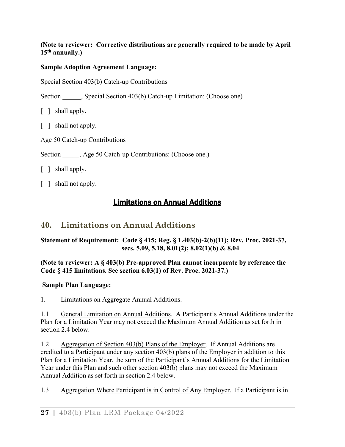## **(Note to reviewer: Corrective distributions are generally required to be made by April 15th annually.)**

## **Sample Adoption Agreement Language:**

Special Section 403(b) Catch-up Contributions

Section \_\_\_\_\_\_, Special Section 403(b) Catch-up Limitation: (Choose one)

[ ] shall apply.

- [ ] shall not apply.
- Age 50 Catch-up Contributions

Section , Age 50 Catch-up Contributions: (Choose one.)

[ ] shall apply.

<span id="page-33-0"></span>[ ] shall not apply.

# Limitations on Annual Additions

# <span id="page-33-1"></span>**40. Limitations on Annual Additions**

## **Statement of Requirement: Code § 415; Reg. § 1.403(b)-2(b)(11); Rev. Proc. 2021-37, secs. 5.09, 5.18, 8.01(2); 8.02(1)(b) & 8.04**

## **(Note to reviewer: A § 403(b) Pre-approved Plan cannot incorporate by reference the Code § 415 limitations. See section 6.03(1) of Rev. Proc. 2021-37.)**

## **Sample Plan Language:**

1. Limitations on Aggregate Annual Additions.

1.1 General Limitation on Annual Additions. A Participant's Annual Additions under the Plan for a Limitation Year may not exceed the Maximum Annual Addition as set forth in section 2.4 below.

1.2 Aggregation of Section 403(b) Plans of the Employer. If Annual Additions are credited to a Participant under any section 403(b) plans of the Employer in addition to this Plan for a Limitation Year, the sum of the Participant's Annual Additions for the Limitation Year under this Plan and such other section 403(b) plans may not exceed the Maximum Annual Addition as set forth in section 2.4 below.

1.3 Aggregation Where Participant is in Control of Any Employer. If a Participant is in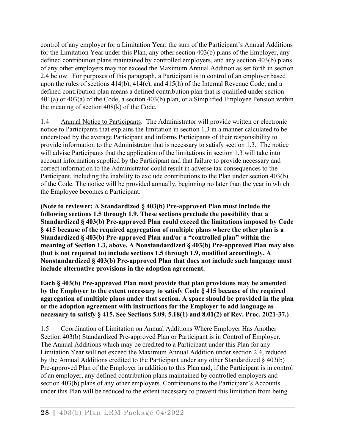control of any employer for a Limitation Year, the sum of the Participant's Annual Additions for the Limitation Year under this Plan, any other section 403(b) plans of the Employer, any defined contribution plans maintained by controlled employers, and any section 403(b) plans of any other employers may not exceed the Maximum Annual Addition as set forth in section 2.4 below. For purposes of this paragraph, a Participant is in control of an employer based upon the rules of sections 414(b), 414(c), and 415(h) of the Internal Revenue Code; and a defined contribution plan means a defined contribution plan that is qualified under section 401(a) or 403(a) of the Code, a section 403(b) plan, or a Simplified Employee Pension within the meaning of section 408(k) of the Code.

1.4 Annual Notice to Participants. The Administrator will provide written or electronic notice to Participants that explains the limitation in section 1.3 in a manner calculated to be understood by the average Participant and informs Participants of their responsibility to provide information to the Administrator that is necessary to satisfy section 1.3. The notice will advise Participants that the application of the limitations in section 1.3 will take into account information supplied by the Participant and that failure to provide necessary and correct information to the Administrator could result in adverse tax consequences to the Participant, including the inability to exclude contributions to the Plan under section 403(b) of the Code. The notice will be provided annually, beginning no later than the year in which the Employee becomes a Participant.

**(Note to reviewer: A Standardized § 403(b) Pre-approved Plan must include the following sections 1.5 through 1.9. These sections preclude the possibility that a Standardized § 403(b) Pre-approved Plan could exceed the limitations imposed by Code § 415 because of the required aggregation of multiple plans where the other plan is a Standardized § 403(b) Pre-approved Plan and/or a "controlled plan" within the meaning of Section 1.3, above. A Nonstandardized § 403(b) Pre-approved Plan may also (but is not required to) include sections 1.5 through 1.9, modified accordingly. A Nonstandardized § 403(b) Pre-approved Plan that does not include such language must include alternative provisions in the adoption agreement.** 

**Each § 403(b) Pre-approved Plan must provide that plan provisions may be amended by the Employer to the extent necessary to satisfy Code § 415 because of the required aggregation of multiple plans under that section. A space should be provided in the plan or the adoption agreement with instructions for the Employer to add language as necessary to satisfy § 415. See Sections 5.09, 5.18(1) and 8.01(2) of Rev. Proc. 2021-37.)**

1.5 Coordination of Limitation on Annual Additions Where Employer Has Another Section 403(b) Standardized Pre-approved Plan or Participant is in Control of Employer. The Annual Additions which may be credited to a Participant under this Plan for any Limitation Year will not exceed the Maximum Annual Addition under section 2.4, reduced by the Annual Additions credited to the Participant under any other Standardized § 403(b) Pre-approved Plan of the Employer in addition to this Plan and, if the Participant is in control of an employer, any defined contribution plans maintained by controlled employers and section 403(b) plans of any other employers. Contributions to the Participant's Accounts under this Plan will be reduced to the extent necessary to prevent this limitation from being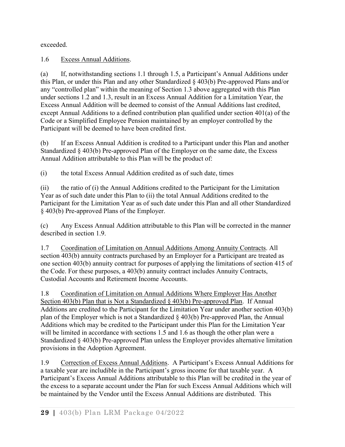exceeded.

1.6 Excess Annual Additions.

(a) If, notwithstanding sections 1.1 through 1.5, a Participant's Annual Additions under this Plan, or under this Plan and any other Standardized § 403(b) Pre-approved Plans and/or any "controlled plan" within the meaning of Section 1.3 above aggregated with this Plan under sections 1.2 and 1.3, result in an Excess Annual Addition for a Limitation Year, the Excess Annual Addition will be deemed to consist of the Annual Additions last credited, except Annual Additions to a defined contribution plan qualified under section 401(a) of the Code or a Simplified Employee Pension maintained by an employer controlled by the Participant will be deemed to have been credited first.

(b) If an Excess Annual Addition is credited to a Participant under this Plan and another Standardized § 403(b) Pre-approved Plan of the Employer on the same date, the Excess Annual Addition attributable to this Plan will be the product of:

(i) the total Excess Annual Addition credited as of such date, times

(ii) the ratio of (i) the Annual Additions credited to the Participant for the Limitation Year as of such date under this Plan to (ii) the total Annual Additions credited to the Participant for the Limitation Year as of such date under this Plan and all other Standardized § 403(b) Pre-approved Plans of the Employer.

(c) Any Excess Annual Addition attributable to this Plan will be corrected in the manner described in section 1.9.

1.7 Coordination of Limitation on Annual Additions Among Annuity Contracts. All section 403(b) annuity contracts purchased by an Employer for a Participant are treated as one section 403(b) annuity contract for purposes of applying the limitations of section 415 of the Code. For these purposes, a 403(b) annuity contract includes Annuity Contracts, Custodial Accounts and Retirement Income Accounts.

1.8 Coordination of Limitation on Annual Additions Where Employer Has Another Section 403(b) Plan that is Not a Standardized § 403(b) Pre-approved Plan. If Annual Additions are credited to the Participant for the Limitation Year under another section 403(b) plan of the Employer which is not a Standardized § 403(b) Pre-approved Plan, the Annual Additions which may be credited to the Participant under this Plan for the Limitation Year will be limited in accordance with sections 1.5 and 1.6 as though the other plan were a Standardized § 403(b) Pre-approved Plan unless the Employer provides alternative limitation provisions in the Adoption Agreement.

1.9 Correction of Excess Annual Additions. A Participant's Excess Annual Additions for a taxable year are includible in the Participant's gross income for that taxable year. A Participant's Excess Annual Additions attributable to this Plan will be credited in the year of the excess to a separate account under the Plan for such Excess Annual Additions which will be maintained by the Vendor until the Excess Annual Additions are distributed. This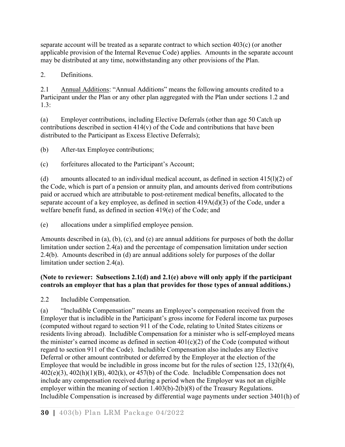separate account will be treated as a separate contract to which section  $403(c)$  (or another applicable provision of the Internal Revenue Code) applies. Amounts in the separate account may be distributed at any time, notwithstanding any other provisions of the Plan.

2. Definitions.

2.1 Annual Additions: "Annual Additions" means the following amounts credited to a Participant under the Plan or any other plan aggregated with the Plan under sections 1.2 and 1.3:

(a) Employer contributions, including Elective Deferrals (other than age 50 Catch up contributions described in section 414(v) of the Code and contributions that have been distributed to the Participant as Excess Elective Deferrals);

(b) After-tax Employee contributions;

(c) forfeitures allocated to the Participant's Account;

(d) amounts allocated to an individual medical account, as defined in section  $415(1)(2)$  of the Code, which is part of a pension or annuity plan, and amounts derived from contributions paid or accrued which are attributable to post-retirement medical benefits, allocated to the separate account of a key employee, as defined in section 419A(d)(3) of the Code, under a welfare benefit fund, as defined in section 419(e) of the Code; and

(e) allocations under a simplified employee pension.

Amounts described in (a), (b), (c), and (e) are annual additions for purposes of both the dollar limitation under section 2.4(a) and the percentage of compensation limitation under section 2.4(b). Amounts described in (d) are annual additions solely for purposes of the dollar limitation under section 2.4(a).

## **(Note to reviewer: Subsections 2.1(d) and 2.1(e) above will only apply if the participant controls an employer that has a plan that provides for those types of annual additions.)**

2.2 Includible Compensation.

(a) "Includible Compensation" means an Employee's compensation received from the Employer that is includible in the Participant's gross income for Federal income tax purposes (computed without regard to section 911 of the Code, relating to United States citizens or residents living abroad). Includible Compensation for a minister who is self-employed means the minister's earned income as defined in section  $401(c)(2)$  of the Code (computed without regard to section 911 of the Code). Includible Compensation also includes any Elective Deferral or other amount contributed or deferred by the Employer at the election of the Employee that would be includible in gross income but for the rules of section 125, 132(f)(4),  $402(e)(3)$ ,  $402(h)(1)(B)$ ,  $402(k)$ , or  $457(b)$  of the Code. Includible Compensation does not include any compensation received during a period when the Employer was not an eligible employer within the meaning of section 1.403(b)-2(b)(8) of the Treasury Regulations. Includible Compensation is increased by differential wage payments under section 3401(h) of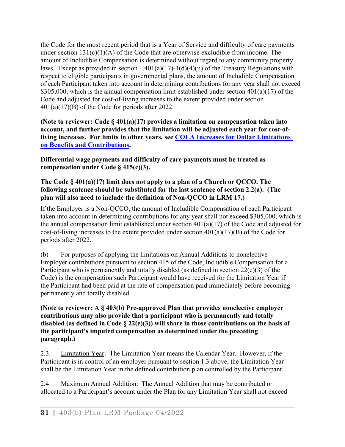the Code for the most recent period that is a Year of Service and difficulty of care payments under section  $131(c)(1)(A)$  of the Code that are otherwise excludible from income. The amount of Includible Compensation is determined without regard to any community property laws. Except as provided in section 1.401(a)(17)-1(d)(4)(ii) of the Treasury Regulations with respect to eligible participants in governmental plans, the amount of Includible Compensation of each Participant taken into account in determining contributions for any year shall not exceed \$305,000, which is the annual compensation limit established under section  $401(a)(17)$  of the Code and adjusted for cost-of-living increases to the extent provided under section 401(a)(17)(B) of the Code for periods after 2022.

**(Note to reviewer: Code § 401(a)(17) provides a limitation on compensation taken into account, and further provides that the limitation will be adjusted each year for cost-ofliving increases. For limits in other years, see [COLA Increases for Dollar Limitations](http://www.irs.gov/Retirement-Plans/COLA-Increases-for-Dollar-Limitations-on-Benefits-and-Contributions)  [on Benefits and Contributions.](http://www.irs.gov/Retirement-Plans/COLA-Increases-for-Dollar-Limitations-on-Benefits-and-Contributions)**

**Differential wage payments and difficulty of care payments must be treated as compensation under Code § 415(c)(3).** 

### **The Code § 401(a)(17) limit does not apply to a plan of a Church or QCCO. The following sentence should be substituted for the last sentence of section 2.2(a). (The plan will also need to include the definition of Non-QCCO in LRM 17.)**

If the Employer is a Non-QCCO, the amount of Includible Compensation of each Participant taken into account in determining contributions for any year shall not exceed \$305,000, which is the annual compensation limit established under section 401(a)(17) of the Code and adjusted for cost-of-living increases to the extent provided under section  $401(a)(17)(B)$  of the Code for periods after 2022.

(b) For purposes of applying the limitations on Annual Additions to nonelective Employer contributions pursuant to section 415 of the Code, Includible Compensation for a Participant who is permanently and totally disabled (as defined in section 22(e)(3) of the Code) is the compensation such Participant would have received for the Limitation Year if the Participant had been paid at the rate of compensation paid immediately before becoming permanently and totally disabled.

**(Note to reviewer: A § 403(b) Pre-approved Plan that provides nonelective employer contributions may also provide that a participant who is permanently and totally disabled (as defined in Code § 22(e)(3)) will share in those contributions on the basis of the participant's imputed compensation as determined under the preceding paragraph.)**

2.3. Limitation Year: The Limitation Year means the Calendar Year. However, if the Participant is in control of an employer pursuant to section 1.3 above, the Limitation Year shall be the Limitation Year in the defined contribution plan controlled by the Participant.

2.4 Maximum Annual Addition: The Annual Addition that may be contributed or allocated to a Participant's account under the Plan for any Limitation Year shall not exceed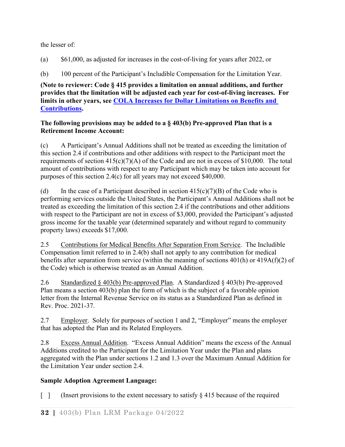the lesser of:

(a) \$61,000, as adjusted for increases in the cost-of-living for years after 2022, or

(b) 100 percent of the Participant's Includible Compensation for the Limitation Year.

**(Note to reviewer: Code § 415 provides a limitation on annual additions, and further provides that the limitation will be adjusted each year for cost-of-living increases. For limits in other years, see [COLA Increases for Dollar Limitations on Benefits and](http://www.irs.gov/Retirement-Plans/COLA-Increases-for-Dollar-Limitations-on-Benefits-and-Contributions)  [Contributions.](http://www.irs.gov/Retirement-Plans/COLA-Increases-for-Dollar-Limitations-on-Benefits-and-Contributions)**

### **The following provisions may be added to a § 403(b) Pre-approved Plan that is a Retirement Income Account:**

(c) A Participant's Annual Additions shall not be treated as exceeding the limitation of this section 2.4 if contributions and other additions with respect to the Participant meet the requirements of section  $415(c)(7)(A)$  of the Code and are not in excess of \$10,000. The total amount of contributions with respect to any Participant which may be taken into account for purposes of this section 2.4(c) for all years may not exceed \$40,000.

(d) In the case of a Participant described in section  $415(c)(7)(B)$  of the Code who is performing services outside the United States, the Participant's Annual Additions shall not be treated as exceeding the limitation of this section 2.4 if the contributions and other additions with respect to the Participant are not in excess of \$3,000, provided the Participant's adjusted gross income for the taxable year (determined separately and without regard to community property laws) exceeds \$17,000.

2.5 Contributions for Medical Benefits After Separation From Service. The Includible Compensation limit referred to in 2.4(b) shall not apply to any contribution for medical benefits after separation from service (within the meaning of sections 401(h) or 419A(f)(2) of the Code) which is otherwise treated as an Annual Addition.

2.6 Standardized § 403(b) Pre-approved Plan. A Standardized § 403(b) Pre-approved Plan means a section 403(b) plan the form of which is the subject of a favorable opinion letter from the Internal Revenue Service on its status as a Standardized Plan as defined in Rev. Proc. 2021-37.

2.7 Employer. Solely for purposes of section 1 and 2, "Employer" means the employer that has adopted the Plan and its Related Employers.

2.8 Excess Annual Addition. "Excess Annual Addition" means the excess of the Annual Additions credited to the Participant for the Limitation Year under the Plan and plans aggregated with the Plan under sections 1.2 and 1.3 over the Maximum Annual Addition for the Limitation Year under section 2.4.

# **Sample Adoption Agreement Language:**

[ ] (Insert provisions to the extent necessary to satisfy  $\S 415$  because of the required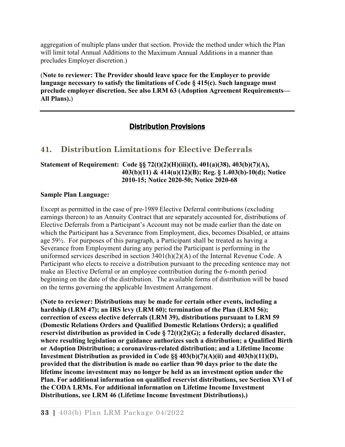aggregation of multiple plans under that section. Provide the method under which the Plan will limit total Annual Additions to the Maximum Annual Additions in a manner than precludes Employer discretion.)

(**Note to reviewer: The Provider should leave space for the Employer to provide language necessary to satisfy the limitations of Code § 415(c). Such language must preclude employer discretion. See also LRM 63 (Adoption Agreement Requirements— All Plans).**)

# Distribution Provisions

# **41. Distribution Limitations for Elective Deferrals**

#### **Statement of Requirement: Code §§ 72(t)(2)(H)(iii)(I), 401(a)(38), 403(b)(7)(A), 403(b)(11) & 414(u)(12)(B); Reg. § 1.403(b)-10(d); Notice 2010-15; Notice 2020-50; Notice 2020-68**

#### **Sample Plan Language:**

Except as permitted in the case of pre-1989 Elective Deferral contributions (excluding earnings thereon) to an Annuity Contract that are separately accounted for, distributions of Elective Deferrals from a Participant's Account may not be made earlier than the date on which the Participant has a Severance from Employment, dies, becomes Disabled, or attains age 59½. For purposes of this paragraph, a Participant shall be treated as having a Severance from Employment during any period the Participant is performing in the uniformed services described in section 3401(h)(2)(A) of the Internal Revenue Code. A Participant who elects to receive a distribution pursuant to the preceding sentence may not make an Elective Deferral or an employee contribution during the 6-month period beginning on the date of the distribution. The available forms of distribution will be based on the terms governing the applicable Investment Arrangement.

**(Note to reviewer: Distributions may be made for certain other events, including a hardship (LRM 47); an IRS levy (LRM 60); termination of the Plan (LRM 56); correction of excess elective deferrals (LRM 39), distributions pursuant to LRM 59 (Domestic Relations Orders and Qualified Domestic Relations Orders); a qualified reservist distribution as provided in Code § 72(t)(2)(G); a federally declared disaster, where resulting legislation or guidance authorizes such a distribution; a Qualified Birth or Adoption Distribution; a coronavirus-related distribution; and a Lifetime Income Investment Distribution as provided in Code §§ 403(b)(7)(A)(ii) and 403(b)(11)(D), provided that the distribution is made no earlier than 90 days prior to the date the lifetime income investment may no longer be held as an investment option under the Plan. For additional information on qualified reservist distributions, see Section XVI of the CODA LRMs. For additional information on Lifetime Income Investment Distributions, see LRM 46 (Lifetime Income Investment Distributions).)**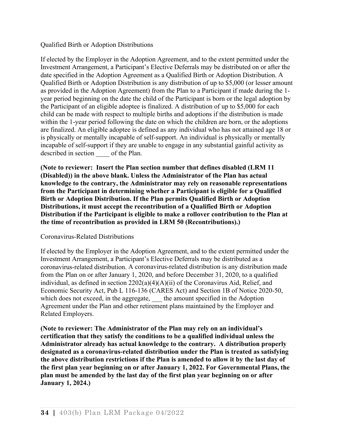#### Qualified Birth or Adoption Distributions

If elected by the Employer in the Adoption Agreement, and to the extent permitted under the Investment Arrangement, a Participant's Elective Deferrals may be distributed on or after the date specified in the Adoption Agreement as a Qualified Birth or Adoption Distribution. A Qualified Birth or Adoption Distribution is any distribution of up to \$5,000 (or lesser amount as provided in the Adoption Agreement) from the Plan to a Participant if made during the 1 year period beginning on the date the child of the Participant is born or the legal adoption by the Participant of an eligible adoptee is finalized. A distribution of up to \$5,000 for each child can be made with respect to multiple births and adoptions if the distribution is made within the 1-year period following the date on which the children are born, or the adoptions are finalized. An eligible adoptee is defined as any individual who has not attained age 18 or is physically or mentally incapable of self-support. An individual is physically or mentally incapable of self-support if they are unable to engage in any substantial gainful activity as described in section of the Plan.

**(Note to reviewer: Insert the Plan section number that defines disabled (LRM 11 (Disabled)) in the above blank. Unless the Administrator of the Plan has actual knowledge to the contrary, the Administrator may rely on reasonable representations from the Participant in determining whether a Participant is eligible for a Qualified Birth or Adoption Distribution. If the Plan permits Qualified Birth or Adoption Distributions, it must accept the recontribution of a Qualified Birth or Adoption Distribution if the Participant is eligible to make a rollover contribution to the Plan at the time of recontribution as provided in LRM 50 (Recontributions).)**

### Coronavirus-Related Distributions

If elected by the Employer in the Adoption Agreement, and to the extent permitted under the Investment Arrangement, a Participant's Elective Deferrals may be distributed as a coronavirus-related distribution. A coronavirus-related distribution is any distribution made from the Plan on or after January 1, 2020, and before December 31, 2020, to a qualified individual, as defined in section 2202(a)(4)(A)(ii) of the Coronavirus Aid, Relief, and Economic Security Act, Pub L 116-136 (CARES Act) and Section 1B of Notice 2020-50, which does not exceed, in the aggregate, the amount specified in the Adoption Agreement under the Plan and other retirement plans maintained by the Employer and Related Employers.

**(Note to reviewer: The Administrator of the Plan may rely on an individual's certification that they satisfy the conditions to be a qualified individual unless the Administrator already has actual knowledge to the contrary. A distribution properly designated as a coronavirus-related distribution under the Plan is treated as satisfying the above distribution restrictions if the Plan is amended to allow it by the last day of the first plan year beginning on or after January 1, 2022. For Governmental Plans, the plan must be amended by the last day of the first plan year beginning on or after January 1, 2024.)**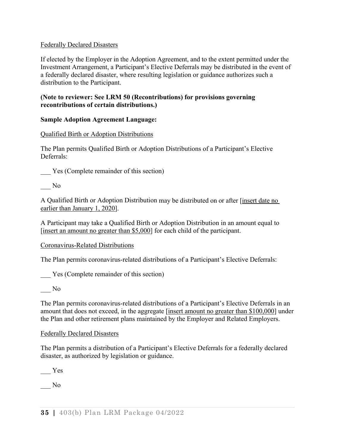### Federally Declared Disasters

If elected by the Employer in the Adoption Agreement, and to the extent permitted under the Investment Arrangement, a Participant's Elective Deferrals may be distributed in the event of a federally declared disaster, where resulting legislation or guidance authorizes such a distribution to the Participant.

#### **(Note to reviewer: See LRM 50 (Recontributions) for provisions governing recontributions of certain distributions.)**

### **Sample Adoption Agreement Language:**

### Qualified Birth or Adoption Distributions

The Plan permits Qualified Birth or Adoption Distributions of a Participant's Elective Deferrals:

Yes (Complete remainder of this section)

 $\overline{\phantom{0}}$  No

A Qualified Birth or Adoption Distribution may be distributed on or after [insert date no earlier than January 1, 2020].

A Participant may take a Qualified Birth or Adoption Distribution in an amount equal to [insert an amount no greater than \$5,000] for each child of the participant.

Coronavirus-Related Distributions

The Plan permits coronavirus-related distributions of a Participant's Elective Deferrals:

Yes (Complete remainder of this section)

 $\overline{\phantom{0}}$  No

The Plan permits coronavirus-related distributions of a Participant's Elective Deferrals in an amount that does not exceed, in the aggregate [insert amount no greater than \$100,000] under the Plan and other retirement plans maintained by the Employer and Related Employers.

### Federally Declared Disasters

The Plan permits a distribution of a Participant's Elective Deferrals for a federally declared disaster, as authorized by legislation or guidance.

\_\_\_ Yes

\_\_\_ No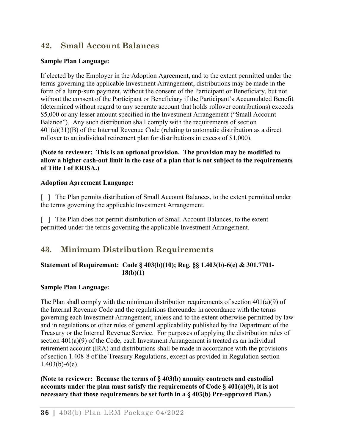# **42. Small Account Balances**

### **Sample Plan Language:**

If elected by the Employer in the Adoption Agreement, and to the extent permitted under the terms governing the applicable Investment Arrangement, distributions may be made in the form of a lump-sum payment, without the consent of the Participant or Beneficiary, but not without the consent of the Participant or Beneficiary if the Participant's Accumulated Benefit (determined without regard to any separate account that holds rollover contributions) exceeds \$5,000 or any lesser amount specified in the Investment Arrangement ("Small Account Balance"). Any such distribution shall comply with the requirements of section 401(a)(31)(B) of the Internal Revenue Code (relating to automatic distribution as a direct rollover to an individual retirement plan for distributions in excess of \$1,000).

### **(Note to reviewer: This is an optional provision. The provision may be modified to allow a higher cash-out limit in the case of a plan that is not subject to the requirements of Title I of ERISA.)**

#### **Adoption Agreement Language:**

[ ] The Plan permits distribution of Small Account Balances, to the extent permitted under the terms governing the applicable Investment Arrangement.

[ ] The Plan does not permit distribution of Small Account Balances, to the extent permitted under the terms governing the applicable Investment Arrangement.

# **43. Minimum Distribution Requirements**

### **Statement of Requirement: Code § 403(b)(10); Reg. §§ 1.403(b)-6(e) & 301.7701- 18(b)(1)**

#### **Sample Plan Language:**

The Plan shall comply with the minimum distribution requirements of section  $401(a)(9)$  of the Internal Revenue Code and the regulations thereunder in accordance with the terms governing each Investment Arrangement, unless and to the extent otherwise permitted by law and in regulations or other rules of general applicability published by the Department of the Treasury or the Internal Revenue Service. For purposes of applying the distribution rules of section 401(a)(9) of the Code, each Investment Arrangement is treated as an individual retirement account (IRA) and distributions shall be made in accordance with the provisions of section 1.408-8 of the Treasury Regulations, except as provided in Regulation section  $1.403(b) - 6(e)$ .

**(Note to reviewer: Because the terms of § 403(b) annuity contracts and custodial accounts under the plan must satisfy the requirements of Code § 401(a)(9), it is not necessary that those requirements be set forth in a § 403(b) Pre-approved Plan.)**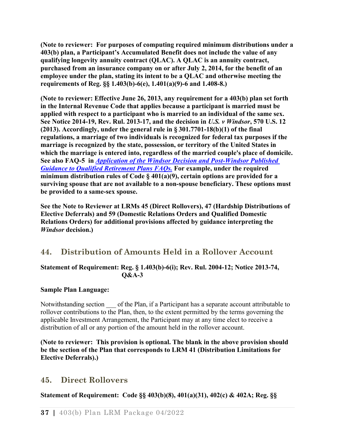**(Note to reviewer: For purposes of computing required minimum distributions under a 403(b) plan, a Participant's Accumulated Benefit does not include the value of any qualifying longevity annuity contract (QLAC). A QLAC is an annuity contract, purchased from an insurance company on or after July 2, 2014, for the benefit of an employee under the plan, stating its intent to be a QLAC and otherwise meeting the requirements of Reg. §§ 1.403(b)-6(e), 1.401(a)(9)-6 and 1.408-8.)** 

**(Note to reviewer: Effective June 26, 2013, any requirement for a 403(b) plan set forth in the Internal Revenue Code that applies because a participant is married must be applied with respect to a participant who is married to an individual of the same sex. See Notice 2014-19, Rev. Rul. 2013-17, and the decision in** *U.S. v Windsor***, 570 U.S. 12 (2013). Accordingly, under the general rule in § 301.7701-18(b)(1) of the final regulations, a marriage of two individuals is recognized for federal tax purposes if the marriage is recognized by the state, possession, or territory of the United States in which the marriage is entered into, regardless of the married couple's place of domicile. See also FAQ-5 in** *[Application of the Windsor Decision and Post-Windsor Published](https://www.irs.gov/retirement-plans/application-of-the-windsor-decision-and-post-windsor-published-guidance-to-qualified-retirement-plans-faqs)  [Guidance to Qualified Retirement Plans FAQs.](https://www.irs.gov/retirement-plans/application-of-the-windsor-decision-and-post-windsor-published-guidance-to-qualified-retirement-plans-faqs)* **For example, under the required minimum distribution rules of Code § 401(a)(9), certain options are provided for a surviving spouse that are not available to a non-spouse beneficiary. These options must be provided to a same-sex spouse.** 

**See the Note to Reviewer at LRMs 45 (Direct Rollovers), 47 (Hardship Distributions of Elective Deferrals) and 59 (Domestic Relations Orders and Qualified Domestic Relations Orders) for additional provisions affected by guidance interpreting the**  *Windsor* **decision.)**

# **44. Distribution of Amounts Held in a Rollover Account**

### **Statement of Requirement: Reg. § 1.403(b)-6(i); Rev. Rul. 2004-12; Notice 2013-74, Q&A-3**

### **Sample Plan Language:**

Notwithstanding section of the Plan, if a Participant has a separate account attributable to rollover contributions to the Plan, then, to the extent permitted by the terms governing the applicable Investment Arrangement, the Participant may at any time elect to receive a distribution of all or any portion of the amount held in the rollover account.

**(Note to reviewer: This provision is optional. The blank in the above provision should be the section of the Plan that corresponds to LRM 41 (Distribution Limitations for Elective Deferrals).)**

# **45. Direct Rollovers**

**Statement of Requirement: Code §§ 403(b)(8), 401(a)(31), 402(c) & 402A; Reg. §§**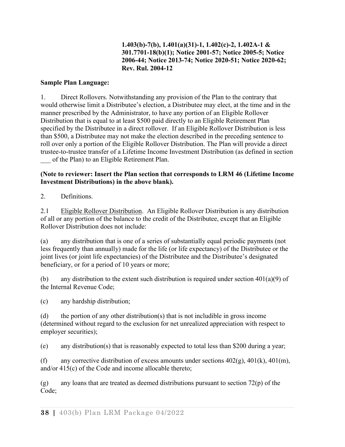### **1.403(b)-7(b), 1.401(a)(31)-1, 1.402(c)-2, 1.402A-1 & 301.7701-18(b)(1); Notice 2001-57; Notice 2005-5; Notice 2006-44; Notice 2013-74; Notice 2020-51; Notice 2020-62; Rev. Rul. 2004-12**

### **Sample Plan Language:**

1. Direct Rollovers. Notwithstanding any provision of the Plan to the contrary that would otherwise limit a Distributee's election, a Distributee may elect, at the time and in the manner prescribed by the Administrator, to have any portion of an Eligible Rollover Distribution that is equal to at least \$500 paid directly to an Eligible Retirement Plan specified by the Distributee in a direct rollover. If an Eligible Rollover Distribution is less than \$500, a Distributee may not make the election described in the preceding sentence to roll over only a portion of the Eligible Rollover Distribution. The Plan will provide a direct trustee-to-trustee transfer of a Lifetime Income Investment Distribution (as defined in section of the Plan) to an Eligible Retirement Plan.

### **(Note to reviewer: Insert the Plan section that corresponds to LRM 46 (Lifetime Income Investment Distributions) in the above blank).**

2. Definitions.

2.1 Eligible Rollover Distribution. An Eligible Rollover Distribution is any distribution of all or any portion of the balance to the credit of the Distributee, except that an Eligible Rollover Distribution does not include:

(a) any distribution that is one of a series of substantially equal periodic payments (not less frequently than annually) made for the life (or life expectancy) of the Distributee or the joint lives (or joint life expectancies) of the Distributee and the Distributee's designated beneficiary, or for a period of 10 years or more;

(b) any distribution to the extent such distribution is required under section  $401(a)(9)$  of the Internal Revenue Code;

(c) any hardship distribution;

(d) the portion of any other distribution(s) that is not includible in gross income (determined without regard to the exclusion for net unrealized appreciation with respect to employer securities);

(e) any distribution(s) that is reasonably expected to total less than \$200 during a year;

(f) any corrective distribution of excess amounts under sections  $402(g)$ ,  $401(k)$ ,  $401(m)$ , and/or 415(c) of the Code and income allocable thereto;

(g) any loans that are treated as deemed distributions pursuant to section  $72(p)$  of the Code;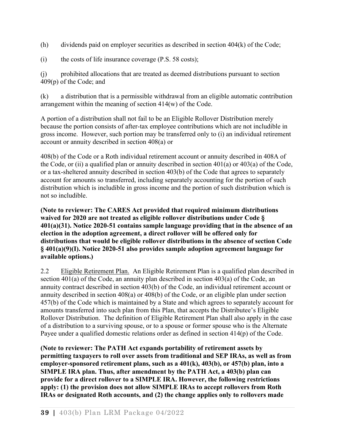(h) dividends paid on employer securities as described in section 404(k) of the Code;

(i) the costs of life insurance coverage (P.S. 58 costs);

(j) prohibited allocations that are treated as deemed distributions pursuant to section 409(p) of the Code; and

(k) a distribution that is a permissible withdrawal from an eligible automatic contribution arrangement within the meaning of section 414(w) of the Code.

A portion of a distribution shall not fail to be an Eligible Rollover Distribution merely because the portion consists of after-tax employee contributions which are not includible in gross income. However, such portion may be transferred only to (i) an individual retirement account or annuity described in section 408(a) or

408(b) of the Code or a Roth individual retirement account or annuity described in 408A of the Code, or (ii) a qualified plan or annuity described in section  $401(a)$  or  $403(a)$  of the Code, or a tax-sheltered annuity described in section 403(b) of the Code that agrees to separately account for amounts so transferred, including separately accounting for the portion of such distribution which is includible in gross income and the portion of such distribution which is not so includible.

**(Note to reviewer: The CARES Act provided that required minimum distributions waived for 2020 are not treated as eligible rollover distributions under Code § 401(a)(31). Notice 2020-51 contains sample language providing that in the absence of an election in the adoption agreement, a direct rollover will be offered only for distributions that would be eligible rollover distributions in the absence of section Code § 401(a)(9)(I). Notice 2020-51 also provides sample adoption agreement language for available options.)** 

2.2 Eligible Retirement Plan. An Eligible Retirement Plan is a qualified plan described in section 401(a) of the Code, an annuity plan described in section 403(a) of the Code, an annuity contract described in section 403(b) of the Code, an individual retirement account or annuity described in section 408(a) or 408(b) of the Code, or an eligible plan under section 457(b) of the Code which is maintained by a State and which agrees to separately account for amounts transferred into such plan from this Plan, that accepts the Distributee's Eligible Rollover Distribution. The definition of Eligible Retirement Plan shall also apply in the case of a distribution to a surviving spouse, or to a spouse or former spouse who is the Alternate Payee under a qualified domestic relations order as defined in section 414(p) of the Code.

**(Note to reviewer: The PATH Act expands portability of retirement assets by permitting taxpayers to roll over assets from traditional and SEP IRAs, as well as from employer-sponsored retirement plans, such as a 401(k), 403(b), or 457(b) plan, into a SIMPLE IRA plan. Thus, after amendment by the PATH Act, a 403(b) plan can provide for a direct rollover to a SIMPLE IRA. However, the following restrictions apply: (1) the provision does not allow SIMPLE IRAs to accept rollovers from Roth IRAs or designated Roth accounts, and (2) the change applies only to rollovers made**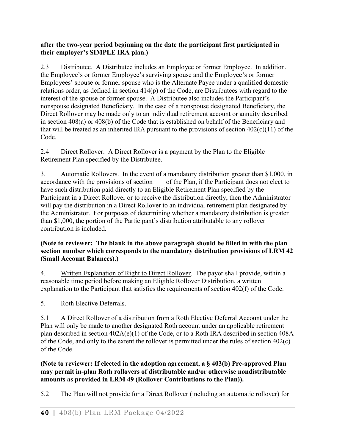### **after the two-year period beginning on the date the participant first participated in their employer's SIMPLE IRA plan.)**

2.3 Distributee. A Distributee includes an Employee or former Employee. In addition, the Employee's or former Employee's surviving spouse and the Employee's or former Employees' spouse or former spouse who is the Alternate Payee under a qualified domestic relations order, as defined in section 414(p) of the Code, are Distributees with regard to the interest of the spouse or former spouse. A Distributee also includes the Participant's nonspouse designated Beneficiary. In the case of a nonspouse designated Beneficiary, the Direct Rollover may be made only to an individual retirement account or annuity described in section 408(a) or 408(b) of the Code that is established on behalf of the Beneficiary and that will be treated as an inherited IRA pursuant to the provisions of section  $402(c)(11)$  of the Code.

2.4 Direct Rollover. A Direct Rollover is a payment by the Plan to the Eligible Retirement Plan specified by the Distributee.

3. Automatic Rollovers. In the event of a mandatory distribution greater than \$1,000, in accordance with the provisions of section of the Plan, if the Participant does not elect to have such distribution paid directly to an Eligible Retirement Plan specified by the Participant in a Direct Rollover or to receive the distribution directly, then the Administrator will pay the distribution in a Direct Rollover to an individual retirement plan designated by the Administrator. For purposes of determining whether a mandatory distribution is greater than \$1,000, the portion of the Participant's distribution attributable to any rollover contribution is included.

### **(Note to reviewer: The blank in the above paragraph should be filled in with the plan section number which corresponds to the mandatory distribution provisions of LRM 42 (Small Account Balances).)**

4. Written Explanation of Right to Direct Rollover. The payor shall provide, within a reasonable time period before making an Eligible Rollover Distribution, a written explanation to the Participant that satisfies the requirements of section 402(f) of the Code.

5. Roth Elective Deferrals.

5.1 A Direct Rollover of a distribution from a Roth Elective Deferral Account under the Plan will only be made to another designated Roth account under an applicable retirement plan described in section 402A(e)(1) of the Code, or to a Roth IRA described in section 408A of the Code, and only to the extent the rollover is permitted under the rules of section 402(c) of the Code.

**(Note to reviewer: If elected in the adoption agreement, a § 403(b) Pre-approved Plan may permit in-plan Roth rollovers of distributable and/or otherwise nondistributable amounts as provided in LRM 49 (Rollover Contributions to the Plan)).**

5.2 The Plan will not provide for a Direct Rollover (including an automatic rollover) for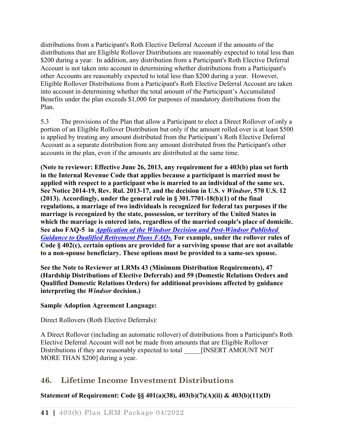distributions from a Participant's Roth Elective Deferral Account if the amounts of the distributions that are Eligible Rollover Distributions are reasonably expected to total less than \$200 during a year. In addition, any distribution from a Participant's Roth Elective Deferral Account is not taken into account in determining whether distributions from a Participant's other Accounts are reasonably expected to total less than \$200 during a year. However, Eligible Rollover Distributions from a Participant's Roth Elective Deferral Account are taken into account in determining whether the total amount of the Participant's Accumulated Benefits under the plan exceeds \$1,000 for purposes of mandatory distributions from the Plan.

5.3 The provisions of the Plan that allow a Participant to elect a Direct Rollover of only a portion of an Eligible Rollover Distribution but only if the amount rolled over is at least \$500 is applied by treating any amount distributed from the Participant's Roth Elective Deferral Account as a separate distribution from any amount distributed from the Participant's other accounts in the plan, even if the amounts are distributed at the same time.

**(Note to reviewer: Effective June 26, 2013, any requirement for a 403(b) plan set forth in the Internal Revenue Code that applies because a participant is married must be applied with respect to a participant who is married to an individual of the same sex. See Notice 2014-19, Rev. Rul. 2013-17, and the decision in U.S. v** *Windsor***, 570 U.S. 12 (2013). Accordingly, under the general rule in § 301.7701-18(b)(1) of the final regulations, a marriage of two individuals is recognized for federal tax purposes if the marriage is recognized by the state, possession, or territory of the United States in which the marriage is entered into, regardless of the married couple's place of domicile. See also FAQ-5 in** *[Application of the Windsor Decision and Post-Windsor Published](https://www.irs.gov/retirement-plans/application-of-the-windsor-decision-and-post-windsor-published-guidance-to-qualified-retirement-plans-faqs)  [Guidance to Qualified Retirement Plans FAQs.](https://www.irs.gov/retirement-plans/application-of-the-windsor-decision-and-post-windsor-published-guidance-to-qualified-retirement-plans-faqs)* **For example, under the rollover rules of Code § 402(c), certain options are provided for a surviving spouse that are not available to a non-spouse beneficiary. These options must be provided to a same-sex spouse.** 

**See the Note to Reviewer at LRMs 43 (Minimum Distribution Requirements), 47 (Hardship Distributions of Elective Deferrals) and 59 (Domestic Relations Orders and Qualified Domestic Relations Orders) for additional provisions affected by guidance interpreting the** *Windsor* **decision.)**

## **Sample Adoption Agreement Language:**

Direct Rollovers (Roth Elective Deferrals):

A Direct Rollover (including an automatic rollover) of distributions from a Participant's Roth Elective Deferral Account will not be made from amounts that are Eligible Rollover Distributions if they are reasonably expected to total [INSERT AMOUNT NOT MORE THAN \$200] during a year.

# **46. Lifetime Income Investment Distributions**

# **Statement of Requirement: Code §§ 401(a)(38), 403(b)(7)(A)(ii) & 403(b)(11)(D)**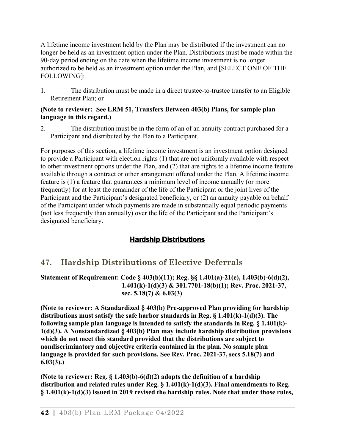A lifetime income investment held by the Plan may be distributed if the investment can no longer be held as an investment option under the Plan. Distributions must be made within the 90-day period ending on the date when the lifetime income investment is no longer authorized to be held as an investment option under the Plan, and [SELECT ONE OF THE FOLLOWING]:

1. The distribution must be made in a direct trustee-to-trustee transfer to an Eligible Retirement Plan; or

#### **(Note to reviewer: See LRM 51, Transfers Between 403(b) Plans, for sample plan language in this regard.)**

2. The distribution must be in the form of an of an annuity contract purchased for a Participant and distributed by the Plan to a Participant.

For purposes of this section, a lifetime income investment is an investment option designed to provide a Participant with election rights (1) that are not uniformly available with respect to other investment options under the Plan, and (2) that are rights to a lifetime income feature available through a contract or other arrangement offered under the Plan. A lifetime income feature is (1) a feature that guarantees a minimum level of income annually (or more frequently) for at least the remainder of the life of the Participant or the joint lives of the Participant and the Participant's designated beneficiary, or (2) an annuity payable on behalf of the Participant under which payments are made in substantially equal periodic payments (not less frequently than annually) over the life of the Participant and the Participant's designated beneficiary.

# Hardship Distributions

# **47. Hardship Distributions of Elective Deferrals**

**Statement of Requirement: Code § 403(b)(11); Reg. §§ 1.401(a)-21(e), 1.403(b)-6(d)(2), 1.401(k)-1(d)(3) & 301.7701-18(b)(1); Rev. Proc. 2021-37, sec. 5.18(7) & 6.03(3)**

**(Note to reviewer: A Standardized § 403(b) Pre-approved Plan providing for hardship distributions must satisfy the safe harbor standards in Reg. § 1.401(k)-1(d)(3). The following sample plan language is intended to satisfy the standards in Reg. § 1.401(k)- 1(d)(3). A Nonstandardized § 403(b) Plan may include hardship distribution provisions which do not meet this standard provided that the distributions are subject to nondiscriminatory and objective criteria contained in the plan. No sample plan language is provided for such provisions. See Rev. Proc. 2021-37, secs 5.18(7) and 6.03(3).)**

**(Note to reviewer: Reg. § 1.403(b)-6(d)(2) adopts the definition of a hardship distribution and related rules under Reg. § 1.401(k)-1(d)(3). Final amendments to Reg. § 1.401(k)-1(d)(3) issued in 2019 revised the hardship rules. Note that under those rules,**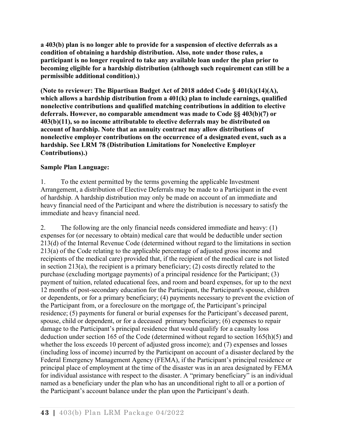**a 403(b) plan is no longer able to provide for a suspension of elective deferrals as a condition of obtaining a hardship distribution. Also, note under those rules, a participant is no longer required to take any available loan under the plan prior to becoming eligible for a hardship distribution (although such requirement can still be a permissible additional condition).)**

**(Note to reviewer: The Bipartisan Budget Act of 2018 added Code § 401(k)(14)(A), which allows a hardship distribution from a 401(k) plan to include earnings, qualified nonelective contributions and qualified matching contributions in addition to elective deferrals. However, no comparable amendment was made to Code §§ 403(b)(7) or 403(b)(11), so no income attributable to elective deferrals may be distributed on account of hardship. Note that an annuity contract may allow distributions of nonelective employer contributions on the occurrence of a designated event, such as a hardship. See LRM 78 (Distribution Limitations for Nonelective Employer Contributions).)** 

### **Sample Plan Language:**

1. To the extent permitted by the terms governing the applicable Investment Arrangement, a distribution of Elective Deferrals may be made to a Participant in the event of hardship. A hardship distribution may only be made on account of an immediate and heavy financial need of the Participant and where the distribution is necessary to satisfy the immediate and heavy financial need.

2. The following are the only financial needs considered immediate and heavy: (1) expenses for (or necessary to obtain) medical care that would be deductible under section 213(d) of the Internal Revenue Code (determined without regard to the limitations in section 213(a) of the Code relating to the applicable percentage of adjusted gross income and recipients of the medical care) provided that, if the recipient of the medical care is not listed in section 213(a), the recipient is a primary beneficiary; (2) costs directly related to the purchase (excluding mortgage payments) of a principal residence for the Participant; (3) payment of tuition, related educational fees, and room and board expenses, for up to the next 12 months of post-secondary education for the Participant, the Participant's spouse, children or dependents, or for a primary beneficiary; (4) payments necessary to prevent the eviction of the Participant from, or a foreclosure on the mortgage of, the Participant's principal residence; (5) payments for funeral or burial expenses for the Participant's deceased parent, spouse, child or dependent, or for a deceased primary beneficiary; (6) expenses to repair damage to the Participant's principal residence that would qualify for a casualty loss deduction under section 165 of the Code (determined without regard to section 165(h)(5) and whether the loss exceeds 10 percent of adjusted gross income); and (7) expenses and losses (including loss of income) incurred by the Participant on account of a disaster declared by the Federal Emergency Management Agency (FEMA), if the Participant's principal residence or principal place of employment at the time of the disaster was in an area designated by FEMA for individual assistance with respect to the disaster. A "primary beneficiary" is an individual named as a beneficiary under the plan who has an unconditional right to all or a portion of the Participant's account balance under the plan upon the Participant's death.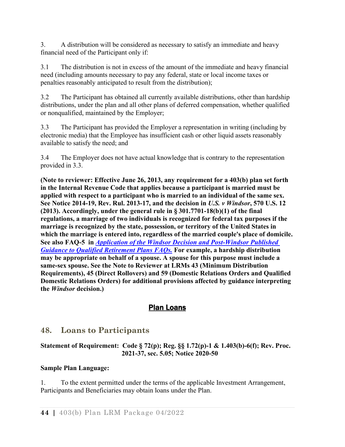3. A distribution will be considered as necessary to satisfy an immediate and heavy financial need of the Participant only if:

3.1 The distribution is not in excess of the amount of the immediate and heavy financial need (including amounts necessary to pay any federal, state or local income taxes or penalties reasonably anticipated to result from the distribution);

3.2 The Participant has obtained all currently available distributions, other than hardship distributions, under the plan and all other plans of deferred compensation, whether qualified or nonqualified, maintained by the Employer;

3.3 The Participant has provided the Employer a representation in writing (including by electronic media) that the Employee has insufficient cash or other liquid assets reasonably available to satisfy the need; and

3.4 The Employer does not have actual knowledge that is contrary to the representation provided in 3.3.

**(Note to reviewer: Effective June 26, 2013, any requirement for a 403(b) plan set forth in the Internal Revenue Code that applies because a participant is married must be applied with respect to a participant who is married to an individual of the same sex. See Notice 2014-19, Rev. Rul. 2013-17, and the decision in** *U.S. v Windsor***, 570 U.S. 12 (2013). Accordingly, under the general rule in § 301.7701-18(b)(1) of the final regulations, a marriage of two individuals is recognized for federal tax purposes if the marriage is recognized by the state, possession, or territory of the United States in which the marriage is entered into, regardless of the married couple's place of domicile. See also FAQ-5 in** *[Application of the Windsor Decision and Post-Windsor Published](https://www.irs.gov/retirement-plans/application-of-the-windsor-decision-and-post-windsor-published-guidance-to-qualified-retirement-plans-faqs)  [Guidance to Qualified Retirement Plans FAQs.](https://www.irs.gov/retirement-plans/application-of-the-windsor-decision-and-post-windsor-published-guidance-to-qualified-retirement-plans-faqs)* **For example, a hardship distribution may be appropriate on behalf of a spouse. A spouse for this purpose must include a same-sex spouse. See the Note to Reviewer at LRMs 43 (Minimum Distribution Requirements), 45 (Direct Rollovers) and 59 (Domestic Relations Orders and Qualified Domestic Relations Orders) for additional provisions affected by guidance interpreting the** *Windsor* **decision.)**

# Plan Loans

# **48. Loans to Participants**

## **Statement of Requirement: Code § 72(p); Reg. §§ 1.72(p)-1 & 1.403(b)-6(f); Rev. Proc. 2021-37, sec. 5.05; Notice 2020-50**

## **Sample Plan Language:**

1. To the extent permitted under the terms of the applicable Investment Arrangement, Participants and Beneficiaries may obtain loans under the Plan.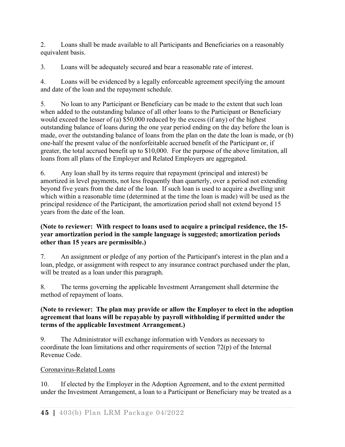2. Loans shall be made available to all Participants and Beneficiaries on a reasonably equivalent basis.

3. Loans will be adequately secured and bear a reasonable rate of interest.

4. Loans will be evidenced by a legally enforceable agreement specifying the amount and date of the loan and the repayment schedule.

5. No loan to any Participant or Beneficiary can be made to the extent that such loan when added to the outstanding balance of all other loans to the Participant or Beneficiary would exceed the lesser of (a) \$50,000 reduced by the excess (if any) of the highest outstanding balance of loans during the one year period ending on the day before the loan is made, over the outstanding balance of loans from the plan on the date the loan is made, or (b) one-half the present value of the nonforfeitable accrued benefit of the Participant or, if greater, the total accrued benefit up to \$10,000. For the purpose of the above limitation, all loans from all plans of the Employer and Related Employers are aggregated.

6. Any loan shall by its terms require that repayment (principal and interest) be amortized in level payments, not less frequently than quarterly, over a period not extending beyond five years from the date of the loan. If such loan is used to acquire a dwelling unit which within a reasonable time (determined at the time the loan is made) will be used as the principal residence of the Participant, the amortization period shall not extend beyond 15 years from the date of the loan.

### **(Note to reviewer: With respect to loans used to acquire a principal residence, the 15 year amortization period in the sample language is suggested; amortization periods other than 15 years are permissible.)**

7. An assignment or pledge of any portion of the Participant's interest in the plan and a loan, pledge, or assignment with respect to any insurance contract purchased under the plan, will be treated as a loan under this paragraph.

8. The terms governing the applicable Investment Arrangement shall determine the method of repayment of loans.

### **(Note to reviewer: The plan may provide or allow the Employer to elect in the adoption agreement that loans will be repayable by payroll withholding if permitted under the terms of the applicable Investment Arrangement.)**

9. The Administrator will exchange information with Vendors as necessary to coordinate the loan limitations and other requirements of section 72(p) of the Internal Revenue Code.

# Coronavirus-Related Loans

10. If elected by the Employer in the Adoption Agreement, and to the extent permitted under the Investment Arrangement, a loan to a Participant or Beneficiary may be treated as a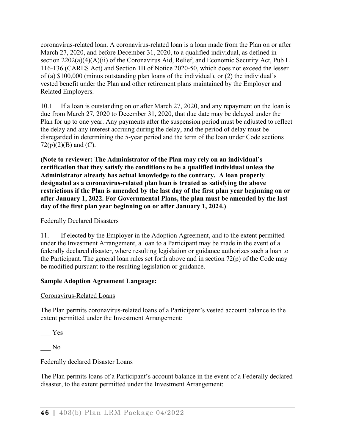coronavirus-related loan. A coronavirus-related loan is a loan made from the Plan on or after March 27, 2020, and before December 31, 2020, to a qualified individual, as defined in section 2202(a)(4)(A)(ii) of the Coronavirus Aid, Relief, and Economic Security Act, Pub L 116-136 (CARES Act) and Section 1B of Notice 2020-50, which does not exceed the lesser of (a) \$100,000 (minus outstanding plan loans of the individual), or (2) the individual's vested benefit under the Plan and other retirement plans maintained by the Employer and Related Employers.

10.1 If a loan is outstanding on or after March 27, 2020, and any repayment on the loan is due from March 27, 2020 to December 31, 2020, that due date may be delayed under the Plan for up to one year. Any payments after the suspension period must be adjusted to reflect the delay and any interest accruing during the delay, and the period of delay must be disregarded in determining the 5-year period and the term of the loan under Code sections  $72(p)(2)(B)$  and (C).

**(Note to reviewer: The Administrator of the Plan may rely on an individual's certification that they satisfy the conditions to be a qualified individual unless the Administrator already has actual knowledge to the contrary. A loan properly designated as a coronavirus-related plan loan is treated as satisfying the above restrictions if the Plan is amended by the last day of the first plan year beginning on or after January 1, 2022. For Governmental Plans, the plan must be amended by the last day of the first plan year beginning on or after January 1, 2024.)** 

### Federally Declared Disasters

11. If elected by the Employer in the Adoption Agreement, and to the extent permitted under the Investment Arrangement, a loan to a Participant may be made in the event of a federally declared disaster, where resulting legislation or guidance authorizes such a loan to the Participant. The general loan rules set forth above and in section 72(p) of the Code may be modified pursuant to the resulting legislation or guidance.

### **Sample Adoption Agreement Language:**

## Coronavirus-Related Loans

The Plan permits coronavirus-related loans of a Participant's vested account balance to the extent permitted under the Investment Arrangement:

\_\_\_ Yes

\_\_\_ No

## Federally declared Disaster Loans

The Plan permits loans of a Participant's account balance in the event of a Federally declared disaster, to the extent permitted under the Investment Arrangement: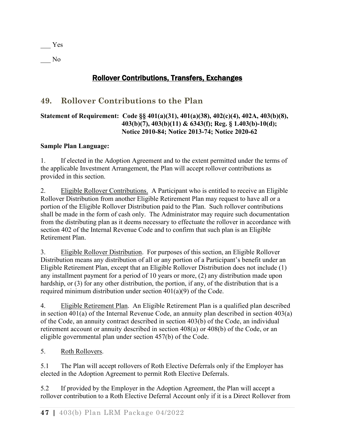\_\_\_ Yes \_\_\_ No

# Rollover Contributions, Transfers, Exchanges

# **49. Rollover Contributions to the Plan**

### **Statement of Requirement: Code §§ 401(a)(31), 401(a)(38), 402(c)(4), 402A, 403(b)(8), 403(b)(7), 403(b)(11) & 6343(f); Reg. § 1.403(b)-10(d); Notice 2010-84; Notice 2013-74; Notice 2020-62**

### **Sample Plan Language:**

1. If elected in the Adoption Agreement and to the extent permitted under the terms of the applicable Investment Arrangement, the Plan will accept rollover contributions as provided in this section.

2. Eligible Rollover Contributions. A Participant who is entitled to receive an Eligible Rollover Distribution from another Eligible Retirement Plan may request to have all or a portion of the Eligible Rollover Distribution paid to the Plan. Such rollover contributions shall be made in the form of cash only. The Administrator may require such documentation from the distributing plan as it deems necessary to effectuate the rollover in accordance with section 402 of the Internal Revenue Code and to confirm that such plan is an Eligible Retirement Plan.

3. Eligible Rollover Distribution. For purposes of this section, an Eligible Rollover Distribution means any distribution of all or any portion of a Participant's benefit under an Eligible Retirement Plan, except that an Eligible Rollover Distribution does not include (1) any installment payment for a period of 10 years or more, (2) any distribution made upon hardship, or (3) for any other distribution, the portion, if any, of the distribution that is a required minimum distribution under section 401(a)(9) of the Code.

4. Eligible Retirement Plan. An Eligible Retirement Plan is a qualified plan described in section 401(a) of the Internal Revenue Code, an annuity plan described in section 403(a) of the Code, an annuity contract described in section 403(b) of the Code, an individual retirement account or annuity described in section 408(a) or 408(b) of the Code, or an eligible governmental plan under section 457(b) of the Code.

5. Roth Rollovers.

5.1 The Plan will accept rollovers of Roth Elective Deferrals only if the Employer has elected in the Adoption Agreement to permit Roth Elective Deferrals.

5.2 If provided by the Employer in the Adoption Agreement, the Plan will accept a rollover contribution to a Roth Elective Deferral Account only if it is a Direct Rollover from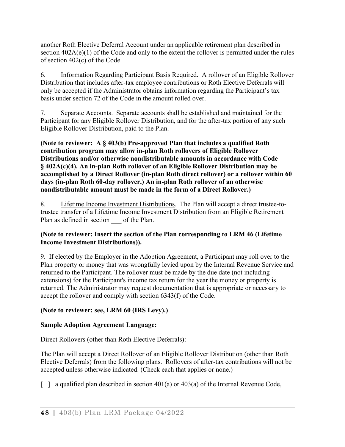another Roth Elective Deferral Account under an applicable retirement plan described in section  $402A(e)(1)$  of the Code and only to the extent the rollover is permitted under the rules of section 402(c) of the Code.

6. Information Regarding Participant Basis Required. A rollover of an Eligible Rollover Distribution that includes after-tax employee contributions or Roth Elective Deferrals will only be accepted if the Administrator obtains information regarding the Participant's tax basis under section 72 of the Code in the amount rolled over.

7. Separate Accounts. Separate accounts shall be established and maintained for the Participant for any Eligible Rollover Distribution, and for the after-tax portion of any such Eligible Rollover Distribution, paid to the Plan.

**(Note to reviewer: A § 403(b) Pre-approved Plan that includes a qualified Roth contribution program may allow in-plan Roth rollovers of Eligible Rollover Distributions and/or otherwise nondistributable amounts in accordance with Code § 402A(c)(4). An in-plan Roth rollover of an Eligible Rollover Distribution may be accomplished by a Direct Rollover (in-plan Roth direct rollover) or a rollover within 60 days (in-plan Roth 60-day rollover.) An in-plan Roth rollover of an otherwise nondistributable amount must be made in the form of a Direct Rollover.)**

8. Lifetime Income Investment Distributions. The Plan will accept a direct trustee-totrustee transfer of a Lifetime Income Investment Distribution from an Eligible Retirement Plan as defined in section of the Plan.

### **(Note to reviewer: Insert the section of the Plan corresponding to LRM 46 (Lifetime Income Investment Distributions)).**

9. If elected by the Employer in the Adoption Agreement, a Participant may roll over to the Plan property or money that was wrongfully levied upon by the Internal Revenue Service and returned to the Participant. The rollover must be made by the due date (not including extensions) for the Participant's income tax return for the year the money or property is returned. The Administrator may request documentation that is appropriate or necessary to accept the rollover and comply with section 6343(f) of the Code.

# **(Note to reviewer: see, LRM 60 (IRS Levy).)**

## **Sample Adoption Agreement Language:**

Direct Rollovers (other than Roth Elective Deferrals):

The Plan will accept a Direct Rollover of an Eligible Rollover Distribution (other than Roth Elective Deferrals) from the following plans. Rollovers of after-tax contributions will not be accepted unless otherwise indicated. (Check each that applies or none.)

 $\lceil$  a qualified plan described in section 401(a) or 403(a) of the Internal Revenue Code,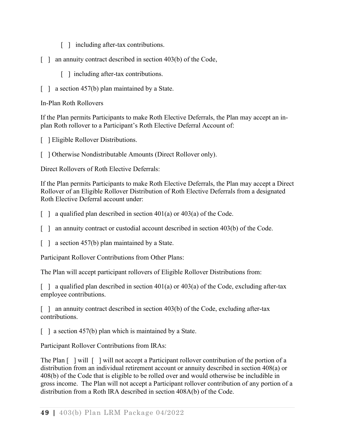- [ ] including after-tax contributions.
- [ ] an annuity contract described in section 403(b) of the Code,
	- [ ] including after-tax contributions.
- [ ] a section 457(b) plan maintained by a State.

In-Plan Roth Rollovers

If the Plan permits Participants to make Roth Elective Deferrals, the Plan may accept an inplan Roth rollover to a Participant's Roth Elective Deferral Account of:

[ ] Eligible Rollover Distributions.

[ ] Otherwise Nondistributable Amounts (Direct Rollover only).

Direct Rollovers of Roth Elective Deferrals:

If the Plan permits Participants to make Roth Elective Deferrals, the Plan may accept a Direct Rollover of an Eligible Rollover Distribution of Roth Elective Deferrals from a designated Roth Elective Deferral account under:

 $\lceil \ \rceil$  a qualified plan described in section 401(a) or 403(a) of the Code.

- [ ] an annuity contract or custodial account described in section 403(b) of the Code.
- [ ] a section 457(b) plan maintained by a State.

Participant Rollover Contributions from Other Plans:

The Plan will accept participant rollovers of Eligible Rollover Distributions from:

 $\lceil$  a qualified plan described in section 401(a) or 403(a) of the Code, excluding after-tax employee contributions.

[ ] an annuity contract described in section 403(b) of the Code, excluding after-tax contributions.

[ ] a section 457(b) plan which is maintained by a State.

Participant Rollover Contributions from IRAs:

The Plan [ ] will [ ] will not accept a Participant rollover contribution of the portion of a distribution from an individual retirement account or annuity described in section 408(a) or 408(b) of the Code that is eligible to be rolled over and would otherwise be includible in gross income. The Plan will not accept a Participant rollover contribution of any portion of a distribution from a Roth IRA described in section 408A(b) of the Code.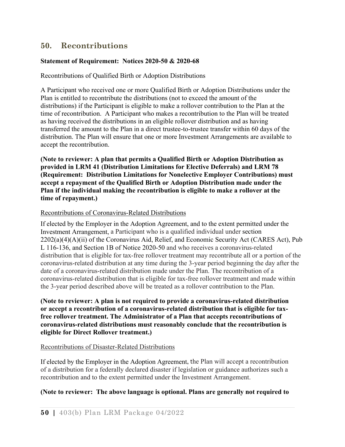# **50. Recontributions**

### **Statement of Requirement: Notices 2020-50 & 2020-68**

Recontributions of Qualified Birth or Adoption Distributions

A Participant who received one or more Qualified Birth or Adoption Distributions under the Plan is entitled to recontribute the distributions (not to exceed the amount of the distributions) if the Participant is eligible to make a rollover contribution to the Plan at the time of recontribution. A Participant who makes a recontribution to the Plan will be treated as having received the distributions in an eligible rollover distribution and as having transferred the amount to the Plan in a direct trustee-to-trustee transfer within 60 days of the distribution. The Plan will ensure that one or more Investment Arrangements are available to accept the recontribution.

**(Note to reviewer: A plan that permits a Qualified Birth or Adoption Distribution as provided in LRM 41 (Distribution Limitations for Elective Deferrals) and LRM 78 (Requirement: Distribution Limitations for Nonelective Employer Contributions) must accept a repayment of the Qualified Birth or Adoption Distribution made under the Plan if the individual making the recontribution is eligible to make a rollover at the time of repayment.)**

#### Recontributions of Coronavirus-Related Distributions

If elected by the Employer in the Adoption Agreement, and to the extent permitted under the Investment Arrangement, a Participant who is a qualified individual under section  $2202(a)(4)(A)(ii)$  of the Coronavirus Aid, Relief, and Economic Security Act (CARES Act), Pub L 116-136, and Section 1B of Notice 2020-50 and who receives a coronavirus-related distribution that is eligible for tax-free rollover treatment may recontribute all or a portion of the coronavirus-related distribution at any time during the 3-year period beginning the day after the date of a coronavirus-related distribution made under the Plan. The recontribution of a coronavirus-related distribution that is eligible for tax-free rollover treatment and made within the 3-year period described above will be treated as a rollover contribution to the Plan.

#### **(Note to reviewer: A plan is not required to provide a coronavirus-related distribution or accept a recontribution of a coronavirus-related distribution that is eligible for taxfree rollover treatment. The Administrator of a Plan that accepts recontributions of coronavirus-related distributions must reasonably conclude that the recontribution is eligible for Direct Rollover treatment.)**

#### Recontributions of Disaster-Related Distributions

If elected by the Employer in the Adoption Agreement, the Plan will accept a recontribution of a distribution for a federally declared disaster if legislation or guidance authorizes such a recontribution and to the extent permitted under the Investment Arrangement.

#### **(Note to reviewer: The above language is optional. Plans are generally not required to**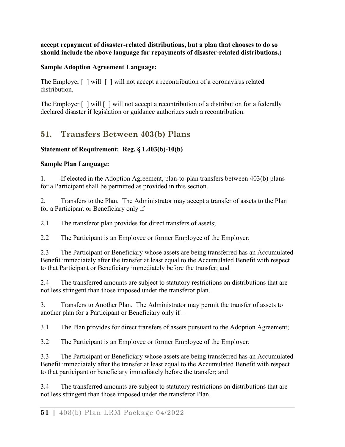**accept repayment of disaster-related distributions, but a plan that chooses to do so should include the above language for repayments of disaster-related distributions.)**

## **Sample Adoption Agreement Language:**

The Employer  $\lceil \cdot \rceil$  will  $\lceil \cdot \rceil$  will not accept a recontribution of a coronavirus related distribution.

The Employer  $\lceil \cdot \rceil$  will  $\lceil \cdot \rceil$  will not accept a recontribution of a distribution for a federally declared disaster if legislation or guidance authorizes such a recontribution.

# **51. Transfers Between 403(b) Plans**

# **Statement of Requirement: Reg. § 1.403(b)-10(b)**

## **Sample Plan Language:**

1. If elected in the Adoption Agreement, plan-to-plan transfers between 403(b) plans for a Participant shall be permitted as provided in this section.

2. Transfers to the Plan. The Administrator may accept a transfer of assets to the Plan for a Participant or Beneficiary only if –

2.1 The transferor plan provides for direct transfers of assets;

2.2 The Participant is an Employee or former Employee of the Employer;

2.3 The Participant or Beneficiary whose assets are being transferred has an Accumulated Benefit immediately after the transfer at least equal to the Accumulated Benefit with respect to that Participant or Beneficiary immediately before the transfer; and

2.4 The transferred amounts are subject to statutory restrictions on distributions that are not less stringent than those imposed under the transferor plan.

3. Transfers to Another Plan. The Administrator may permit the transfer of assets to another plan for a Participant or Beneficiary only if –

3.1 The Plan provides for direct transfers of assets pursuant to the Adoption Agreement;

3.2 The Participant is an Employee or former Employee of the Employer;

3.3 The Participant or Beneficiary whose assets are being transferred has an Accumulated Benefit immediately after the transfer at least equal to the Accumulated Benefit with respect to that participant or beneficiary immediately before the transfer; and

3.4 The transferred amounts are subject to statutory restrictions on distributions that are not less stringent than those imposed under the transferor Plan.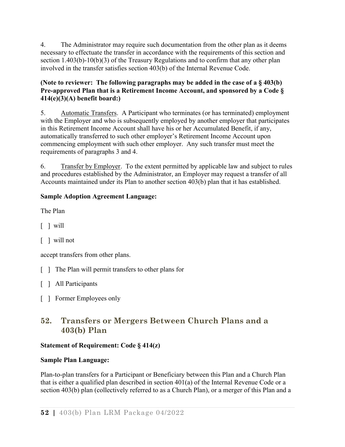4. The Administrator may require such documentation from the other plan as it deems necessary to effectuate the transfer in accordance with the requirements of this section and section 1.403(b)-10(b)(3) of the Treasury Regulations and to confirm that any other plan involved in the transfer satisfies section 403(b) of the Internal Revenue Code.

## **(Note to reviewer: The following paragraphs may be added in the case of a § 403(b) Pre-approved Plan that is a Retirement Income Account, and sponsored by a Code § 414(e)(3)(A) benefit board:)**

5. Automatic Transfers. A Participant who terminates (or has terminated) employment with the Employer and who is subsequently employed by another employer that participates in this Retirement Income Account shall have his or her Accumulated Benefit, if any, automatically transferred to such other employer's Retirement Income Account upon commencing employment with such other employer. Any such transfer must meet the requirements of paragraphs 3 and 4.

6. Transfer by Employer. To the extent permitted by applicable law and subject to rules and procedures established by the Administrator, an Employer may request a transfer of all Accounts maintained under its Plan to another section 403(b) plan that it has established.

# **Sample Adoption Agreement Language:**

The Plan

- $\lceil$   $\lceil$  will
- [ ] will not

accept transfers from other plans.

- [ ] The Plan will permit transfers to other plans for
- [ ] All Participants
- [ ] Former Employees only

# **52. Transfers or Mergers Between Church Plans and a 403(b) Plan**

## **Statement of Requirement: Code § 414(z)**

## **Sample Plan Language:**

Plan-to-plan transfers for a Participant or Beneficiary between this Plan and a Church Plan that is either a qualified plan described in section 401(a) of the Internal Revenue Code or a section 403(b) plan (collectively referred to as a Church Plan), or a merger of this Plan and a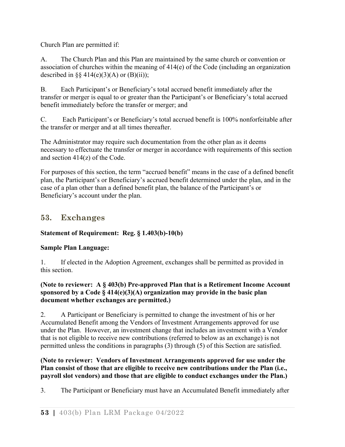Church Plan are permitted if:

A. The Church Plan and this Plan are maintained by the same church or convention or association of churches within the meaning of 414(e) of the Code (including an organization described in  $\S$  414(e)(3)(A) or (B)(ii));

B. Each Participant's or Beneficiary's total accrued benefit immediately after the transfer or merger is equal to or greater than the Participant's or Beneficiary's total accrued benefit immediately before the transfer or merger; and

C. Each Participant's or Beneficiary's total accrued benefit is 100% nonforfeitable after the transfer or merger and at all times thereafter.

The Administrator may require such documentation from the other plan as it deems necessary to effectuate the transfer or merger in accordance with requirements of this section and section 414(z) of the Code.

For purposes of this section, the term "accrued benefit" means in the case of a defined benefit plan, the Participant's or Beneficiary's accrued benefit determined under the plan, and in the case of a plan other than a defined benefit plan, the balance of the Participant's or Beneficiary's account under the plan.

# **53. Exchanges**

# **Statement of Requirement: Reg. § 1.403(b)-10(b)**

# **Sample Plan Language:**

1. If elected in the Adoption Agreement, exchanges shall be permitted as provided in this section.

### **(Note to reviewer: A § 403(b) Pre-approved Plan that is a Retirement Income Account sponsored by a Code § 414(e)(3)(A) organization may provide in the basic plan document whether exchanges are permitted.)**

2. A Participant or Beneficiary is permitted to change the investment of his or her Accumulated Benefit among the Vendors of Investment Arrangements approved for use under the Plan. However, an investment change that includes an investment with a Vendor that is not eligible to receive new contributions (referred to below as an exchange) is not permitted unless the conditions in paragraphs (3) through (5) of this Section are satisfied.

### **(Note to reviewer: Vendors of Investment Arrangements approved for use under the Plan consist of those that are eligible to receive new contributions under the Plan (i.e., payroll slot vendors) and those that are eligible to conduct exchanges under the Plan.)**

3. The Participant or Beneficiary must have an Accumulated Benefit immediately after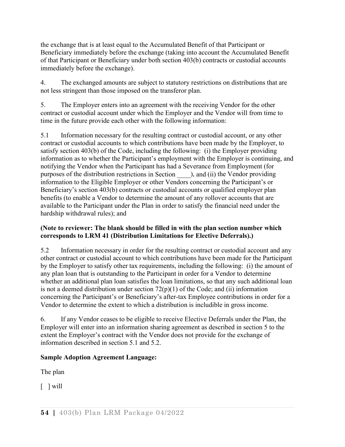the exchange that is at least equal to the Accumulated Benefit of that Participant or Beneficiary immediately before the exchange (taking into account the Accumulated Benefit of that Participant or Beneficiary under both section 403(b) contracts or custodial accounts immediately before the exchange).

4. The exchanged amounts are subject to statutory restrictions on distributions that are not less stringent than those imposed on the transferor plan.

5. The Employer enters into an agreement with the receiving Vendor for the other contract or custodial account under which the Employer and the Vendor will from time to time in the future provide each other with the following information:

5.1 Information necessary for the resulting contract or custodial account, or any other contract or custodial accounts to which contributions have been made by the Employer, to satisfy section 403(b) of the Code, including the following: (i) the Employer providing information as to whether the Participant's employment with the Employer is continuing, and notifying the Vendor when the Participant has had a Severance from Employment (for purposes of the distribution restrictions in Section  $\qquad$  ), and (ii) the Vendor providing information to the Eligible Employer or other Vendors concerning the Participant's or Beneficiary's section 403(b) contracts or custodial accounts or qualified employer plan benefits (to enable a Vendor to determine the amount of any rollover accounts that are available to the Participant under the Plan in order to satisfy the financial need under the hardship withdrawal rules); and

### **(Note to reviewer: The blank should be filled in with the plan section number which corresponds to LRM 41 (Distribution Limitations for Elective Deferrals).)**

5.2 Information necessary in order for the resulting contract or custodial account and any other contract or custodial account to which contributions have been made for the Participant by the Employer to satisfy other tax requirements, including the following: (i) the amount of any plan loan that is outstanding to the Participant in order for a Vendor to determine whether an additional plan loan satisfies the loan limitations, so that any such additional loan is not a deemed distribution under section  $72(p)(1)$  of the Code; and (ii) information concerning the Participant's or Beneficiary's after-tax Employee contributions in order for a Vendor to determine the extent to which a distribution is includible in gross income.

6. If any Vendor ceases to be eligible to receive Elective Deferrals under the Plan, the Employer will enter into an information sharing agreement as described in section 5 to the extent the Employer's contract with the Vendor does not provide for the exchange of information described in section 5.1 and 5.2.

## **Sample Adoption Agreement Language:**

The plan

 $\lceil$   $\lceil$  will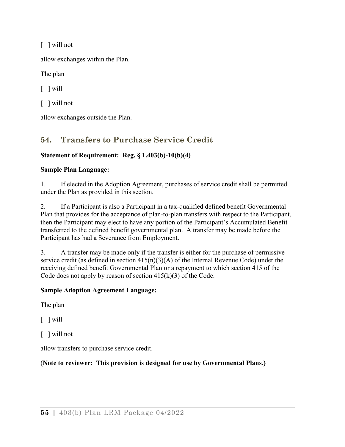[ ] will not

allow exchanges within the Plan.

The plan

 $\lceil$   $\lceil$  will

[ ] will not

allow exchanges outside the Plan.

# **54. Transfers to Purchase Service Credit**

## **Statement of Requirement: Reg. § 1.403(b)-10(b)(4)**

## **Sample Plan Language:**

1. If elected in the Adoption Agreement, purchases of service credit shall be permitted under the Plan as provided in this section.

2. If a Participant is also a Participant in a tax-qualified defined benefit Governmental Plan that provides for the acceptance of plan-to-plan transfers with respect to the Participant, then the Participant may elect to have any portion of the Participant's Accumulated Benefit transferred to the defined benefit governmental plan. A transfer may be made before the Participant has had a Severance from Employment.

3. A transfer may be made only if the transfer is either for the purchase of permissive service credit (as defined in section  $415(n)(3)(A)$  of the Internal Revenue Code) under the receiving defined benefit Governmental Plan or a repayment to which section 415 of the Code does not apply by reason of section  $415(k)(3)$  of the Code.

## **Sample Adoption Agreement Language:**

The plan

 $\lceil$   $\lceil$  will

[ ] will not

allow transfers to purchase service credit.

# (**Note to reviewer: This provision is designed for use by Governmental Plans.)**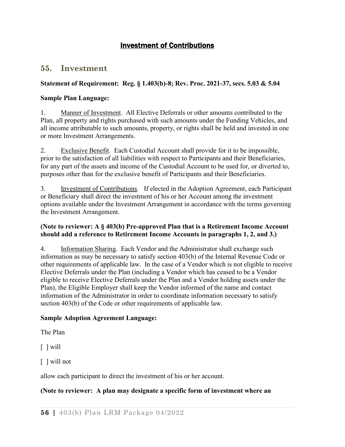# Investment of Contributions

## **55. Investment**

### **Statement of Requirement: Reg. § 1.403(b)-8; Rev. Proc. 2021-37, secs. 5.03 & 5.04**

#### **Sample Plan Language:**

1. Manner of Investment. All Elective Deferrals or other amounts contributed to the Plan, all property and rights purchased with such amounts under the Funding Vehicles, and all income attributable to such amounts, property, or rights shall be held and invested in one or more Investment Arrangements.

2. Exclusive Benefit. Each Custodial Account shall provide for it to be impossible, prior to the satisfaction of all liabilities with respect to Participants and their Beneficiaries, for any part of the assets and income of the Custodial Account to be used for, or diverted to, purposes other than for the exclusive benefit of Participants and their Beneficiaries.

3. Investment of Contributions. If elected in the Adoption Agreement, each Participant or Beneficiary shall direct the investment of his or her Account among the investment options available under the Investment Arrangement in accordance with the terms governing the Investment Arrangement.

#### **(Note to reviewer: A § 403(b) Pre-approved Plan that is a Retirement Income Account should add a reference to Retirement Income Accounts in paragraphs 1, 2, and 3.)**

4. Information Sharing. Each Vendor and the Administrator shall exchange such information as may be necessary to satisfy section 403(b) of the Internal Revenue Code or other requirements of applicable law. In the case of a Vendor which is not eligible to receive Elective Deferrals under the Plan (including a Vendor which has ceased to be a Vendor eligible to receive Elective Deferrals under the Plan and a Vendor holding assets under the Plan), the Eligible Employer shall keep the Vendor informed of the name and contact information of the Administrator in order to coordinate information necessary to satisfy section 403(b) of the Code or other requirements of applicable law.

### **Sample Adoption Agreement Language:**

The Plan

 $\lceil$   $\lceil$  will

[ ] will not

allow each participant to direct the investment of his or her account.

### **(Note to reviewer: A plan may designate a specific form of investment where an**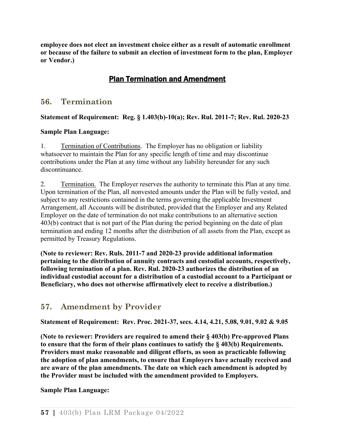**employee does not elect an investment choice either as a result of automatic enrollment or because of the failure to submit an election of investment form to the plan, Employer or Vendor.)**

# Plan Termination and Amendment

# **56. Termination**

**Statement of Requirement: Reg. § 1.403(b)-10(a); Rev. Rul. 2011-7; Rev. Rul. 2020-23**

### **Sample Plan Language:**

1. Termination of Contributions. The Employer has no obligation or liability whatsoever to maintain the Plan for any specific length of time and may discontinue contributions under the Plan at any time without any liability hereunder for any such discontinuance.

2. Termination. The Employer reserves the authority to terminate this Plan at any time. Upon termination of the Plan, all nonvested amounts under the Plan will be fully vested, and subject to any restrictions contained in the terms governing the applicable Investment Arrangement, all Accounts will be distributed, provided that the Employer and any Related Employer on the date of termination do not make contributions to an alternative section 403(b) contract that is not part of the Plan during the period beginning on the date of plan termination and ending 12 months after the distribution of all assets from the Plan, except as permitted by Treasury Regulations.

**(Note to reviewer: Rev. Ruls. 2011-7 and 2020-23 provide additional information pertaining to the distribution of annuity contracts and custodial accounts, respectively, following termination of a plan. Rev. Rul. 2020-23 authorizes the distribution of an individual custodial account for a distribution of a custodial account to a Participant or Beneficiary, who does not otherwise affirmatively elect to receive a distribution.)**

# **57. Amendment by Provider**

**Statement of Requirement: Rev. Proc. 2021-37, secs. 4.14, 4.21, 5.08, 9.01, 9.02 & 9.05**

**(Note to reviewer: Providers are required to amend their § 403(b) Pre-approved Plans to ensure that the form of their plans continues to satisfy the § 403(b) Requirements. Providers must make reasonable and diligent efforts, as soon as practicable following the adoption of plan amendments, to ensure that Employers have actually received and are aware of the plan amendments. The date on which each amendment is adopted by the Provider must be included with the amendment provided to Employers.**

**Sample Plan Language:**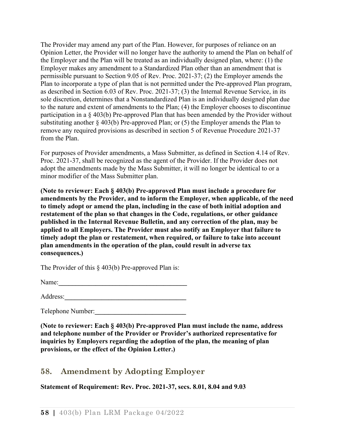The Provider may amend any part of the Plan. However, for purposes of reliance on an Opinion Letter, the Provider will no longer have the authority to amend the Plan on behalf of the Employer and the Plan will be treated as an individually designed plan, where: (1) the Employer makes any amendment to a Standardized Plan other than an amendment that is permissible pursuant to Section 9.05 of Rev. Proc. 2021-37; (2) the Employer amends the Plan to incorporate a type of plan that is not permitted under the Pre-approved Plan program, as described in Section 6.03 of Rev. Proc. 2021-37; (3) the Internal Revenue Service, in its sole discretion, determines that a Nonstandardized Plan is an individually designed plan due to the nature and extent of amendments to the Plan; (4) the Employer chooses to discontinue participation in a § 403(b) Pre-approved Plan that has been amended by the Provider without substituting another § 403(b) Pre-approved Plan; or (5) the Employer amends the Plan to remove any required provisions as described in section 5 of Revenue Procedure 2021-37 from the Plan.

For purposes of Provider amendments, a Mass Submitter, as defined in Section 4.14 of Rev. Proc. 2021-37, shall be recognized as the agent of the Provider. If the Provider does not adopt the amendments made by the Mass Submitter, it will no longer be identical to or a minor modifier of the Mass Submitter plan.

**(Note to reviewer: Each § 403(b) Pre-approved Plan must include a procedure for amendments by the Provider, and to inform the Employer, when applicable, of the need to timely adopt or amend the plan, including in the case of both initial adoption and restatement of the plan so that changes in the Code, regulations, or other guidance published in the Internal Revenue Bulletin, and any correction of the plan, may be applied to all Employers. The Provider must also notify an Employer that failure to timely adopt the plan or restatement, when required, or failure to take into account plan amendments in the operation of the plan, could result in adverse tax consequences.)**

The Provider of this  $\&$  403(b) Pre-approved Plan is:

Name:**\_\_\_\_\_\_\_\_\_\_\_\_\_\_\_\_\_\_\_\_\_\_\_\_\_\_\_\_\_\_\_\_\_\_\_\_\_\_**

Address:**\_\_\_\_\_\_\_\_\_\_\_\_\_\_\_\_\_\_\_\_\_\_\_\_\_\_\_\_\_\_\_\_\_\_\_\_**

Telephone Number:**\_\_\_\_\_\_\_\_\_\_\_\_\_\_\_\_\_\_\_\_\_\_\_\_\_\_\_**

**(Note to reviewer: Each § 403(b) Pre-approved Plan must include the name, address and telephone number of the Provider or Provider's authorized representative for inquiries by Employers regarding the adoption of the plan, the meaning of plan provisions, or the effect of the Opinion Letter.)**

# **58. Amendment by Adopting Employer**

**Statement of Requirement: Rev. Proc. 2021-37, secs. 8.01, 8.04 and 9.03**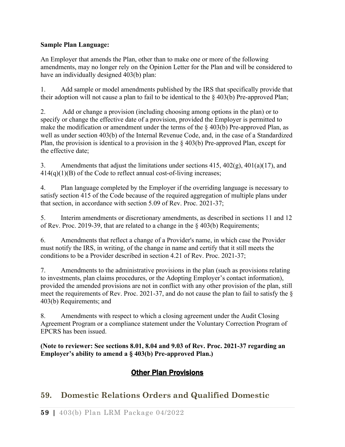### **Sample Plan Language:**

An Employer that amends the Plan, other than to make one or more of the following amendments, may no longer rely on the Opinion Letter for the Plan and will be considered to have an individually designed 403(b) plan:

1. Add sample or model amendments published by the IRS that specifically provide that their adoption will not cause a plan to fail to be identical to the  $\S$  403(b) Pre-approved Plan;

2. Add or change a provision (including choosing among options in the plan) or to specify or change the effective date of a provision, provided the Employer is permitted to make the modification or amendment under the terms of the  $\S$  403(b) Pre-approved Plan, as well as under section 403(b) of the Internal Revenue Code, and, in the case of a Standardized Plan, the provision is identical to a provision in the  $\S$  403(b) Pre-approved Plan, except for the effective date;

3. Amendments that adjust the limitations under sections  $415, 402(g), 401(a)(17)$ , and 414(q)(1)(B) of the Code to reflect annual cost-of-living increases;

4. Plan language completed by the Employer if the overriding language is necessary to satisfy section 415 of the Code because of the required aggregation of multiple plans under that section, in accordance with section 5.09 of Rev. Proc. 2021-37;

5. Interim amendments or discretionary amendments, as described in sections 11 and 12 of Rev. Proc. 2019-39, that are related to a change in the § 403(b) Requirements;

6. Amendments that reflect a change of a Provider's name, in which case the Provider must notify the IRS, in writing, of the change in name and certify that it still meets the conditions to be a Provider described in section 4.21 of Rev. Proc. 2021-37;

7. Amendments to the administrative provisions in the plan (such as provisions relating to investments, plan claims procedures, or the Adopting Employer's contact information), provided the amended provisions are not in conflict with any other provision of the plan, still meet the requirements of Rev. Proc. 2021-37, and do not cause the plan to fail to satisfy the § 403(b) Requirements; and

8. Amendments with respect to which a closing agreement under the Audit Closing Agreement Program or a compliance statement under the Voluntary Correction Program of EPCRS has been issued.

**(Note to reviewer: See sections 8.01, 8.04 and 9.03 of Rev. Proc. 2021-37 regarding an Employer's ability to amend a § 403(b) Pre-approved Plan.)**

# Other Plan Provisions

# **59. Domestic Relations Orders and Qualified Domestic**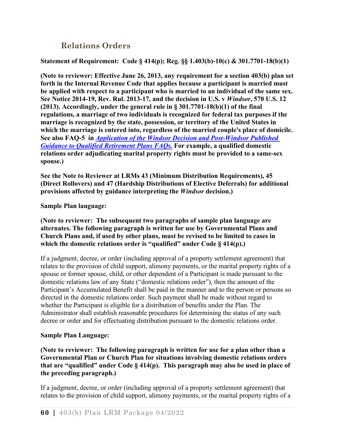# **Relations Orders**

#### **Statement of Requirement: Code § 414(p); Reg. §§ 1.403(b)-10(c) & 301.7701-18(b)(1)**

**(Note to reviewer: Effective June 26, 2013, any requirement for a section 403(b) plan set forth in the Internal Revenue Code that applies because a participant is married must be applied with respect to a participant who is married to an individual of the same sex. See Notice 2014-19, Rev. Rul. 2013-17, and the decision in U.S. v** *Windsor***, 570 U.S. 12 (2013). Accordingly, under the general rule in § 301.7701-18(b)(1) of the final regulations, a marriage of two individuals is recognized for federal tax purposes if the marriage is recognized by the state, possession, or territory of the United States in which the marriage is entered into, regardless of the married couple's place of domicile. See also FAQ-5 in** *[Application of the Windsor Decision and Post-Windsor Published](https://www.irs.gov/retirement-plans/application-of-the-windsor-decision-and-post-windsor-published-guidance-to-qualified-retirement-plans-faqs)  [Guidance to Qualified Retirement Plans FAQs.](https://www.irs.gov/retirement-plans/application-of-the-windsor-decision-and-post-windsor-published-guidance-to-qualified-retirement-plans-faqs)* **For example, a qualified domestic relations order adjudicating marital property rights must be provided to a same-sex spouse.)** 

**See the Note to Reviewer at LRMs 43 (Minimum Distribution Requirements), 45 (Direct Rollovers) and 47 (Hardship Distributions of Elective Deferrals) for additional provisions affected by guidance interpreting the** *Windsor* **decision.)**

#### **Sample Plan language:**

**(Note to reviewer: The subsequent two paragraphs of sample plan language are alternates. The following paragraph is written for use by Governmental Plans and Church Plans and, if used by other plans, must be revised to be limited to cases in which the domestic relations order is "qualified" under Code § 414(p).)**

If a judgment, decree, or order (including approval of a property settlement agreement) that relates to the provision of child support, alimony payments, or the marital property rights of a spouse or former spouse, child, or other dependent of a Participant is made pursuant to the domestic relations law of any State ("domestic relations order"), then the amount of the Participant's Accumulated Benefit shall be paid in the manner and to the person or persons so directed in the domestic relations order. Such payment shall be made without regard to whether the Participant is eligible for a distribution of benefits under the Plan. The Administrator shall establish reasonable procedures for determining the status of any such decree or order and for effectuating distribution pursuant to the domestic relations order.

#### **Sample Plan Language:**

**(Note to reviewer: The following paragraph is written for use for a plan other than a Governmental Plan or Church Plan for situations involving domestic relations orders that are "qualified" under Code § 414(p). This paragraph may also be used in place of the preceding paragraph.)**

If a judgment, decree, or order (including approval of a property settlement agreement) that relates to the provision of child support, alimony payments, or the marital property rights of a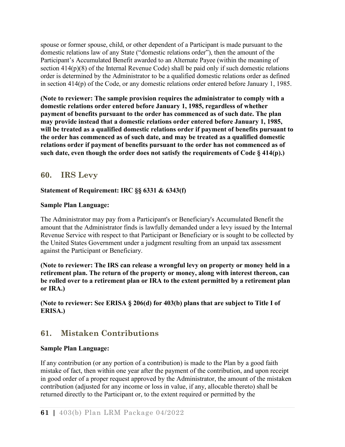spouse or former spouse, child, or other dependent of a Participant is made pursuant to the domestic relations law of any State ("domestic relations order"), then the amount of the Participant's Accumulated Benefit awarded to an Alternate Payee (within the meaning of section  $414(p)(8)$  of the Internal Revenue Code) shall be paid only if such domestic relations order is determined by the Administrator to be a qualified domestic relations order as defined in section 414(p) of the Code, or any domestic relations order entered before January 1, 1985.

**(Note to reviewer: The sample provision requires the administrator to comply with a domestic relations order entered before January 1, 1985, regardless of whether payment of benefits pursuant to the order has commenced as of such date. The plan may provide instead that a domestic relations order entered before January 1, 1985, will be treated as a qualified domestic relations order if payment of benefits pursuant to the order has commenced as of such date, and may be treated as a qualified domestic relations order if payment of benefits pursuant to the order has not commenced as of such date, even though the order does not satisfy the requirements of Code § 414(p).)**

# **60. IRS Levy**

### **Statement of Requirement: IRC §§ 6331 & 6343(f)**

### **Sample Plan Language:**

The Administrator may pay from a Participant's or Beneficiary's Accumulated Benefit the amount that the Administrator finds is lawfully demanded under a levy issued by the Internal Revenue Service with respect to that Participant or Beneficiary or is sought to be collected by the United States Government under a judgment resulting from an unpaid tax assessment against the Participant or Beneficiary.

**(Note to reviewer: The IRS can release a wrongful levy on property or money held in a retirement plan. The return of the property or money, along with interest thereon, can be rolled over to a retirement plan or IRA to the extent permitted by a retirement plan or IRA.)**

### **(Note to reviewer: See ERISA § 206(d) for 403(b) plans that are subject to Title I of ERISA.)**

# **61. Mistaken Contributions**

### **Sample Plan Language:**

If any contribution (or any portion of a contribution) is made to the Plan by a good faith mistake of fact, then within one year after the payment of the contribution, and upon receipt in good order of a proper request approved by the Administrator, the amount of the mistaken contribution (adjusted for any income or loss in value, if any, allocable thereto) shall be returned directly to the Participant or, to the extent required or permitted by the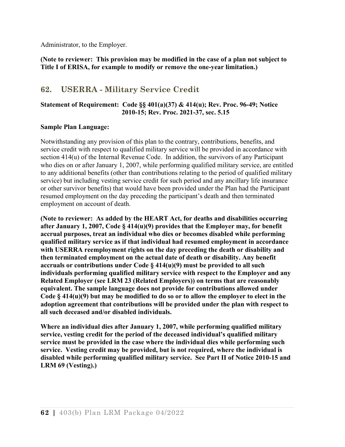Administrator, to the Employer.

**(Note to reviewer: This provision may be modified in the case of a plan not subject to Title I of ERISA, for example to modify or remove the one-year limitation.)**

# **62. USERRA - Military Service Credit**

#### **Statement of Requirement: Code §§ 401(a)(37) & 414(u); Rev. Proc. 96-49; Notice 2010-15; Rev. Proc. 2021-37, sec. 5.15**

#### **Sample Plan Language:**

Notwithstanding any provision of this plan to the contrary, contributions, benefits, and service credit with respect to qualified military service will be provided in accordance with section 414(u) of the Internal Revenue Code. In addition, the survivors of any Participant who dies on or after January 1, 2007, while performing qualified military service, are entitled to any additional benefits (other than contributions relating to the period of qualified military service) but including vesting service credit for such period and any ancillary life insurance or other survivor benefits) that would have been provided under the Plan had the Participant resumed employment on the day preceding the participant's death and then terminated employment on account of death.

**(Note to reviewer: As added by the HEART Act, for deaths and disabilities occurring after January 1, 2007, Code § 414(u)(9) provides that the Employer may, for benefit accrual purposes, treat an individual who dies or becomes disabled while performing qualified military service as if that individual had resumed employment in accordance with USERRA reemployment rights on the day preceding the death or disability and then terminated employment on the actual date of death or disability. Any benefit accruals or contributions under Code § 414(u)(9) must be provided to all such individuals performing qualified military service with respect to the Employer and any Related Employer (see LRM 23 (Related Employers)) on terms that are reasonably equivalent. The sample language does not provide for contributions allowed under Code § 414(u)(9) but may be modified to do so or to allow the employer to elect in the adoption agreement that contributions will be provided under the plan with respect to all such deceased and/or disabled individuals.**

**Where an individual dies after January 1, 2007, while performing qualified military service, vesting credit for the period of the deceased individual's qualified military service must be provided in the case where the individual dies while performing such service. Vesting credit may be provided, but is not required, where the individual is disabled while performing qualified military service. See Part II of Notice 2010-15 and LRM 69 (Vesting).)**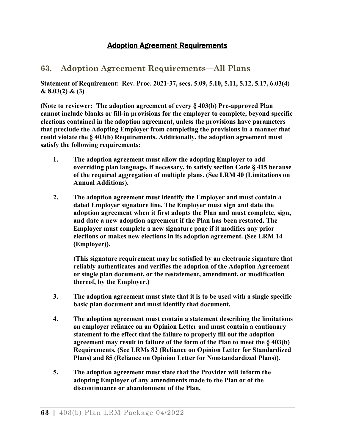# Adoption Agreement Requirements

# **63. Adoption Agreement Requirements—All Plans**

**Statement of Requirement: Rev. Proc. 2021-37, secs. 5.09, 5.10, 5.11, 5.12, 5.17, 6.03(4) & 8.03(2) & (3)**

**(Note to reviewer: The adoption agreement of every § 403(b) Pre-approved Plan cannot include blanks or fill-in provisions for the employer to complete, beyond specific elections contained in the adoption agreement, unless the provisions have parameters that preclude the Adopting Employer from completing the provisions in a manner that could violate the § 403(b) Requirements. Additionally, the adoption agreement must satisfy the following requirements:**

- **1. The adoption agreement must allow the adopting Employer to add overriding plan language, if necessary, to satisfy section Code § 415 because of the required aggregation of multiple plans. (See LRM 40 (Limitations on Annual Additions).**
- **2. The adoption agreement must identify the Employer and must contain a dated Employer signature line. The Employer must sign and date the adoption agreement when it first adopts the Plan and must complete, sign, and date a new adoption agreement if the Plan has been restated. The Employer must complete a new signature page if it modifies any prior elections or makes new elections in its adoption agreement. (See LRM 14 (Employer)).**

**(This signature requirement may be satisfied by an electronic signature that reliably authenticates and verifies the adoption of the Adoption Agreement or single plan document, or the restatement, amendment, or modification thereof, by the Employer.)**

- **3. The adoption agreement must state that it is to be used with a single specific basic plan document and must identify that document.**
- **4. The adoption agreement must contain a statement describing the limitations on employer reliance on an Opinion Letter and must contain a cautionary statement to the effect that the failure to properly fill out the adoption agreement may result in failure of the form of the Plan to meet the § 403(b) Requirements. (See LRMs 82 (Reliance on Opinion Letter for Standardized Plans) and 85 (Reliance on Opinion Letter for Nonstandardized Plans)).**
- **5. The adoption agreement must state that the Provider will inform the adopting Employer of any amendments made to the Plan or of the discontinuance or abandonment of the Plan.**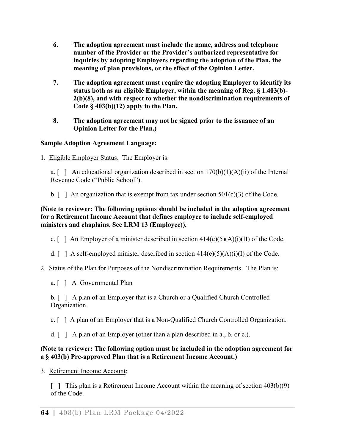- **6. The adoption agreement must include the name, address and telephone number of the Provider or the Provider's authorized representative for inquiries by adopting Employers regarding the adoption of the Plan, the meaning of plan provisions, or the effect of the Opinion Letter.**
- **7. The adoption agreement must require the adopting Employer to identify its status both as an eligible Employer, within the meaning of Reg. § 1.403(b)- 2(b)(8), and with respect to whether the nondiscrimination requirements of Code § 403(b)(12) apply to the Plan.**
- **8. The adoption agreement may not be signed prior to the issuance of an Opinion Letter for the Plan.)**

### **Sample Adoption Agreement Language:**

1. Eligible Employer Status. The Employer is:

a. [ ] An educational organization described in section  $170(b)(1)(A)(ii)$  of the Internal Revenue Code ("Public School").

b.  $\lceil \ \rceil$  An organization that is exempt from tax under section 501(c)(3) of the Code.

### **(Note to reviewer: The following options should be included in the adoption agreement for a Retirement Income Account that defines employee to include self-employed ministers and chaplains. See LRM 13 (Employee)).**

c.  $\lceil \ \rceil$  An Employer of a minister described in section 414(e)(5)(A)(i)(II) of the Code.

- d.  $\lceil \ \rceil$  A self-employed minister described in section 414(e)(5)(A)(i)(I) of the Code.
- 2. Status of the Plan for Purposes of the Nondiscrimination Requirements. The Plan is:
	- a. [ ] A Governmental Plan

b. [ ] A plan of an Employer that is a Church or a Qualified Church Controlled Organization.

c. [ ] A plan of an Employer that is a Non-Qualified Church Controlled Organization.

d.  $\lceil \ \rceil$  A plan of an Employer (other than a plan described in a., b. or c.).

## **(Note to reviewer: The following option must be included in the adoption agreement for a § 403(b) Pre-approved Plan that is a Retirement Income Account.)**

3. Retirement Income Account:

[ ] This plan is a Retirement Income Account within the meaning of section  $403(b)(9)$ of the Code.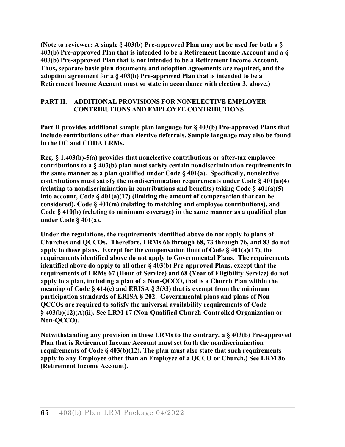**(Note to reviewer: A single § 403(b) Pre-approved Plan may not be used for both a § 403(b) Pre-approved Plan that is intended to be a Retirement Income Account and a § 403(b) Pre-approved Plan that is not intended to be a Retirement Income Account. Thus, separate basic plan documents and adoption agreements are required, and the adoption agreement for a § 403(b) Pre-approved Plan that is intended to be a Retirement Income Account must so state in accordance with election 3, above.)**

### **PART II. ADDITIONAL PROVISIONS FOR NONELECTIVE EMPLOYER CONTRIBUTIONS AND EMPLOYEE CONTRIBUTIONS**

**Part II provides additional sample plan language for § 403(b) Pre-approved Plans that include contributions other than elective deferrals. Sample language may also be found in the DC and CODA LRMs.**

**Reg. § 1.403(b)-5(a) provides that nonelective contributions or after-tax employee contributions to a § 403(b) plan must satisfy certain nondiscrimination requirements in the same manner as a plan qualified under Code § 401(a). Specifically, nonelective contributions must satisfy the nondiscrimination requirements under Code § 401(a)(4) (relating to nondiscrimination in contributions and benefits) taking Code § 401(a)(5) into account, Code § 401(a)(17) (limiting the amount of compensation that can be considered), Code § 401(m) (relating to matching and employee contributions), and Code § 410(b) (relating to minimum coverage) in the same manner as a qualified plan under Code § 401(a).**

**Under the regulations, the requirements identified above do not apply to plans of Churches and QCCOs. Therefore, LRMs 66 through 68, 73 through 76, and 83 do not apply to these plans. Except for the compensation limit of Code § 401(a)(17), the requirements identified above do not apply to Governmental Plans. The requirements identified above do apply to all other § 403(b) Pre-approved Plans, except that the requirements of LRMs 67 (Hour of Service) and 68 (Year of Eligibility Service) do not apply to a plan, including a plan of a Non-QCCO, that is a Church Plan within the meaning of Code § 414(e) and ERISA § 3(33) that is exempt from the minimum participation standards of ERISA § 202. Governmental plans and plans of Non-QCCOs are required to satisfy the universal availability requirements of Code § 403(b)(12)(A)(ii). See LRM 17 (Non-Qualified Church-Controlled Organization or Non-QCCO).**

**Notwithstanding any provision in these LRMs to the contrary, a § 403(b) Pre-approved Plan that is Retirement Income Account must set forth the nondiscrimination requirements of Code § 403(b)(12). The plan must also state that such requirements apply to any Employee other than an Employee of a QCCO or Church.) See LRM 86 (Retirement Income Account).**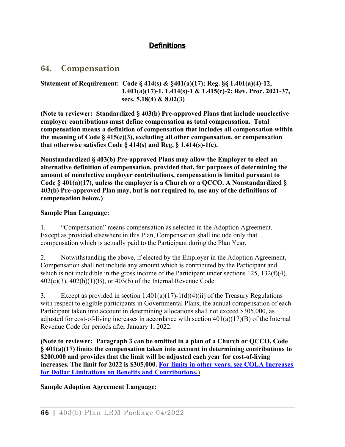# **Definitions**

## **64. Compensation**

#### **Statement of Requirement: Code § 414(s) & §401(a)(17); Reg. §§ 1.401(a)(4)-12, 1.401(a)(17)-1, 1.414(s)-1 & 1.415(c)-2; Rev. Proc. 2021-37, secs. 5.18(4) & 8.02(3)**

**(Note to reviewer: Standardized § 403(b) Pre-approved Plans that include nonelective employer contributions must define compensation as total compensation. Total compensation means a definition of compensation that includes all compensation within the meaning of Code § 415(c)(3), excluding all other compensation, or compensation that otherwise satisfies Code § 414(s) and Reg. § 1.414(s)-1(c).**

**Nonstandardized § 403(b) Pre-approved Plans may allow the Employer to elect an alternative definition of compensation, provided that, for purposes of determining the amount of nonelective employer contributions, compensation is limited pursuant to Code § 401(a)(17), unless the employer is a Church or a QCCO. A Nonstandardized § 403(b) Pre-approved Plan may, but is not required to, use any of the definitions of compensation below.)** 

### **Sample Plan Language:**

1. "Compensation" means compensation as selected in the Adoption Agreement. Except as provided elsewhere in this Plan, Compensation shall include only that compensation which is actually paid to the Participant during the Plan Year.

2. Notwithstanding the above, if elected by the Employer in the Adoption Agreement, Compensation shall not include any amount which is contributed by the Participant and which is not includible in the gross income of the Participant under sections 125, 132(f)(4), 402(e)(3), 402(h)(1)(B), or 403(b) of the Internal Revenue Code.

3. Except as provided in section 1.401(a)(17)-1(d)(4)(ii) of the Treasury Regulations with respect to eligible participants in Governmental Plans, the annual compensation of each Participant taken into account in determining allocations shall not exceed \$305,000, as adjusted for cost-of-living increases in accordance with section 401(a)(17)(B) of the Internal Revenue Code for periods after January 1, 2022.

**(Note to reviewer: Paragraph 3 can be omitted in a plan of a Church or QCCO. Code § 401(a)(17) limits the compensation taken into account in determining contributions to \$200,000 and provides that the limit will be adjusted each year for cost-of-living increases. The limit for 2022 is \$305,000. [For limits in other years, see COLA Increases](http://www.irs.gov/Retirement-Plans/COLA-Increases-for-Dollar-Limitations-on-Benefits-and-Contributions)  [for Dollar Limitations on Benefits and Contributions.](http://www.irs.gov/Retirement-Plans/COLA-Increases-for-Dollar-Limitations-on-Benefits-and-Contributions)**)

**Sample Adoption Agreement Language:**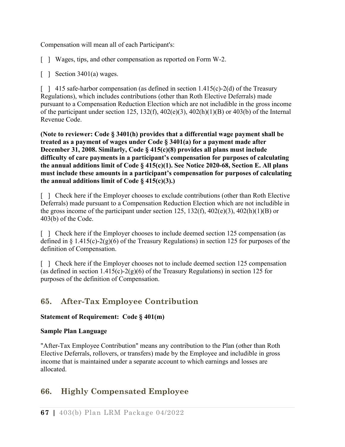Compensation will mean all of each Participant's:

- [ ] Wages, tips, and other compensation as reported on Form W-2.
- [ ] Section 3401(a) wages.

 $\lceil$  | 415 safe-harbor compensation (as defined in section 1.415(c)-2(d) of the Treasury Regulations), which includes contributions (other than Roth Elective Deferrals) made pursuant to a Compensation Reduction Election which are not includible in the gross income of the participant under section 125, 132(f),  $402(e)(3)$ ,  $402(h)(1)(B)$  or  $403(b)$  of the Internal Revenue Code.

**(Note to reviewer: Code § 3401(h) provides that a differential wage payment shall be treated as a payment of wages under Code § 3401(a) for a payment made after December 31, 2008. Similarly, Code § 415(c)(8) provides all plans must include difficulty of care payments in a participant's compensation for purposes of calculating the annual additions limit of Code § 415(c)(1). See Notice 2020-68, Section E. All plans must include these amounts in a participant's compensation for purposes of calculating the annual additions limit of Code § 415(c)(3).)**

[ ] Check here if the Employer chooses to exclude contributions (other than Roth Elective Deferrals) made pursuant to a Compensation Reduction Election which are not includible in the gross income of the participant under section 125, 132(f),  $402(e)(3)$ ,  $402(h)(1)(B)$  or 403(b) of the Code.

[ ] Check here if the Employer chooses to include deemed section 125 compensation (as defined in  $\S 1.415(c) - 2(g)(6)$  of the Treasury Regulations) in section 125 for purposes of the definition of Compensation.

[ ] Check here if the Employer chooses not to include deemed section 125 compensation (as defined in section  $1.415(c) - 2(g)(6)$  of the Treasury Regulations) in section 125 for purposes of the definition of Compensation.

# **65. After-Tax Employee Contribution**

## **Statement of Requirement: Code § 401(m)**

#### **Sample Plan Language**

"After-Tax Employee Contribution" means any contribution to the Plan (other than Roth Elective Deferrals, rollovers, or transfers) made by the Employee and includible in gross income that is maintained under a separate account to which earnings and losses are allocated.

## **66. Highly Compensated Employee**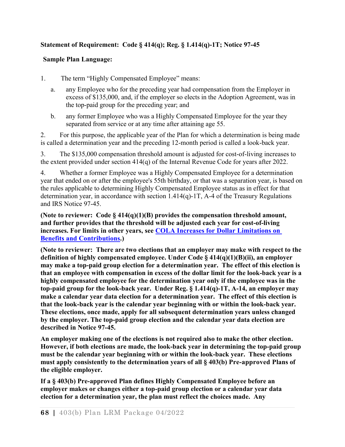## **Statement of Requirement: Code § 414(q); Reg. § 1.414(q)-1T; Notice 97-45**

#### **Sample Plan Language:**

1. The term "Highly Compensated Employee" means:

- a. any Employee who for the preceding year had compensation from the Employer in excess of \$135,000, and, if the employer so elects in the Adoption Agreement, was in the top-paid group for the preceding year; and
- b. any former Employee who was a Highly Compensated Employee for the year they separated from service or at any time after attaining age 55.

2. For this purpose, the applicable year of the Plan for which a determination is being made is called a determination year and the preceding 12-month period is called a look-back year.

3. The \$135,000 compensation threshold amount is adjusted for cost-of-living increases to the extent provided under section 414(q) of the Internal Revenue Code for years after 2022.

4. Whether a former Employee was a Highly Compensated Employee for a determination year that ended on or after the employee's 55th birthday, or that was a separation year, is based on the rules applicable to determining Highly Compensated Employee status as in effect for that determination year, in accordance with section 1.414(q)-1T, A-4 of the Treasury Regulations and IRS Notice 97-45.

**(Note to reviewer: Code § 414(q)(1)(B) provides the compensation threshold amount, and further provides that the threshold will be adjusted each year for cost-of-living increases. For limits in other years, see [COLA Increases for Dollar Limitations on](https://www.irs.gov/retirement-plans/cola-increases-for-dollar-limitations-on-benefits-and-contributions)  [Benefits and Contributions.](https://www.irs.gov/retirement-plans/cola-increases-for-dollar-limitations-on-benefits-and-contributions))**

**(Note to reviewer: There are two elections that an employer may make with respect to the definition of highly compensated employee. Under Code § 414(q)(1)(B)(ii), an employer may make a top-paid group election for a determination year. The effect of this election is that an employee with compensation in excess of the dollar limit for the look-back year is a highly compensated employee for the determination year only if the employee was in the top-paid group for the look-back year. Under Reg. § 1.414(q)-1T, A-14, an employer may make a calendar year data election for a determination year. The effect of this election is that the look-back year is the calendar year beginning with or within the look-back year. These elections, once made, apply for all subsequent determination years unless changed by the employer. The top-paid group election and the calendar year data election are described in Notice 97-45.** 

**An employer making one of the elections is not required also to make the other election. However, if both elections are made, the look-back year in determining the top-paid group must be the calendar year beginning with or within the look-back year. These elections must apply consistently to the determination years of all § 403(b) Pre-approved Plans of the eligible employer.**

**If a § 403(b) Pre-approved Plan defines Highly Compensated Employee before an employer makes or changes either a top-paid group election or a calendar year data election for a determination year, the plan must reflect the choices made. Any**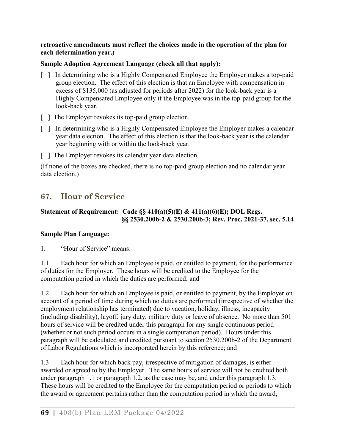#### **retroactive amendments must reflect the choices made in the operation of the plan for each determination year.)**

#### **Sample Adoption Agreement Language (check all that apply):**

- [ ] In determining who is a Highly Compensated Employee the Employer makes a top-paid group election. The effect of this election is that an Employee with compensation in excess of \$135,000 (as adjusted for periods after 2022) for the look-back year is a Highly Compensated Employee only if the Employee was in the top-paid group for the look-back year.
- [ ] The Employer revokes its top-paid group election.
- [ ] In determining who is a Highly Compensated Employee the Employer makes a calendar year data election. The effect of this election is that the look-back year is the calendar year beginning with or within the look-back year.
- [ ] The Employer revokes its calendar year data election.

(If none of the boxes are checked, there is no top-paid group election and no calendar year data election.)

# **67. Hour of Service**

## **Statement of Requirement: Code §§ 410(a)(5)(E) & 411(a)(6)(E); DOL Regs. §§ 2530.200b-2 & 2530.200b-3; Rev. Proc. 2021-37, sec. 5.14**

#### **Sample Plan Language:**

1. "Hour of Service" means:

1.1 Each hour for which an Employee is paid, or entitled to payment, for the performance of duties for the Employer. These hours will be credited to the Employee for the computation period in which the duties are performed; and

1.2 Each hour for which an Employee is paid, or entitled to payment, by the Employer on account of a period of time during which no duties are performed (irrespective of whether the employment relationship has terminated) due to vacation, holiday, illness, incapacity (including disability), layoff, jury duty, military duty or leave of absence. No more than 501 hours of service will be credited under this paragraph for any single continuous period (whether or not such period occurs in a single computation period). Hours under this paragraph will be calculated and credited pursuant to section 2530.200b-2 of the Department of Labor Regulations which is incorporated herein by this reference; and

1.3 Each hour for which back pay, irrespective of mitigation of damages, is either awarded or agreed to by the Employer. The same hours of service will not be credited both under paragraph 1.1 or paragraph 1.2, as the case may be, and under this paragraph 1.3. These hours will be credited to the Employee for the computation period or periods to which the award or agreement pertains rather than the computation period in which the award,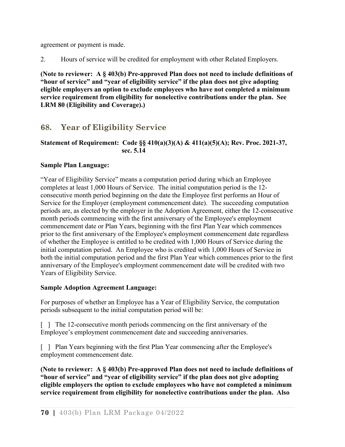agreement or payment is made.

2. Hours of service will be credited for employment with other Related Employers.

**(Note to reviewer: A § 403(b) Pre-approved Plan does not need to include definitions of "hour of service" and "year of eligibility service" if the plan does not give adopting eligible employers an option to exclude employees who have not completed a minimum service requirement from eligibility for nonelective contributions under the plan. See LRM 80 (Eligibility and Coverage).)**

# **68. Year of Eligibility Service**

## **Statement of Requirement: Code §§ 410(a)(3)(A) & 411(a)(5)(A); Rev. Proc. 2021-37, sec. 5.14**

## **Sample Plan Language:**

"Year of Eligibility Service" means a computation period during which an Employee completes at least 1,000 Hours of Service. The initial computation period is the 12 consecutive month period beginning on the date the Employee first performs an Hour of Service for the Employer (employment commencement date). The succeeding computation periods are, as elected by the employer in the Adoption Agreement, either the 12-consecutive month periods commencing with the first anniversary of the Employee's employment commencement date or Plan Years, beginning with the first Plan Year which commences prior to the first anniversary of the Employee's employment commencement date regardless of whether the Employee is entitled to be credited with 1,000 Hours of Service during the initial computation period. An Employee who is credited with 1,000 Hours of Service in both the initial computation period and the first Plan Year which commences prior to the first anniversary of the Employee's employment commencement date will be credited with two Years of Eligibility Service.

#### **Sample Adoption Agreement Language:**

For purposes of whether an Employee has a Year of Eligibility Service, the computation periods subsequent to the initial computation period will be:

[ ] The 12-consecutive month periods commencing on the first anniversary of the Employee's employment commencement date and succeeding anniversaries.

[ ] Plan Years beginning with the first Plan Year commencing after the Employee's employment commencement date.

**(Note to reviewer: A § 403(b) Pre-approved Plan does not need to include definitions of "hour of service" and "year of eligibility service" if the plan does not give adopting eligible employers the option to exclude employees who have not completed a minimum service requirement from eligibility for nonelective contributions under the plan. Also**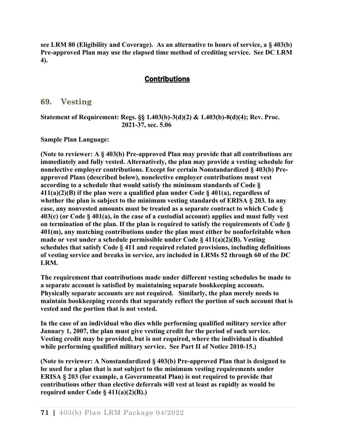**see LRM 80 (Eligibility and Coverage). As an alternative to hours of service, a § 403(b) Pre-approved Plan may use the elapsed time method of crediting service. See [DC LRM](http://www.irs.gov/pub/irs-tege/dc_lrm1011.pdf)  4).**

## **Contributions**

## **69. Vesting**

#### **Statement of Requirement: Regs. §§ 1.403(b)-3(d)(2) & 1.403(b)-8(d)(4); Rev. Proc. 2021-37, sec. 5.06**

**Sample Plan Language:**

**(Note to reviewer: A § 403(b) Pre-approved Plan may provide that all contributions are immediately and fully vested. Alternatively, the plan may provide a vesting schedule for nonelective employer contributions. Except for certain Nonstandardized § 403(b) Preapproved Plans (described below), nonelective employer contributions must vest according to a schedule that would satisfy the minimum standards of Code § 411(a)(2)(B) if the plan were a qualified plan under Code § 401(a), regardless of whether the plan is subject to the minimum vesting standards of ERISA § 203. In any case, any nonvested amounts must be treated as a separate contract to which Code § 403(c) (or Code § 401(a), in the case of a custodial account) applies and must fully vest on termination of the plan. If the plan is required to satisfy the requirements of Code § 401(m), any matching contributions under the plan must either be nonforfeitable when made or vest under a schedule permissible under Code § 411(a)(2)(B). Vesting schedules that satisfy Code § 411 and required related provisions, including definitions of vesting service and breaks in service, are included in LRMs 52 through 60 of the [DC](http://www.irs.gov/pub/irs-tege/dc_lrm1011.pdf)  [LRM.](http://www.irs.gov/pub/irs-tege/dc_lrm1011.pdf)**

**The requirement that contributions made under different vesting schedules be made to a separate account is satisfied by maintaining separate bookkeeping accounts. Physically separate accounts are not required. Similarly, the plan merely needs to maintain bookkeeping records that separately reflect the portion of such account that is vested and the portion that is not vested.**

**In the case of an individual who dies while performing qualified military service after January 1, 2007, the plan must give vesting credit for the period of such service. Vesting credit may be provided, but is not required, where the individual is disabled while performing qualified military service. See Part II of Notice 2010-15.)**

**(Note to reviewer: A Nonstandardized § 403(b) Pre-approved Plan that is designed to be used for a plan that is not subject to the minimum vesting requirements under ERISA § 203 (for example, a Governmental Plan) is not required to provide that contributions other than elective deferrals will vest at least as rapidly as would be required under Code § 411(a)(2)(B).)**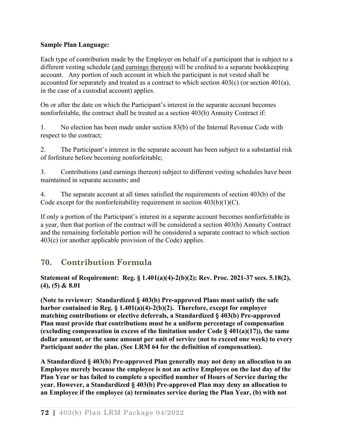#### **Sample Plan Language:**

Each type of contribution made by the Employer on behalf of a participant that is subject to a different vesting schedule (and earnings thereon) will be credited to a separate bookkeeping account. Any portion of such account in which the participant is not vested shall be accounted for separately and treated as a contract to which section  $403(c)$  (or section  $401(a)$ , in the case of a custodial account) applies.

On or after the date on which the Participant's interest in the separate account becomes nonforfeitable, the contract shall be treated as a section 403(b) Annuity Contract if:

1. No election has been made under section 83(b) of the Internal Revenue Code with respect to the contract;

2. The Participant's interest in the separate account has been subject to a substantial risk of forfeiture before becoming nonforfeitable;

3. Contributions (and earnings thereon) subject to different vesting schedules have been maintained in separate accounts; and

4. The separate account at all times satisfied the requirements of section 403(b) of the Code except for the nonforfeitability requirement in section  $403(b)(1)(C)$ .

If only a portion of the Participant's interest in a separate account becomes nonforfeitable in a year, then that portion of the contract will be considered a section 403(b) Annuity Contract and the remaining forfeitable portion will be considered a separate contract to which section 403(c) (or another applicable provision of the Code) applies.

# **70. Contribution Formula**

**Statement of Requirement: Reg. § 1.401(a)(4)-2(b)(2); Rev. Proc. 2021-37 secs. 5.18(2), (4), (5) & 8.01**

**(Note to reviewer: Standardized § 403(b) Pre-approved Plans must satisfy the safe harbor contained in Reg. § 1.401(a)(4)-2(b)(2). Therefore, except for employer matching contributions or elective deferrals, a Standardized § 403(b) Pre-approved Plan must provide that contributions must be a uniform percentage of compensation (excluding compensation in excess of the limitation under Code § 401(a)(17)), the same dollar amount, or the same amount per unit of service (not to exceed one week) to every Participant under the plan. (See LRM 64 for the definition of compensation).**

**A Standardized § 403(b) Pre-approved Plan generally may not deny an allocation to an Employee merely because the employee is not an active Employee on the last day of the Plan Year or has failed to complete a specified number of Hours of Service during the year. However, a Standardized § 403(b) Pre-approved Plan may deny an allocation to an Employee if the employee (a) terminates service during the Plan Year, (b) with not**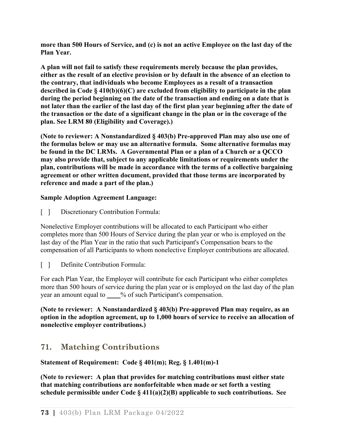**more than 500 Hours of Service, and (c) is not an active Employee on the last day of the Plan Year.**

**A plan will not fail to satisfy these requirements merely because the plan provides, either as the result of an elective provision or by default in the absence of an election to the contrary, that individuals who become Employees as a result of a transaction described in Code § 410(b)(6)(C) are excluded from eligibility to participate in the plan during the period beginning on the date of the transaction and ending on a date that is not later than the earlier of the last day of the first plan year beginning after the date of the transaction or the date of a significant change in the plan or in the coverage of the plan. See LRM 80 (Eligibility and Coverage).)**

**(Note to reviewer: A Nonstandardized § 403(b) Pre-approved Plan may also use one of the formulas below or may use an alternative formula. Some alternative formulas may be found in the DC LRMs. A Governmental Plan or a plan of a Church or a QCCO may also provide that, subject to any applicable limitations or requirements under the plan, contributions will be made in accordance with the terms of a collective bargaining agreement or other written document, provided that those terms are incorporated by reference and made a part of the plan.)**

## **Sample Adoption Agreement Language:**

[ ] Discretionary Contribution Formula:

Nonelective Employer contributions will be allocated to each Participant who either completes more than 500 Hours of Service during the plan year or who is employed on the last day of the Plan Year in the ratio that such Participant's Compensation bears to the compensation of all Participants to whom nonelective Employer contributions are allocated.

[ ] Definite Contribution Formula:

For each Plan Year, the Employer will contribute for each Participant who either completes more than 500 hours of service during the plan year or is employed on the last day of the plan year an amount equal to \_\_\_\_% of such Participant's compensation.

**(Note to reviewer: A Nonstandardized § 403(b) Pre-approved Plan may require, as an option in the adoption agreement, up to 1,000 hours of service to receive an allocation of nonelective employer contributions.)**

# **71. Matching Contributions**

## **Statement of Requirement: Code § 401(m); Reg. § 1.401(m)-1**

**(Note to reviewer: A plan that provides for matching contributions must either state that matching contributions are nonforfeitable when made or set forth a vesting schedule permissible under Code § 411(a)(2)(B) applicable to such contributions. See**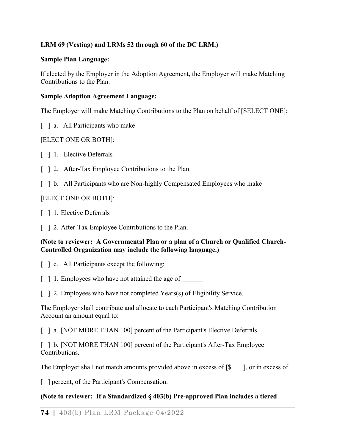## **LRM 69 (Vesting) and LRMs 52 through 60 of the [DC LRM.](http://www.irs.gov/pub/irs-tege/dc_lrm1011.pdf))**

#### **Sample Plan Language:**

If elected by the Employer in the Adoption Agreement, the Employer will make Matching Contributions to the Plan.

### **Sample Adoption Agreement Language:**

The Employer will make Matching Contributions to the Plan on behalf of [SELECT ONE]:

[ ] a. All Participants who make

### [ELECT ONE OR BOTH]:

- [ ] 1. Elective Deferrals
- [ ] 2. After-Tax Employee Contributions to the Plan.
- [  $\parallel$  b. All Participants who are Non-highly Compensated Employees who make

## [ELECT ONE OR BOTH]:

- [ ] 1. Elective Deferrals
- [ ] 2. After-Tax Employee Contributions to the Plan.

### **(Note to reviewer: A Governmental Plan or a plan of a Church or Qualified Church-Controlled Organization may include the following language.)**

- [  $\Box$  c. All Participants except the following:
- [ ] 1. Employees who have not attained the age of
- [ ] 2. Employees who have not completed Years(s) of Eligibility Service.

The Employer shall contribute and allocate to each Participant's Matching Contribution Account an amount equal to:

[ ] a. [NOT MORE THAN 100] percent of the Participant's Elective Deferrals.

[ ] b. [NOT MORE THAN 100] percent of the Participant's After-Tax Employee Contributions.

The Employer shall not match amounts provided above in excess of  $\$\,$  ], or in excess of

[ ] percent, of the Participant's Compensation.

## **(Note to reviewer: If a Standardized § 403(b) Pre-approved Plan includes a tiered**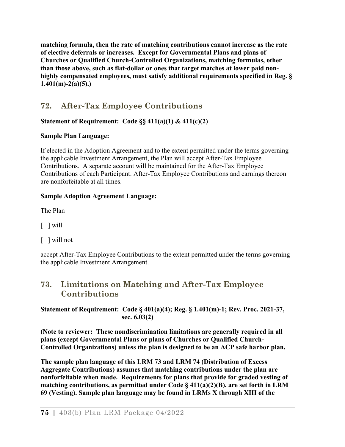**matching formula, then the rate of matching contributions cannot increase as the rate of elective deferrals or increases. Except for Governmental Plans and plans of Churches or Qualified Church-Controlled Organizations, matching formulas, other than those above, such as flat-dollar or ones that target matches at lower paid nonhighly compensated employees, must satisfy additional requirements specified in Reg. § 1.401(m)-2(a)(5).)**

# **72. After-Tax Employee Contributions**

## **Statement of Requirement: Code §§ 411(a)(1) & 411(c)(2)**

## **Sample Plan Language:**

If elected in the Adoption Agreement and to the extent permitted under the terms governing the applicable Investment Arrangement, the Plan will accept After-Tax Employee Contributions. A separate account will be maintained for the After-Tax Employee Contributions of each Participant. After-Tax Employee Contributions and earnings thereon are nonforfeitable at all times.

## **Sample Adoption Agreement Language:**

The Plan

- [ ] will
- [ ] will not

accept After-Tax Employee Contributions to the extent permitted under the terms governing the applicable Investment Arrangement.

# **73. Limitations on Matching and After-Tax Employee Contributions**

**Statement of Requirement: Code § 401(a)(4); Reg. § 1.401(m)-1; Rev. Proc. 2021-37, sec. 6.03(2)**

**(Note to reviewer: These nondiscrimination limitations are generally required in all plans (except Governmental Plans or plans of Churches or Qualified Church-Controlled Organizations) unless the plan is designed to be an ACP safe harbor plan.** 

**The sample plan language of this LRM 73 and LRM 74 (Distribution of Excess Aggregate Contributions) assumes that matching contributions under the plan are nonforfeitable when made. Requirements for plans that provide for graded vesting of matching contributions, as permitted under Code § 411(a)(2)(B), are set forth in LRM 69 (Vesting). Sample plan language may be found in LRMs X through XIII of the**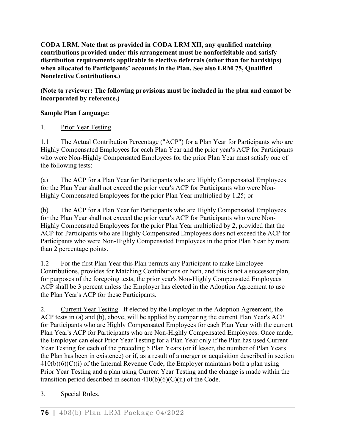**[CODA LRM.](http://www.irs.gov/pub/irs-tege/coda_lrm1011.pdf) Note that as provided in CODA LRM XII, any qualified matching contributions provided under this arrangement must be nonforfeitable and satisfy distribution requirements applicable to elective deferrals (other than for hardships) when allocated to Participants' accounts in the Plan. See also LRM 75, Qualified Nonelective Contributions.)**

**(Note to reviewer: The following provisions must be included in the plan and cannot be incorporated by reference.)**

## **Sample Plan Language:**

## 1. Prior Year Testing.

1.1 The Actual Contribution Percentage ("ACP") for a Plan Year for Participants who are Highly Compensated Employees for each Plan Year and the prior year's ACP for Participants who were Non-Highly Compensated Employees for the prior Plan Year must satisfy one of the following tests:

(a) The ACP for a Plan Year for Participants who are Highly Compensated Employees for the Plan Year shall not exceed the prior year's ACP for Participants who were Non-Highly Compensated Employees for the prior Plan Year multiplied by 1.25; or

(b) The ACP for a Plan Year for Participants who are Highly Compensated Employees for the Plan Year shall not exceed the prior year's ACP for Participants who were Non-Highly Compensated Employees for the prior Plan Year multiplied by 2, provided that the ACP for Participants who are Highly Compensated Employees does not exceed the ACP for Participants who were Non-Highly Compensated Employees in the prior Plan Year by more than 2 percentage points.

1.2 For the first Plan Year this Plan permits any Participant to make Employee Contributions, provides for Matching Contributions or both, and this is not a successor plan, for purposes of the foregoing tests, the prior year's Non-Highly Compensated Employees' ACP shall be 3 percent unless the Employer has elected in the Adoption Agreement to use the Plan Year's ACP for these Participants.

2. Current Year Testing. If elected by the Employer in the Adoption Agreement, the ACP tests in (a) and (b), above, will be applied by comparing the current Plan Year's ACP for Participants who are Highly Compensated Employees for each Plan Year with the current Plan Year's ACP for Participants who are Non-Highly Compensated Employees. Once made, the Employer can elect Prior Year Testing for a Plan Year only if the Plan has used Current Year Testing for each of the preceding 5 Plan Years (or if lesser, the number of Plan Years the Plan has been in existence) or if, as a result of a merger or acquisition described in section  $410(b)(6)(C)(i)$  of the Internal Revenue Code, the Employer maintains both a plan using Prior Year Testing and a plan using Current Year Testing and the change is made within the transition period described in section  $410(b)(6)(C)(ii)$  of the Code.

## 3. Special Rules.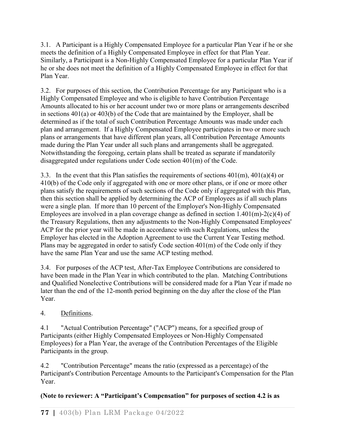3.1. A Participant is a Highly Compensated Employee for a particular Plan Year if he or she meets the definition of a Highly Compensated Employee in effect for that Plan Year. Similarly, a Participant is a Non-Highly Compensated Employee for a particular Plan Year if he or she does not meet the definition of a Highly Compensated Employee in effect for that Plan Year.

3.2. For purposes of this section, the Contribution Percentage for any Participant who is a Highly Compensated Employee and who is eligible to have Contribution Percentage Amounts allocated to his or her account under two or more plans or arrangements described in sections 401(a) or 403(b) of the Code that are maintained by the Employer, shall be determined as if the total of such Contribution Percentage Amounts was made under each plan and arrangement. If a Highly Compensated Employee participates in two or more such plans or arrangements that have different plan years, all Contribution Percentage Amounts made during the Plan Year under all such plans and arrangements shall be aggregated. Notwithstanding the foregoing, certain plans shall be treated as separate if mandatorily disaggregated under regulations under Code section 401(m) of the Code.

3.3. In the event that this Plan satisfies the requirements of sections  $401(m)$ ,  $401(a)(4)$  or 410(b) of the Code only if aggregated with one or more other plans, or if one or more other plans satisfy the requirements of such sections of the Code only if aggregated with this Plan, then this section shall be applied by determining the ACP of Employees as if all such plans were a single plan. If more than 10 percent of the Employer's Non-Highly Compensated Employees are involved in a plan coverage change as defined in section  $1.401(m)-2(c)(4)$  of the Treasury Regulations, then any adjustments to the Non-Highly Compensated Employees' ACP for the prior year will be made in accordance with such Regulations, unless the Employer has elected in the Adoption Agreement to use the Current Year Testing method. Plans may be aggregated in order to satisfy Code section 401(m) of the Code only if they have the same Plan Year and use the same ACP testing method.

3.4. For purposes of the ACP test, After-Tax Employee Contributions are considered to have been made in the Plan Year in which contributed to the plan. Matching Contributions and Qualified Nonelective Contributions will be considered made for a Plan Year if made no later than the end of the 12-month period beginning on the day after the close of the Plan Year.

## 4. Definitions.

4.1 "Actual Contribution Percentage" ("ACP") means, for a specified group of Participants (either Highly Compensated Employees or Non-Highly Compensated Employees) for a Plan Year, the average of the Contribution Percentages of the Eligible Participants in the group.

4.2 "Contribution Percentage" means the ratio (expressed as a percentage) of the Participant's Contribution Percentage Amounts to the Participant's Compensation for the Plan Year.

## **(Note to reviewer: A "Participant's Compensation" for purposes of section 4.2 is as**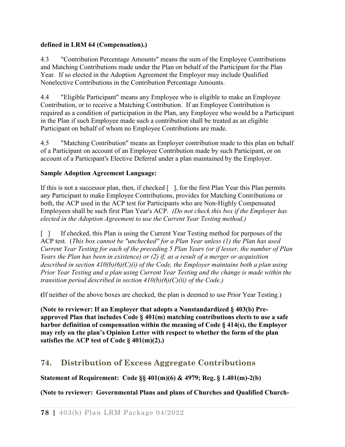### **defined in LRM 64 (Compensation).)**

4.3 "Contribution Percentage Amounts" means the sum of the Employee Contributions and Matching Contributions made under the Plan on behalf of the Participant for the Plan Year. If so elected in the Adoption Agreement the Employer may include Qualified Nonelective Contributions in the Contribution Percentage Amounts.

4.4 "Eligible Participant" means any Employee who is eligible to make an Employee Contribution, or to receive a Matching Contribution. If an Employee Contribution is required as a condition of participation in the Plan, any Employee who would be a Participant in the Plan if such Employee made such a contribution shall be treated as an eligible Participant on behalf of whom no Employee Contributions are made.

4.5 "Matching Contribution" means an Employer contribution made to this plan on behalf of a Participant on account of an Employee Contribution made by such Participant, or on account of a Participant's Elective Deferral under a plan maintained by the Employer.

### **Sample Adoption Agreement Language:**

If this is not a successor plan, then, if checked [ ], for the first Plan Year this Plan permits any Participant to make Employee Contributions, provides for Matching Contributions or both, the ACP used in the ACP test for Participants who are Non-Highly Compensated Employees shall be such first Plan Year's ACP. *(Do not check this box if the Employer has elected in the Adoption Agreement to use the Current Year Testing method.)*

[ ] If checked, this Plan is using the Current Year Testing method for purposes of the ACP test. (*This box cannot be "unchecked" for a Plan Year unless (1) the Plan has used Current Year Testing for each of the preceding 5 Plan Years (or if lesser, the number of Plan Years the Plan has been in existence) or (2) if, as a result of a merger or acquisition described in section 410(b)(6)(C)(i) of the Code, the Employer maintains both a plan using Prior Year Testing and a plan using Current Year Testing and the change is made within the transition period described in section 410(b)(6)(C)(ii) of the Code.)*

**(**If neither of the above boxes are checked, the plan is deemed to use Prior Year Testing.)

**(Note to reviewer: If an Employer that adopts a Nonstandardized § 403(b) Preapproved Plan that includes Code § 401(m) matching contributions elects to use a safe harbor definition of compensation within the meaning of Code § 414(s), the Employer may rely on the plan's Opinion Letter with respect to whether the form of the plan satisfies the ACP test of Code § 401(m)(2).)**

# **74. Distribution of Excess Aggregate Contributions**

**Statement of Requirement: Code §§ 401(m)(6) & 4979; Reg. § 1.401(m)-2(b)**

**(Note to reviewer: Governmental Plans and plans of Churches and Qualified Church-**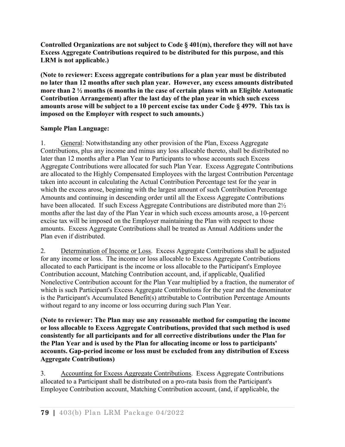**Controlled Organizations are not subject to Code § 401(m), therefore they will not have Excess Aggregate Contributions required to be distributed for this purpose, and this LRM is not applicable.)**

**(Note to reviewer: Excess aggregate contributions for a plan year must be distributed no later than 12 months after such plan year. However, any excess amounts distributed more than 2 ½ months (6 months in the case of certain plans with an Eligible Automatic Contribution Arrangement) after the last day of the plan year in which such excess amounts arose will be subject to a 10 percent excise tax under Code § 4979. This tax is imposed on the Employer with respect to such amounts.)**

### **Sample Plan Language:**

1. General: Notwithstanding any other provision of the Plan, Excess Aggregate Contributions, plus any income and minus any loss allocable thereto, shall be distributed no later than 12 months after a Plan Year to Participants to whose accounts such Excess Aggregate Contributions were allocated for such Plan Year. Excess Aggregate Contributions are allocated to the Highly Compensated Employees with the largest Contribution Percentage taken into account in calculating the Actual Contribution Percentage test for the year in which the excess arose, beginning with the largest amount of such Contribution Percentage Amounts and continuing in descending order until all the Excess Aggregate Contributions have been allocated. If such Excess Aggregate Contributions are distributed more than 2½ months after the last day of the Plan Year in which such excess amounts arose, a 10-percent excise tax will be imposed on the Employer maintaining the Plan with respect to those amounts. Excess Aggregate Contributions shall be treated as Annual Additions under the Plan even if distributed.

2. Determination of Income or Loss. Excess Aggregate Contributions shall be adjusted for any income or loss. The income or loss allocable to Excess Aggregate Contributions allocated to each Participant is the income or loss allocable to the Participant's Employee Contribution account, Matching Contribution account, and, if applicable, Qualified Nonelective Contribution account for the Plan Year multiplied by a fraction, the numerator of which is such Participant's Excess Aggregate Contributions for the year and the denominator is the Participant's Accumulated Benefit(s) attributable to Contribution Percentage Amounts without regard to any income or loss occurring during such Plan Year.

**(Note to reviewer: The Plan may use any reasonable method for computing the income or loss allocable to Excess Aggregate Contributions, provided that such method is used consistently for all participants and for all corrective distributions under the Plan for the Plan Year and is used by the Plan for allocating income or loss to participants' accounts. Gap-period income or loss must be excluded from any distribution of Excess Aggregate Contributions)**

3. Accounting for Excess Aggregate Contributions. Excess Aggregate Contributions allocated to a Participant shall be distributed on a pro-rata basis from the Participant's Employee Contribution account, Matching Contribution account, (and, if applicable, the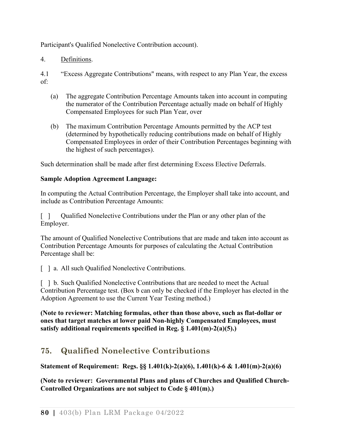Participant's Qualified Nonelective Contribution account).

4. Definitions.

4.1 "Excess Aggregate Contributions" means, with respect to any Plan Year, the excess of:

- (a) The aggregate Contribution Percentage Amounts taken into account in computing the numerator of the Contribution Percentage actually made on behalf of Highly Compensated Employees for such Plan Year, over
- (b) The maximum Contribution Percentage Amounts permitted by the ACP test (determined by hypothetically reducing contributions made on behalf of Highly Compensated Employees in order of their Contribution Percentages beginning with the highest of such percentages).

Such determination shall be made after first determining Excess Elective Deferrals.

#### **Sample Adoption Agreement Language:**

In computing the Actual Contribution Percentage, the Employer shall take into account, and include as Contribution Percentage Amounts:

[ ] Qualified Nonelective Contributions under the Plan or any other plan of the Employer.

The amount of Qualified Nonelective Contributions that are made and taken into account as Contribution Percentage Amounts for purposes of calculating the Actual Contribution Percentage shall be:

[ ] a. All such Qualified Nonelective Contributions.

[ ] b. Such Qualified Nonelective Contributions that are needed to meet the Actual Contribution Percentage test. (Box b can only be checked if the Employer has elected in the Adoption Agreement to use the Current Year Testing method.)

**(Note to reviewer: Matching formulas, other than those above, such as flat-dollar or ones that target matches at lower paid Non-highly Compensated Employees, must satisfy additional requirements specified in Reg. § 1.401(m)-2(a)(5).)**

# **75. Qualified Nonelective Contributions**

**Statement of Requirement: Regs. §§ 1.401(k)-2(a)(6), 1.401(k)-6 & 1.401(m)-2(a)(6)**

**(Note to reviewer: Governmental Plans and plans of Churches and Qualified Church-Controlled Organizations are not subject to Code § 401(m).)**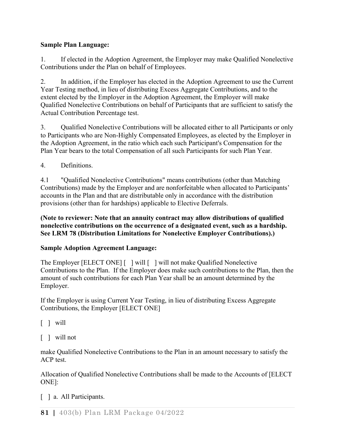## **Sample Plan Language:**

1. If elected in the Adoption Agreement, the Employer may make Qualified Nonelective Contributions under the Plan on behalf of Employees.

2. In addition, if the Employer has elected in the Adoption Agreement to use the Current Year Testing method, in lieu of distributing Excess Aggregate Contributions, and to the extent elected by the Employer in the Adoption Agreement, the Employer will make Qualified Nonelective Contributions on behalf of Participants that are sufficient to satisfy the Actual Contribution Percentage test.

3. Qualified Nonelective Contributions will be allocated either to all Participants or only to Participants who are Non-Highly Compensated Employees, as elected by the Employer in the Adoption Agreement, in the ratio which each such Participant's Compensation for the Plan Year bears to the total Compensation of all such Participants for such Plan Year.

4. Definitions.

4.1 "Qualified Nonelective Contributions" means contributions (other than Matching Contributions) made by the Employer and are nonforfeitable when allocated to Participants' accounts in the Plan and that are distributable only in accordance with the distribution provisions (other than for hardships) applicable to Elective Deferrals.

**(Note to reviewer: Note that an annuity contract may allow distributions of qualified nonelective contributions on the occurrence of a designated event, such as a hardship. See LRM 78 (Distribution Limitations for Nonelective Employer Contributions).)**

## **Sample Adoption Agreement Language:**

The Employer [ELECT ONE] [ ] will [ ] will not make Qualified Nonelective Contributions to the Plan. If the Employer does make such contributions to the Plan, then the amount of such contributions for each Plan Year shall be an amount determined by the Employer.

If the Employer is using Current Year Testing, in lieu of distributing Excess Aggregate Contributions, the Employer [ELECT ONE]

 $\lceil \ \rceil$  will

[ ] will not

make Qualified Nonelective Contributions to the Plan in an amount necessary to satisfy the ACP test.

Allocation of Qualified Nonelective Contributions shall be made to the Accounts of [ELECT ONE]:

[ ] a. All Participants.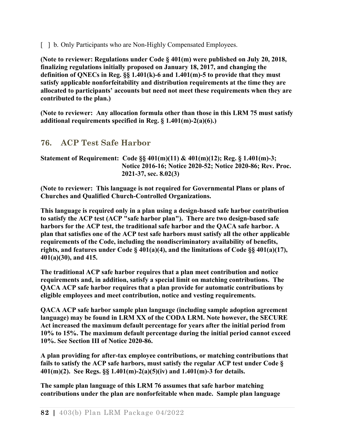[  $\parallel$  b. Only Participants who are Non-Highly Compensated Employees.

**(Note to reviewer: Regulations under Code § 401(m) were published on July 20, 2018, finalizing regulations initially proposed on January 18, 2017, and changing the definition of QNECs in Reg. §§ 1.401(k)-6 and 1.401(m)-5 to provide that they must satisfy applicable nonforfeitability and distribution requirements at the time they are allocated to participants' accounts but need not meet these requirements when they are contributed to the plan.)**

**(Note to reviewer: Any allocation formula other than those in this LRM 75 must satisfy additional requirements specified in Reg. § 1.401(m)-2(a)(6).)**

## **76. ACP Test Safe Harbor**

#### **Statement of Requirement: Code §§ 401(m)(11) & 401(m)(12); Reg. § 1.401(m)-3; Notice 2016-16; Notice 2020-52; Notice 2020-86; Rev. Proc. 2021-37, sec. 8.02(3)**

**(Note to reviewer: This language is not required for Governmental Plans or plans of Churches and Qualified Church-Controlled Organizations.**

**This language is required only in a plan using a design-based safe harbor contribution to satisfy the ACP test (ACP "safe harbor plan"). There are two design-based safe harbors for the ACP test, the traditional safe harbor and the QACA safe harbor. A plan that satisfies one of the ACP test safe harbors must satisfy all the other applicable requirements of the Code, including the nondiscriminatory availability of benefits, rights, and features under Code § 401(a)(4), and the limitations of Code §§ 401(a)(17), 401(a)(30), and 415.**

**The traditional ACP safe harbor requires that a plan meet contribution and notice requirements and, in addition, satisfy a special limit on matching contributions. The QACA ACP safe harbor requires that a plan provide for automatic contributions by eligible employees and meet contribution, notice and vesting requirements.** 

**QACA ACP safe harbor sample plan language (including sample adoption agreement language) may be found in LRM XX of the CODA LRM. Note however, the SECURE Act increased the maximum default percentage for years after the initial period from 10% to 15%. The maximum default percentage during the initial period cannot exceed 10%. See Section III of Notice 2020-86.** 

**A plan providing for after-tax employee contributions, or matching contributions that fails to satisfy the ACP safe harbors, must satisfy the regular ACP test under Code § 401(m)(2). See Regs. §§ 1.401(m)-2(a)(5)(iv) and 1.401(m)-3 for details.**

**The sample plan language of this LRM 76 assumes that safe harbor matching contributions under the plan are nonforfeitable when made. Sample plan language**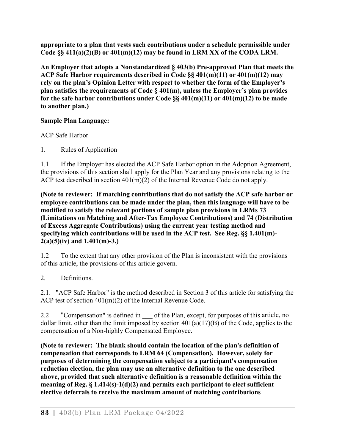**appropriate to a plan that vests such contributions under a schedule permissible under Code §§ 411(a)(2)(B) or 401(m)(12) may be found in LRM XX of the [CODA LRM.](http://www.irs.gov/pub/irs-tege/coda_lrm1011.pdf)**

**An Employer that adopts a Nonstandardized § 403(b) Pre-approved Plan that meets the ACP Safe Harbor requirements described in Code §§ 401(m)(11) or 401(m)(12) may rely on the plan's Opinion Letter with respect to whether the form of the Employer's plan satisfies the requirements of Code § 401(m), unless the Employer's plan provides for the safe harbor contributions under Code §§ 401(m)(11) or 401(m)(12) to be made to another plan.)**

## **Sample Plan Language:**

ACP Safe Harbor

1. Rules of Application

1.1 If the Employer has elected the ACP Safe Harbor option in the Adoption Agreement, the provisions of this section shall apply for the Plan Year and any provisions relating to the ACP test described in section 401(m)(2) of the Internal Revenue Code do not apply.

**(Note to reviewer: If matching contributions that do not satisfy the ACP safe harbor or employee contributions can be made under the plan, then this language will have to be modified to satisfy the relevant portions of sample plan provisions in LRMs 73 (Limitations on Matching and After-Tax Employee Contributions) and 74 (Distribution of Excess Aggregate Contributions) using the current year testing method and specifying which contributions will be used in the ACP test. See Reg. §§ 1.401(m)- 2(a)(5)(iv) and 1.401(m)-3.)**

1.2 To the extent that any other provision of the Plan is inconsistent with the provisions of this article, the provisions of this article govern.

## 2. Definitions.

2.1. "ACP Safe Harbor" is the method described in Section 3 of this article for satisfying the ACP test of section 401(m)(2) of the Internal Revenue Code.

2.2 "Compensation" is defined in  $\_\_$  of the Plan, except, for purposes of this article, no dollar limit, other than the limit imposed by section  $401(a)(17)(B)$  of the Code, applies to the compensation of a Non-highly Compensated Employee.

**(Note to reviewer: The blank should contain the location of the plan's definition of compensation that corresponds to LRM 64 (Compensation). However, solely for purposes of determining the compensation subject to a participant's compensation reduction election, the plan may use an alternative definition to the one described above, provided that such alternative definition is a reasonable definition within the meaning of Reg. § 1.414(s)-1(d)(2) and permits each participant to elect sufficient elective deferrals to receive the maximum amount of matching contributions**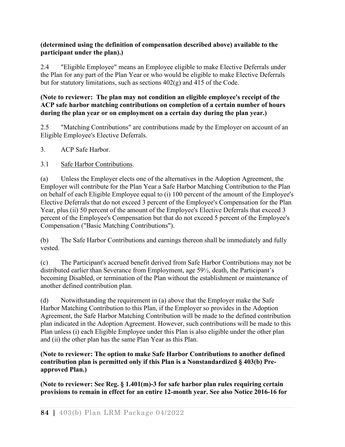### **(determined using the definition of compensation described above) available to the participant under the plan).)**

2.4 "Eligible Employee" means an Employee eligible to make Elective Deferrals under the Plan for any part of the Plan Year or who would be eligible to make Elective Deferrals but for statutory limitations, such as sections 402(g) and 415 of the Code.

#### **(Note to reviewer: The plan may not condition an eligible employee's receipt of the ACP safe harbor matching contributions on completion of a certain number of hours during the plan year or on employment on a certain day during the plan year.)**

2.5 "Matching Contributions" are contributions made by the Employer on account of an Eligible Employee's Elective Deferrals.

3. ACP Safe Harbor.

## 3.1 Safe Harbor Contributions.

(a) Unless the Employer elects one of the alternatives in the Adoption Agreement, the Employer will contribute for the Plan Year a Safe Harbor Matching Contribution to the Plan on behalf of each Eligible Employee equal to (i) 100 percent of the amount of the Employee's Elective Deferrals that do not exceed 3 percent of the Employee's Compensation for the Plan Year, plus (ii) 50 percent of the amount of the Employee's Elective Deferrals that exceed 3 percent of the Employee's Compensation but that do not exceed 5 percent of the Employee's Compensation ("Basic Matching Contributions").

(b) The Safe Harbor Contributions and earnings thereon shall be immediately and fully vested.

(c) The Participant's accrued benefit derived from Safe Harbor Contributions may not be distributed earlier than Severance from Employment, age 59½, death, the Participant's becoming Disabled, or termination of the Plan without the establishment or maintenance of another defined contribution plan.

(d) Notwithstanding the requirement in (a) above that the Employer make the Safe Harbor Matching Contribution to this Plan, if the Employer so provides in the Adoption Agreement, the Safe Harbor Matching Contribution will be made to the defined contribution plan indicated in the Adoption Agreement. However, such contributions will be made to this Plan unless (i) each Eligible Employee under this Plan is also eligible under the other plan and (ii) the other plan has the same Plan Year as this Plan.

### **(Note to reviewer: The option to make Safe Harbor Contributions to another defined contribution plan is permitted only if this Plan is a Nonstandardized § 403(b) Preapproved Plan.)**

**(Note to reviewer: See Reg. § 1.401(m)-3 for safe harbor plan rules requiring certain provisions to remain in effect for an entire 12-month year. See also Notice 2016-16 for**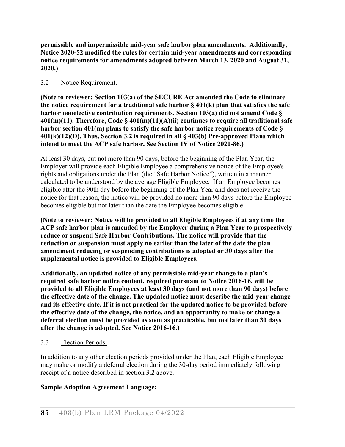**permissible and impermissible mid-year safe harbor plan amendments. Additionally, Notice 2020-52 modified the rules for certain mid-year amendments and corresponding notice requirements for amendments adopted between March 13, 2020 and August 31, 2020.)**

### 3.2 Notice Requirement.

**(Note to reviewer: Section 103(a) of the SECURE Act amended the Code to eliminate the notice requirement for a traditional safe harbor § 401(k) plan that satisfies the safe harbor nonelective contribution requirements. Section 103(a) did not amend Code § 401(m)(11). Therefore, Code § 401(m)(11)(A)(ii) continues to require all traditional safe harbor section 401(m) plans to satisfy the safe harbor notice requirements of Code § 401(k)(12)(D). Thus, Section 3.2 is required in all § 403(b) Pre-approved Plans which intend to meet the ACP safe harbor. See Section IV of Notice 2020-86.)**

At least 30 days, but not more than 90 days, before the beginning of the Plan Year, the Employer will provide each Eligible Employee a comprehensive notice of the Employee's rights and obligations under the Plan (the "Safe Harbor Notice"), written in a manner calculated to be understood by the average Eligible Employee. If an Employee becomes eligible after the 90th day before the beginning of the Plan Year and does not receive the notice for that reason, the notice will be provided no more than 90 days before the Employee becomes eligible but not later than the date the Employee becomes eligible.

**(Note to reviewer: Notice will be provided to all Eligible Employees if at any time the ACP safe harbor plan is amended by the Employer during a Plan Year to prospectively reduce or suspend Safe Harbor Contributions. The notice will provide that the reduction or suspension must apply no earlier than the later of the date the plan amendment reducing or suspending contributions is adopted or 30 days after the supplemental notice is provided to Eligible Employees.** 

**Additionally, an updated notice of any permissible mid-year change to a plan's required safe harbor notice content, required pursuant to Notice 2016-16, will be provided to all Eligible Employees at least 30 days (and not more than 90 days) before the effective date of the change. The updated notice must describe the mid-year change and its effective date. If it is not practical for the updated notice to be provided before the effective date of the change, the notice, and an opportunity to make or change a deferral election must be provided as soon as practicable, but not later than 30 days after the change is adopted. See Notice 2016-16.)**

#### 3.3 Election Periods.

In addition to any other election periods provided under the Plan, each Eligible Employee may make or modify a deferral election during the 30-day period immediately following receipt of a notice described in section 3.2 above.

#### **Sample Adoption Agreement Language:**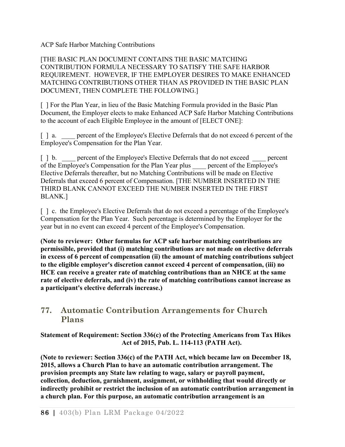ACP Safe Harbor Matching Contributions

[THE BASIC PLAN DOCUMENT CONTAINS THE BASIC MATCHING CONTRIBUTION FORMULA NECESSARY TO SATISFY THE SAFE HARBOR REQUIREMENT. HOWEVER, IF THE EMPLOYER DESIRES TO MAKE ENHANCED MATCHING CONTRIBUTIONS OTHER THAN AS PROVIDED IN THE BASIC PLAN DOCUMENT, THEN COMPLETE THE FOLLOWING.]

[ ] For the Plan Year, in lieu of the Basic Matching Formula provided in the Basic Plan Document, the Employer elects to make Enhanced ACP Safe Harbor Matching Contributions to the account of each Eligible Employee in the amount of [ELECT ONE]:

[] a. \_\_\_\_ percent of the Employee's Elective Deferrals that do not exceed 6 percent of the Employee's Compensation for the Plan Year.

[ ] b. \_\_\_\_ percent of the Employee's Elective Deferrals that do not exceed percent of the Employee's Compensation for the Plan Year plus \_\_\_\_ percent of the Employee's Elective Deferrals thereafter, but no Matching Contributions will be made on Elective Deferrals that exceed 6 percent of Compensation. [THE NUMBER INSERTED IN THE THIRD BLANK CANNOT EXCEED THE NUMBER INSERTED IN THE FIRST BLANK.]

[] c. the Employee's Elective Deferrals that do not exceed a percentage of the Employee's Compensation for the Plan Year. Such percentage is determined by the Employer for the year but in no event can exceed 4 percent of the Employee's Compensation.

**(Note to reviewer: Other formulas for ACP safe harbor matching contributions are permissible, provided that (i) matching contributions are not made on elective deferrals in excess of 6 percent of compensation (ii) the amount of matching contributions subject to the eligible employer's discretion cannot exceed 4 percent of compensation, (iii) no HCE can receive a greater rate of matching contributions than an NHCE at the same rate of elective deferrals, and (iv) the rate of matching contributions cannot increase as a participant's elective deferrals increase.)**

# **77. Automatic Contribution Arrangements for Church Plans**

**Statement of Requirement: Section 336(c) of the Protecting Americans from Tax Hikes Act of 2015, Pub. L. 114-113 (PATH Act).** 

**(Note to reviewer: Section 336(c) of the PATH Act, which became law on December 18, 2015, allows a Church Plan to have an automatic contribution arrangement. The provision preempts any State law relating to wage, salary or payroll payment, collection, deduction, garnishment, assignment, or withholding that would directly or indirectly prohibit or restrict the inclusion of an automatic contribution arrangement in a church plan. For this purpose, an automatic contribution arrangement is an**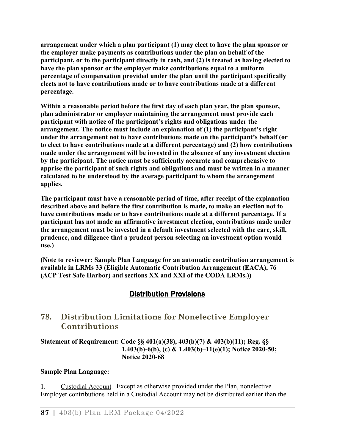**arrangement under which a plan participant (1) may elect to have the plan sponsor or the employer make payments as contributions under the plan on behalf of the participant, or to the participant directly in cash, and (2) is treated as having elected to have the plan sponsor or the employer make contributions equal to a uniform percentage of compensation provided under the plan until the participant specifically elects not to have contributions made or to have contributions made at a different percentage.**

**Within a reasonable period before the first day of each plan year, the plan sponsor, plan administrator or employer maintaining the arrangement must provide each participant with notice of the participant's rights and obligations under the arrangement. The notice must include an explanation of (1) the participant's right under the arrangement not to have contributions made on the participant's behalf (or to elect to have contributions made at a different percentage) and (2) how contributions made under the arrangement will be invested in the absence of any investment election by the participant. The notice must be sufficiently accurate and comprehensive to apprise the participant of such rights and obligations and must be written in a manner calculated to be understood by the average participant to whom the arrangement applies.** 

**The participant must have a reasonable period of time, after receipt of the explanation described above and before the first contribution is made, to make an election not to have contributions made or to have contributions made at a different percentage. If a participant has not made an affirmative investment election, contributions made under the arrangement must be invested in a default investment selected with the care, skill, prudence, and diligence that a prudent person selecting an investment option would use.)**

**(Note to reviewer: Sample Plan Language for an automatic contribution arrangement is available in LRMs 33 (Eligible Automatic Contribution Arrangement (EACA), 76 (ACP Test Safe Harbor) and sections XX and XXI of the CODA LRMs.))**

# Distribution Provisions

# **78. Distribution Limitations for Nonelective Employer Contributions**

#### **Statement of Requirement: Code §§ 401(a)(38), 403(b)(7) & 403(b)(11); Reg. §§ 1.403(b)-6(b), (c) & 1.403(b)–11(e)(1); Notice 2020-50; Notice 2020-68**

## **Sample Plan Language:**

1. Custodial Account. Except as otherwise provided under the Plan, nonelective Employer contributions held in a Custodial Account may not be distributed earlier than the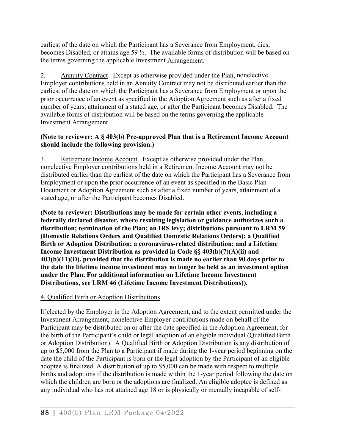earliest of the date on which the Participant has a Severance from Employment, dies, becomes Disabled, or attains age 59 ½. The available forms of distribution will be based on the terms governing the applicable Investment Arrangement.

2. Annuity Contract. Except as otherwise provided under the Plan, nonelective Employer contributions held in an Annuity Contract may not be distributed earlier than the earliest of the date on which the Participant has a Severance from Employment or upon the prior occurrence of an event as specified in the Adoption Agreement such as after a fixed number of years, attainment of a stated age, or after the Participant becomes Disabled. The available forms of distribution will be based on the terms governing the applicable Investment Arrangement.

### **(Note to reviewer: A § 403(b) Pre-approved Plan that is a Retirement Income Account should include the following provision.)**

3. Retirement Income Account. Except as otherwise provided under the Plan, nonelective Employer contributions held in a Retirement Income Account may not be distributed earlier than the earliest of the date on which the Participant has a Severance from Employment or upon the prior occurrence of an event as specified in the Basic Plan Document or Adoption Agreement such as after a fixed number of years, attainment of a stated age, or after the Participant becomes Disabled.

**(Note to reviewer: Distributions may be made for certain other events, including a federally declared disaster, where resulting legislation or guidance authorizes such a distribution; termination of the Plan; an IRS levy; distributions pursuant to LRM 59 (Domestic Relations Orders and Qualified Domestic Relations Orders); a Qualified Birth or Adoption Distribution; a coronavirus-related distribution; and a Lifetime Income Investment Distribution as provided in Code §§ 403(b)(7)(A)(ii) and 403(b)(11)(D), provided that the distribution is made no earlier than 90 days prior to the date the lifetime income investment may no longer be held as an investment option under the Plan. For additional information on Lifetime Income Investment Distributions, see LRM 46 (Lifetime Income Investment Distributions)).**

## 4. Qualified Birth or Adoption Distributions

If elected by the Employer in the Adoption Agreement, and to the extent permitted under the Investment Arrangement, nonelective Employer contributions made on behalf of the Participant may be distributed on or after the date specified in the Adoption Agreement, for the birth of the Participant's child or legal adoption of an eligible individual (Qualified Birth or Adoption Distribution). A Qualified Birth or Adoption Distribution is any distribution of up to \$5,000 from the Plan to a Participant if made during the 1-year period beginning on the date the child of the Participant is born or the legal adoption by the Participant of an eligible adoptee is finalized. A distribution of up to \$5,000 can be made with respect to multiple births and adoptions if the distribution is made within the 1-year period following the date on which the children are born or the adoptions are finalized. An eligible adoptee is defined as any individual who has not attained age 18 or is physically or mentally incapable of self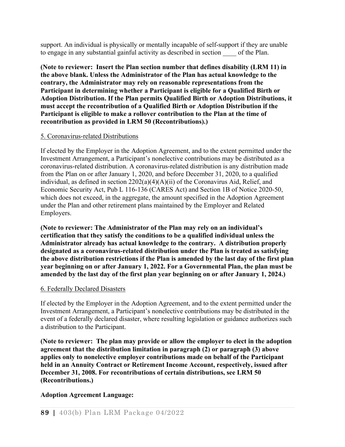support. An individual is physically or mentally incapable of self-support if they are unable to engage in any substantial gainful activity as described in section of the Plan.

**(Note to reviewer: Insert the Plan section number that defines disability (LRM 11) in the above blank. Unless the Administrator of the Plan has actual knowledge to the contrary, the Administrator may rely on reasonable representations from the Participant in determining whether a Participant is eligible for a Qualified Birth or Adoption Distribution. If the Plan permits Qualified Birth or Adoption Distributions, it must accept the recontribution of a Qualified Birth or Adoption Distribution if the Participant is eligible to make a rollover contribution to the Plan at the time of recontribution as provided in LRM 50 (Recontributions).)** 

#### 5. Coronavirus-related Distributions

If elected by the Employer in the Adoption Agreement, and to the extent permitted under the Investment Arrangement, a Participant's nonelective contributions may be distributed as a coronavirus-related distribution. A coronavirus-related distribution is any distribution made from the Plan on or after January 1, 2020, and before December 31, 2020, to a qualified individual, as defined in section 2202(a)(4)(A)(ii) of the Coronavirus Aid, Relief, and Economic Security Act, Pub L 116-136 (CARES Act) and Section 1B of Notice 2020-50, which does not exceed, in the aggregate, the amount specified in the Adoption Agreement under the Plan and other retirement plans maintained by the Employer and Related Employers.

**(Note to reviewer: The Administrator of the Plan may rely on an individual's certification that they satisfy the conditions to be a qualified individual unless the Administrator already has actual knowledge to the contrary. A distribution properly designated as a coronavirus-related distribution under the Plan is treated as satisfying the above distribution restrictions if the Plan is amended by the last day of the first plan year beginning on or after January 1, 2022. For a Governmental Plan, the plan must be amended by the last day of the first plan year beginning on or after January 1, 2024.)** 

#### 6. Federally Declared Disasters

If elected by the Employer in the Adoption Agreement, and to the extent permitted under the Investment Arrangement, a Participant's nonelective contributions may be distributed in the event of a federally declared disaster, where resulting legislation or guidance authorizes such a distribution to the Participant.

**(Note to reviewer: The plan may provide or allow the employer to elect in the adoption agreement that the distribution limitation in paragraph (2) or paragraph (3) above applies only to nonelective employer contributions made on behalf of the Participant held in an Annuity Contract or Retirement Income Account, respectively, issued after December 31, 2008. For recontributions of certain distributions, see LRM 50 (Recontributions.)**

#### **Adoption Agreement Language:**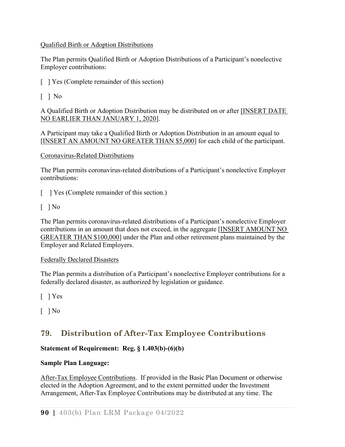#### Qualified Birth or Adoption Distributions

The Plan permits Qualified Birth or Adoption Distributions of a Participant's nonelective Employer contributions:

[ ] Yes (Complete remainder of this section)

## $\lceil$  | No

A Qualified Birth or Adoption Distribution may be distributed on or after [INSERT DATE NO EARLIER THAN JANUARY 1, 2020].

A Participant may take a Qualified Birth or Adoption Distribution in an amount equal to [INSERT AN AMOUNT NO GREATER THAN \$5,000] for each child of the participant.

### Coronavirus-Related Distributions

The Plan permits coronavirus-related distributions of a Participant's nonelective Employer contributions:

[ ] Yes (Complete remainder of this section.)

 $\lceil$  | No

The Plan permits coronavirus-related distributions of a Participant's nonelective Employer contributions in an amount that does not exceed, in the aggregate [INSERT AMOUNT NO GREATER THAN \$100,000] under the Plan and other retirement plans maintained by the Employer and Related Employers.

#### Federally Declared Disasters

The Plan permits a distribution of a Participant's nonelective Employer contributions for a federally declared disaster, as authorized by legislation or guidance.

[ ] Yes

 $\lceil$  | No

# **79. Distribution of After-Tax Employee Contributions**

## **Statement of Requirement: Reg. § 1.403(b)-(6)(b)**

## **Sample Plan Language:**

After-Tax Employee Contributions. If provided in the Basic Plan Document or otherwise elected in the Adoption Agreement, and to the extent permitted under the Investment Arrangement, After-Tax Employee Contributions may be distributed at any time. The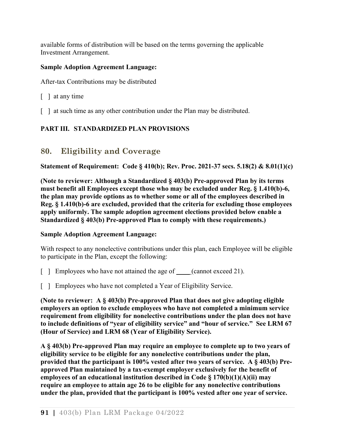available forms of distribution will be based on the terms governing the applicable Investment Arrangement.

### **Sample Adoption Agreement Language:**

After-tax Contributions may be distributed

- [ ] at any time
- [ ] at such time as any other contribution under the Plan may be distributed.

## **PART III. STANDARDIZED PLAN PROVISIONS**

## **80. Eligibility and Coverage**

**Statement of Requirement: Code § 410(b); Rev. Proc. 2021-37 secs. 5.18(2) & 8.01(1)(c)** 

**(Note to reviewer: Although a Standardized § 403(b) Pre-approved Plan by its terms must benefit all Employees except those who may be excluded under Reg. § 1.410(b)-6, the plan may provide options as to whether some or all of the employees described in Reg. § 1.410(b)-6 are excluded, provided that the criteria for excluding those employees apply uniformly. The sample adoption agreement elections provided below enable a Standardized § 403(b) Pre-approved Plan to comply with these requirements.)**

#### **Sample Adoption Agreement Language:**

With respect to any nonelective contributions under this plan, each Employee will be eligible to participate in the Plan, except the following:

- [ ] Employees who have not attained the age of (cannot exceed 21).
- [ ] Employees who have not completed a Year of Eligibility Service.

**(Note to reviewer: A § 403(b) Pre-approved Plan that does not give adopting eligible employers an option to exclude employees who have not completed a minimum service requirement from eligibility for nonelective contributions under the plan does not have to include definitions of "year of eligibility service" and "hour of service." See LRM 67 (Hour of Service) and LRM 68 (Year of Eligibility Service).** 

**A § 403(b) Pre-approved Plan may require an employee to complete up to two years of eligibility service to be eligible for any nonelective contributions under the plan, provided that the participant is 100% vested after two years of service. A § 403(b) Preapproved Plan maintained by a tax-exempt employer exclusively for the benefit of employees of an educational institution described in Code § 170(b)(1)(A)(ii) may require an employee to attain age 26 to be eligible for any nonelective contributions under the plan, provided that the participant is 100% vested after one year of service.**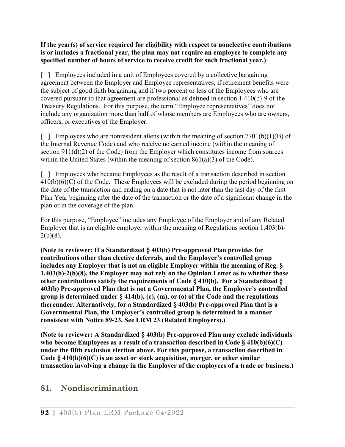**If the year(s) of service required for eligibility with respect to nonelective contributions is or includes a fractional year, the plan may not require an employee to complete any specified number of hours of service to receive credit for such fractional year.)**

[ ] Employees included in a unit of Employees covered by a collective bargaining agreement between the Employer and Employee representatives, if retirement benefits were the subject of good faith bargaining and if two percent or less of the Employees who are covered pursuant to that agreement are professional as defined in section 1.410(b)-9 of the Treasury Regulations. For this purpose, the term "Employee representatives" does not include any organization more than half of whose members are Employees who are owners, officers, or executives of the Employer.

 $\lceil$  | Employees who are nonresident aliens (within the meaning of section 7701(b)(1)(B) of the Internal Revenue Code) and who receive no earned income (within the meaning of section 911(d)(2) of the Code) from the Employer which constitutes income from sources within the United States (within the meaning of section 861(a)(3) of the Code).

[ ] Employees who became Employees as the result of a transaction described in section  $410(b)(6)(C)$  of the Code. These Employees will be excluded during the period beginning on the date of the transaction and ending on a date that is not later than the last day of the first Plan Year beginning after the date of the transaction or the date of a significant change in the plan or in the coverage of the plan.

For this purpose, "Employee" includes any Employee of the Employer and of any Related Employer that is an eligible employer within the meaning of Regulations section 1.403(b)-  $2(b)(8)$ .

**(Note to reviewer: If a Standardized § 403(b) Pre-approved Plan provides for contributions other than elective deferrals, and the Employer's controlled group includes any Employer that is not an eligible Employer within the meaning of Reg. § 1.403(b)-2(b)(8), the Employer may not rely on the Opinion Letter as to whether those other contributions satisfy the requirements of Code § 410(b). For a Standardized § 403(b) Pre-approved Plan that is not a Governmental Plan, the Employer's controlled group is determined under § 414(b), (c), (m), or (o) of the Code and the regulations thereunder. Alternatively, for a Standardized § 403(b) Pre-approved Plan that is a Governmental Plan, the Employer's controlled group is determined in a manner consistent with Notice 89-23. See LRM 23 (Related Employers).)**

**(Note to reviewer: A Standardized § 403(b) Pre-approved Plan may exclude individuals who become Employees as a result of a transaction described in Code § 410(b)(6)(C) under the fifth exclusion election above. For this purpose, a transaction described in Code § 410(b)(6)(C) is an asset or stock acquisition, merger, or other similar transaction involving a change in the Employer of the employees of a trade or business.)**

# **81. Nondiscrimination**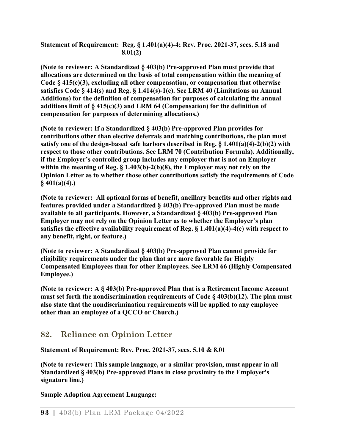**Statement of Requirement: Reg. § 1.401(a)(4)-4; Rev. Proc. 2021-37, secs. 5.18 and 8.01(2)**

**(Note to reviewer: A Standardized § 403(b) Pre-approved Plan must provide that allocations are determined on the basis of total compensation within the meaning of Code § 415(c)(3), excluding all other compensation, or compensation that otherwise satisfies Code § 414(s) and Reg. § 1.414(s)-1(c). See LRM 40 (Limitations on Annual Additions) for the definition of compensation for purposes of calculating the annual additions limit of § 415(c)(3) and LRM 64 (Compensation) for the definition of compensation for purposes of determining allocations.)**

**(Note to reviewer: If a Standardized § 403(b) Pre-approved Plan provides for contributions other than elective deferrals and matching contributions, the plan must satisfy one of the design-based safe harbors described in Reg. § 1.401(a)(4)-2(b)(2) with respect to those other contributions. See LRM 70 (Contribution Formula). Additionally, if the Employer's controlled group includes any employer that is not an Employer within the meaning of Reg. § 1.403(b)-2(b)(8), the Employer may not rely on the Opinion Letter as to whether those other contributions satisfy the requirements of Code § 401(a)(4).)**

**(Note to reviewer: All optional forms of benefit, ancillary benefits and other rights and features provided under a Standardized § 403(b) Pre-approved Plan must be made available to all participants. However, a Standardized § 403(b) Pre-approved Plan Employer may not rely on the Opinion Letter as to whether the Employer's plan satisfies the effective availability requirement of Reg. § 1.401(a)(4)-4(c) with respect to any benefit, right, or feature.)**

**(Note to reviewer: A Standardized § 403(b) Pre-approved Plan cannot provide for eligibility requirements under the plan that are more favorable for Highly Compensated Employees than for other Employees. See LRM 66 (Highly Compensated Employee.)**

**(Note to reviewer: A § 403(b) Pre-approved Plan that is a Retirement Income Account must set forth the nondiscrimination requirements of Code § 403(b)(12). The plan must also state that the nondiscrimination requirements will be applied to any employee other than an employee of a QCCO or Church.)**

## **82. Reliance on Opinion Letter**

**Statement of Requirement: Rev. Proc. 2021-37, secs. 5.10 & 8.01**

**(Note to reviewer: This sample language, or a similar provision, must appear in all Standardized § 403(b) Pre-approved Plans in close proximity to the Employer's signature line.)**

**Sample Adoption Agreement Language:**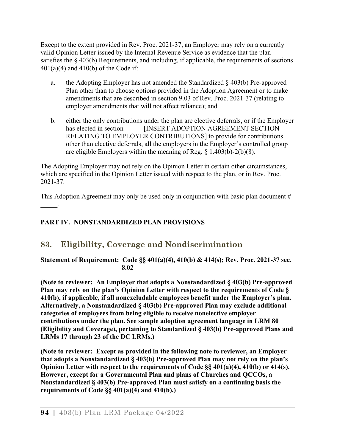Except to the extent provided in Rev. Proc. 2021-37, an Employer may rely on a currently valid Opinion Letter issued by the Internal Revenue Service as evidence that the plan satisfies the § 403(b) Requirements, and including, if applicable, the requirements of sections  $401(a)(4)$  and  $410(b)$  of the Code if:

- a. the Adopting Employer has not amended the Standardized  $\S$  403(b) Pre-approved Plan other than to choose options provided in the Adoption Agreement or to make amendments that are described in section 9.03 of Rev. Proc. 2021-37 (relating to employer amendments that will not affect reliance); and
- b. either the only contributions under the plan are elective deferrals, or if the Employer has elected in section [INSERT ADOPTION AGREEMENT SECTION RELATING TO EMPLOYER CONTRIBUTIONS] to provide for contributions other than elective deferrals, all the employers in the Employer's controlled group are eligible Employers within the meaning of Reg. § 1.403(b)-2(b)(8).

The Adopting Employer may not rely on the Opinion Letter in certain other circumstances, which are specified in the Opinion Letter issued with respect to the plan, or in Rev. Proc. 2021-37.

This Adoption Agreement may only be used only in conjunction with basic plan document  $#$  $\mathcal{L}=\mathcal{L}$ 

## **PART IV. NONSTANDARDIZED PLAN PROVISIONS**

## **83. Eligibility, Coverage and Nondiscrimination**

**Statement of Requirement: Code §§ 401(a)(4), 410(b) & 414(s); Rev. Proc. 2021-37 sec. 8.02** 

**(Note to reviewer: An Employer that adopts a Nonstandardized § 403(b) Pre-approved Plan may rely on the plan's Opinion Letter with respect to the requirements of Code § 410(b), if applicable, if all nonexcludable employees benefit under the Employer's plan. Alternatively, a Nonstandardized § 403(b) Pre-approved Plan may exclude additional categories of employees from being eligible to receive nonelective employer contributions under the plan. See sample adoption agreement language in LRM 80 (Eligibility and Coverage), pertaining to Standardized § 403(b) Pre-approved Plans and LRMs 17 through 23 of the DC LRMs.)** 

**(Note to reviewer: Except as provided in the following note to reviewer, an Employer that adopts a Nonstandardized § 403(b) Pre-approved Plan may not rely on the plan's Opinion Letter with respect to the requirements of Code §§ 401(a)(4), 410(b) or 414(s). However, except for a Governmental Plan and plans of Churches and QCCOs, a Nonstandardized § 403(b) Pre-approved Plan must satisfy on a continuing basis the requirements of Code §§ 401(a)(4) and 410(b).)**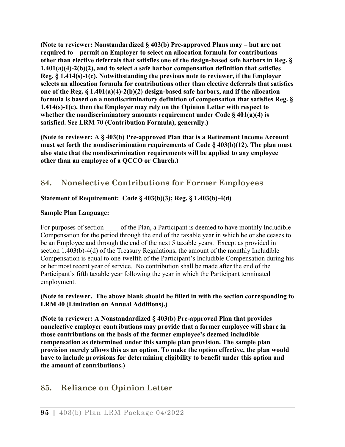**(Note to reviewer: Nonstandardized § 403(b) Pre-approved Plans may – but are not required to – permit an Employer to select an allocation formula for contributions other than elective deferrals that satisfies one of the design-based safe harbors in Reg. § 1.401(a)(4)-2(b)(2), and to select a safe harbor compensation definition that satisfies Reg. § 1.414(s)-1(c). Notwithstanding the previous note to reviewer, if the Employer selects an allocation formula for contributions other than elective deferrals that satisfies one of the Reg. § 1.401(a)(4)-2(b)(2) design-based safe harbors, and if the allocation formula is based on a nondiscriminatory definition of compensation that satisfies Reg. § 1.414(s)-1(c), then the Employer may rely on the Opinion Letter with respect to whether the nondiscriminatory amounts requirement under Code § 401(a)(4) is satisfied. See LRM 70 (Contribution Formula), generally.)**

**(Note to reviewer: A § 403(b) Pre-approved Plan that is a Retirement Income Account must set forth the nondiscrimination requirements of Code § 403(b)(12). The plan must also state that the nondiscrimination requirements will be applied to any employee other than an employee of a QCCO or Church.)**

# **84. Nonelective Contributions for Former Employees**

## **Statement of Requirement: Code § 403(b)(3); Reg. § 1.403(b)-4(d)**

#### **Sample Plan Language:**

For purposes of section of the Plan, a Participant is deemed to have monthly Includible Compensation for the period through the end of the taxable year in which he or she ceases to be an Employee and through the end of the next 5 taxable years. Except as provided in section 1.403(b)-4(d) of the Treasury Regulations, the amount of the monthly Includible Compensation is equal to one-twelfth of the Participant's Includible Compensation during his or her most recent year of service. No contribution shall be made after the end of the Participant's fifth taxable year following the year in which the Participant terminated employment.

#### **(Note to reviewer. The above blank should be filled in with the section corresponding to LRM 40 (Limitation on Annual Additions).)**

**(Note to reviewer: A Nonstandardized § 403(b) Pre-approved Plan that provides nonelective employer contributions may provide that a former employee will share in those contributions on the basis of the former employee's deemed includible compensation as determined under this sample plan provision. The sample plan provision merely allows this as an option. To make the option effective, the plan would have to include provisions for determining eligibility to benefit under this option and the amount of contributions.)**

## **85. Reliance on Opinion Letter**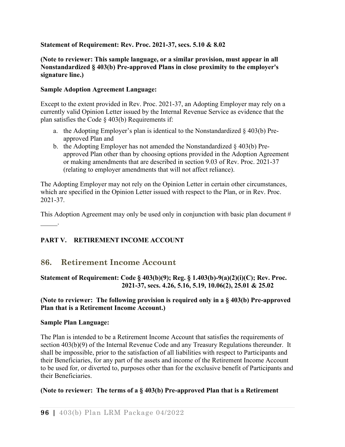#### **Statement of Requirement: Rev. Proc. 2021-37, secs. 5.10 & 8.02**

#### **(Note to reviewer: This sample language, or a similar provision, must appear in all Nonstandardized § 403(b) Pre-approved Plans in close proximity to the employer's signature line.)**

#### **Sample Adoption Agreement Language:**

Except to the extent provided in Rev. Proc. 2021-37, an Adopting Employer may rely on a currently valid Opinion Letter issued by the Internal Revenue Service as evidence that the plan satisfies the Code § 403(b) Requirements if:

- a. the Adopting Employer's plan is identical to the Nonstandardized § 403(b) Preapproved Plan and
- b. the Adopting Employer has not amended the Nonstandardized § 403(b) Preapproved Plan other than by choosing options provided in the Adoption Agreement or making amendments that are described in section 9.03 of Rev. Proc. 2021-37 (relating to employer amendments that will not affect reliance).

The Adopting Employer may not rely on the Opinion Letter in certain other circumstances, which are specified in the Opinion Letter issued with respect to the Plan, or in Rev. Proc. 2021-37.

This Adoption Agreement may only be used only in conjunction with basic plan document #  $\frac{1}{2}$ 

## **PART V. RETIREMENT INCOME ACCOUNT**

## **86. Retirement Income Account**

#### **Statement of Requirement: Code § 403(b)(9); Reg. § 1.403(b)-9(a)(2)(i)(C); Rev. Proc. 2021-37, secs. 4.26, 5.16, 5.19, 10.06(2), 25.01 & 25.02**

#### **(Note to reviewer: The following provision is required only in a § 403(b) Pre-approved Plan that is a Retirement Income Account.)**

#### **Sample Plan Language:**

The Plan is intended to be a Retirement Income Account that satisfies the requirements of section 403(b)(9) of the Internal Revenue Code and any Treasury Regulations thereunder. It shall be impossible, prior to the satisfaction of all liabilities with respect to Participants and their Beneficiaries, for any part of the assets and income of the Retirement Income Account to be used for, or diverted to, purposes other than for the exclusive benefit of Participants and their Beneficiaries.

#### **(Note to reviewer: The terms of a § 403(b) Pre-approved Plan that is a Retirement**